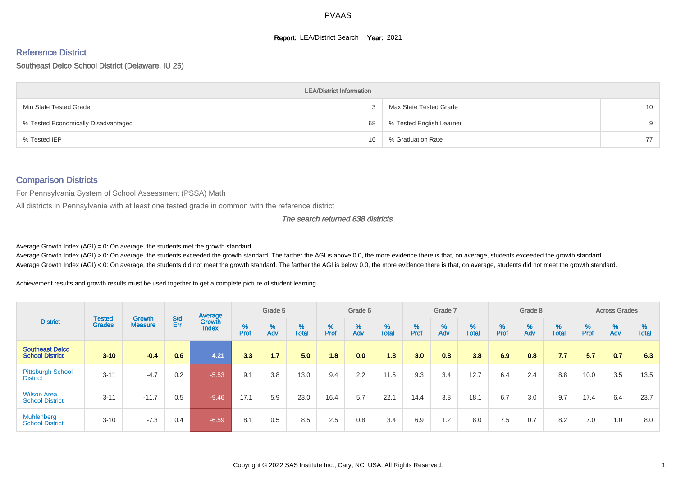#### **Report: LEA/District Search Year: 2021**

# Reference District

#### Southeast Delco School District (Delaware, IU 25)

|                                     | <b>LEA/District Information</b> |                          |                 |
|-------------------------------------|---------------------------------|--------------------------|-----------------|
| Min State Tested Grade              |                                 | Max State Tested Grade   | 10 <sup>°</sup> |
| % Tested Economically Disadvantaged | 68                              | % Tested English Learner | 9               |
| % Tested IEP                        | 16                              | % Graduation Rate        | 77              |

#### Comparison Districts

For Pennsylvania System of School Assessment (PSSA) Math

All districts in Pennsylvania with at least one tested grade in common with the reference district

#### The search returned 638 districts

Average Growth Index  $(AGI) = 0$ : On average, the students met the growth standard.

Average Growth Index (AGI) > 0: On average, the students exceeded the growth standard. The farther the AGI is above 0.0, the more evidence there is that, on average, students exceeded the growth standard. Average Growth Index (AGI) < 0: On average, the students did not meet the growth standard. The farther the AGI is below 0.0, the more evidence there is that, on average, students did not meet the growth standard.

Achievement results and growth results must be used together to get a complete picture of student learning.

|                                                  |                                |                          |            | Average                |        | Grade 5  |                   |        | Grade 6  |                   |           | Grade 7  |                   |           | Grade 8                       |                   |          | <b>Across Grades</b> |                   |
|--------------------------------------------------|--------------------------------|--------------------------|------------|------------------------|--------|----------|-------------------|--------|----------|-------------------|-----------|----------|-------------------|-----------|-------------------------------|-------------------|----------|----------------------|-------------------|
| <b>District</b>                                  | <b>Tested</b><br><b>Grades</b> | Growth<br><b>Measure</b> | Std<br>Err | Growth<br><b>Index</b> | % Pref | %<br>Adv | %<br><b>Total</b> | % Pref | %<br>Adv | %<br><b>Total</b> | %<br>Prof | %<br>Adv | %<br><b>Total</b> | %<br>Prof | $\stackrel{\%}{\mathsf{Adv}}$ | %<br><b>Total</b> | $%$ Prof | %<br>Adv             | %<br><b>Total</b> |
| <b>Southeast Delco</b><br><b>School District</b> | $3 - 10$                       | $-0.4$                   | 0.6        | 4.21                   | 3.3    | 1.7      | 5.0               | 1.8    | 0.0      | 1.8               | 3.0       | 0.8      | 3.8               | 6.9       | 0.8                           | 7.7               | 5.7      | 0.7                  | 6.3               |
| <b>Pittsburgh School</b><br><b>District</b>      | $3 - 11$                       | $-4.7$                   | 0.2        | $-5.53$                | 9.1    | 3.8      | 13.0              | 9.4    | 2.2      | 11.5              | 9.3       | 3.4      | 12.7              | 6.4       | 2.4                           | 8.8               | 10.0     | 3.5                  | 13.5              |
| <b>Wilson Area</b><br><b>School District</b>     | $3 - 11$                       | $-11.7$                  | 0.5        | $-9.46$                | 17.1   | 5.9      | 23.0              | 16.4   | 5.7      | 22.1              | 14.4      | 3.8      | 18.1              | 6.7       | 3.0                           | 9.7               | 17.4     | 6.4                  | 23.7              |
| Muhlenberg<br><b>School District</b>             | $3 - 10$                       | $-7.3$                   | 0.4        | $-6.59$                | 8.1    | 0.5      | 8.5               | 2.5    | 0.8      | 3.4               | 6.9       | 1.2      | 8.0               | 7.5       | 0.7                           | 8.2               | 7.0      | 1.0                  | 8.0               |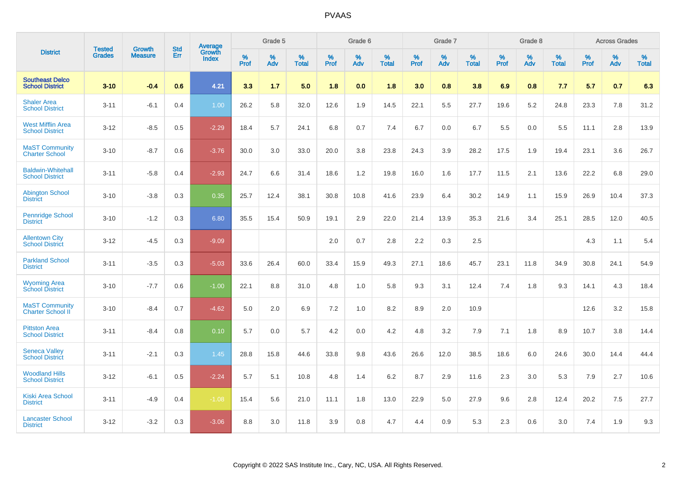|                                                    |                                |                                 | <b>Std</b> | Average         |           | Grade 5  |                   |           | Grade 6  |                   |           | Grade 7  |                   |           | Grade 8  |                   |           | <b>Across Grades</b> |            |
|----------------------------------------------------|--------------------------------|---------------------------------|------------|-----------------|-----------|----------|-------------------|-----------|----------|-------------------|-----------|----------|-------------------|-----------|----------|-------------------|-----------|----------------------|------------|
| <b>District</b>                                    | <b>Tested</b><br><b>Grades</b> | <b>Growth</b><br><b>Measure</b> | Err        | Growth<br>Index | %<br>Prof | %<br>Adv | %<br><b>Total</b> | %<br>Prof | %<br>Adv | %<br><b>Total</b> | %<br>Prof | %<br>Adv | %<br><b>Total</b> | %<br>Prof | %<br>Adv | %<br><b>Total</b> | %<br>Prof | %<br>Adv             | %<br>Total |
| <b>Southeast Delco</b><br><b>School District</b>   | $3 - 10$                       | $-0.4$                          | 0.6        | 4.21            | 3.3       | 1.7      | 5.0               | 1.8       | 0.0      | 1.8               | 3.0       | 0.8      | 3.8               | 6.9       | 0.8      | 7.7               | 5.7       | 0.7                  | 6.3        |
| <b>Shaler Area</b><br><b>School District</b>       | $3 - 11$                       | $-6.1$                          | 0.4        | 1.00            | 26.2      | 5.8      | 32.0              | 12.6      | 1.9      | 14.5              | 22.1      | 5.5      | 27.7              | 19.6      | 5.2      | 24.8              | 23.3      | 7.8                  | 31.2       |
| <b>West Mifflin Area</b><br><b>School District</b> | $3 - 12$                       | $-8.5$                          | 0.5        | $-2.29$         | 18.4      | 5.7      | 24.1              | 6.8       | 0.7      | 7.4               | 6.7       | 0.0      | 6.7               | 5.5       | 0.0      | 5.5               | 11.1      | 2.8                  | 13.9       |
| <b>MaST Community</b><br><b>Charter School</b>     | $3 - 10$                       | $-8.7$                          | 0.6        | $-3.76$         | 30.0      | 3.0      | 33.0              | 20.0      | 3.8      | 23.8              | 24.3      | 3.9      | 28.2              | 17.5      | 1.9      | 19.4              | 23.1      | 3.6                  | 26.7       |
| <b>Baldwin-Whitehall</b><br><b>School District</b> | $3 - 11$                       | $-5.8$                          | 0.4        | $-2.93$         | 24.7      | 6.6      | 31.4              | 18.6      | $1.2$    | 19.8              | 16.0      | 1.6      | 17.7              | 11.5      | 2.1      | 13.6              | 22.2      | 6.8                  | 29.0       |
| <b>Abington School</b><br><b>District</b>          | $3 - 10$                       | $-3.8$                          | 0.3        | 0.35            | 25.7      | 12.4     | 38.1              | 30.8      | 10.8     | 41.6              | 23.9      | 6.4      | 30.2              | 14.9      | 1.1      | 15.9              | 26.9      | 10.4                 | 37.3       |
| <b>Pennridge School</b><br><b>District</b>         | $3 - 10$                       | $-1.2$                          | 0.3        | 6.80            | 35.5      | 15.4     | 50.9              | 19.1      | 2.9      | 22.0              | 21.4      | 13.9     | 35.3              | 21.6      | 3.4      | 25.1              | 28.5      | 12.0                 | 40.5       |
| <b>Allentown City</b><br><b>School District</b>    | $3 - 12$                       | $-4.5$                          | 0.3        | $-9.09$         |           |          |                   | 2.0       | 0.7      | 2.8               | 2.2       | 0.3      | 2.5               |           |          |                   | 4.3       | 1.1                  | 5.4        |
| <b>Parkland School</b><br><b>District</b>          | $3 - 11$                       | $-3.5$                          | 0.3        | $-5.03$         | 33.6      | 26.4     | 60.0              | 33.4      | 15.9     | 49.3              | 27.1      | 18.6     | 45.7              | 23.1      | 11.8     | 34.9              | 30.8      | 24.1                 | 54.9       |
| <b>Wyoming Area</b><br><b>School District</b>      | $3 - 10$                       | $-7.7$                          | 0.6        | $-1.00$         | 22.1      | 8.8      | 31.0              | 4.8       | 1.0      | 5.8               | 9.3       | 3.1      | 12.4              | 7.4       | 1.8      | 9.3               | 14.1      | 4.3                  | 18.4       |
| <b>MaST Community</b><br>Charter School II         | $3 - 10$                       | $-8.4$                          | 0.7        | $-4.62$         | 5.0       | 2.0      | 6.9               | 7.2       | 1.0      | 8.2               | 8.9       | 2.0      | 10.9              |           |          |                   | 12.6      | 3.2                  | 15.8       |
| <b>Pittston Area</b><br><b>School District</b>     | $3 - 11$                       | $-8.4$                          | 0.8        | 0.10            | 5.7       | 0.0      | 5.7               | 4.2       | 0.0      | 4.2               | 4.8       | 3.2      | 7.9               | 7.1       | 1.8      | 8.9               | 10.7      | 3.8                  | 14.4       |
| <b>Seneca Valley</b><br><b>School District</b>     | $3 - 11$                       | $-2.1$                          | 0.3        | 1.45            | 28.8      | 15.8     | 44.6              | 33.8      | 9.8      | 43.6              | 26.6      | 12.0     | 38.5              | 18.6      | 6.0      | 24.6              | 30.0      | 14.4                 | 44.4       |
| <b>Woodland Hills</b><br><b>School District</b>    | $3 - 12$                       | $-6.1$                          | 0.5        | $-2.24$         | 5.7       | 5.1      | 10.8              | 4.8       | 1.4      | 6.2               | 8.7       | 2.9      | 11.6              | 2.3       | 3.0      | 5.3               | 7.9       | 2.7                  | 10.6       |
| <b>Kiski Area School</b><br><b>District</b>        | $3 - 11$                       | $-4.9$                          | 0.4        | $-1.08$         | 15.4      | 5.6      | 21.0              | 11.1      | 1.8      | 13.0              | 22.9      | 5.0      | 27.9              | 9.6       | 2.8      | 12.4              | 20.2      | 7.5                  | 27.7       |
| <b>Lancaster School</b><br><b>District</b>         | $3 - 12$                       | $-3.2$                          | 0.3        | $-3.06$         | 8.8       | 3.0      | 11.8              | 3.9       | 0.8      | 4.7               | 4.4       | 0.9      | 5.3               | 2.3       | 0.6      | 3.0               | 7.4       | 1.9                  | 9.3        |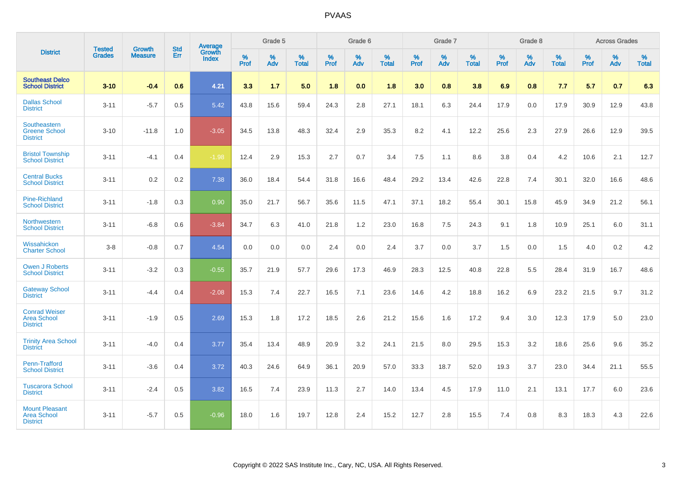|                                                                |                                |                          | <b>Std</b> | Average                |           | Grade 5  |                   |           | Grade 6  |                   |           | Grade 7  |                   |           | Grade 8  |                   |           | <b>Across Grades</b> |                   |
|----------------------------------------------------------------|--------------------------------|--------------------------|------------|------------------------|-----------|----------|-------------------|-----------|----------|-------------------|-----------|----------|-------------------|-----------|----------|-------------------|-----------|----------------------|-------------------|
| <b>District</b>                                                | <b>Tested</b><br><b>Grades</b> | Growth<br><b>Measure</b> | Err        | Growth<br><b>Index</b> | %<br>Prof | %<br>Adv | %<br><b>Total</b> | %<br>Prof | %<br>Adv | %<br><b>Total</b> | %<br>Prof | %<br>Adv | %<br><b>Total</b> | %<br>Prof | %<br>Adv | %<br><b>Total</b> | %<br>Prof | %<br>Adv             | %<br><b>Total</b> |
| <b>Southeast Delco</b><br><b>School District</b>               | $3 - 10$                       | $-0.4$                   | 0.6        | 4.21                   | 3.3       | 1.7      | 5.0               | 1.8       | 0.0      | 1.8               | 3.0       | 0.8      | 3.8               | 6.9       | 0.8      | 7.7               | 5.7       | 0.7                  | 6.3               |
| <b>Dallas School</b><br><b>District</b>                        | $3 - 11$                       | $-5.7$                   | 0.5        | 5.42                   | 43.8      | 15.6     | 59.4              | 24.3      | 2.8      | 27.1              | 18.1      | 6.3      | 24.4              | 17.9      | 0.0      | 17.9              | 30.9      | 12.9                 | 43.8              |
| Southeastern<br><b>Greene School</b><br><b>District</b>        | $3 - 10$                       | $-11.8$                  | 1.0        | $-3.05$                | 34.5      | 13.8     | 48.3              | 32.4      | 2.9      | 35.3              | 8.2       | 4.1      | 12.2              | 25.6      | 2.3      | 27.9              | 26.6      | 12.9                 | 39.5              |
| <b>Bristol Township</b><br><b>School District</b>              | $3 - 11$                       | $-4.1$                   | 0.4        | $-1.98$                | 12.4      | 2.9      | 15.3              | 2.7       | 0.7      | 3.4               | 7.5       | 1.1      | 8.6               | 3.8       | 0.4      | 4.2               | 10.6      | 2.1                  | 12.7              |
| <b>Central Bucks</b><br><b>School District</b>                 | $3 - 11$                       | 0.2                      | 0.2        | 7.38                   | 36.0      | 18.4     | 54.4              | 31.8      | 16.6     | 48.4              | 29.2      | 13.4     | 42.6              | 22.8      | 7.4      | 30.1              | 32.0      | 16.6                 | 48.6              |
| <b>Pine-Richland</b><br><b>School District</b>                 | $3 - 11$                       | $-1.8$                   | 0.3        | 0.90                   | 35.0      | 21.7     | 56.7              | 35.6      | 11.5     | 47.1              | 37.1      | 18.2     | 55.4              | 30.1      | 15.8     | 45.9              | 34.9      | 21.2                 | 56.1              |
| Northwestern<br><b>School District</b>                         | $3 - 11$                       | $-6.8$                   | 0.6        | $-3.84$                | 34.7      | 6.3      | 41.0              | 21.8      | 1.2      | 23.0              | 16.8      | $7.5\,$  | 24.3              | 9.1       | 1.8      | 10.9              | 25.1      | $6.0\,$              | 31.1              |
| Wissahickon<br><b>Charter School</b>                           | $3-8$                          | $-0.8$                   | 0.7        | 4.54                   | 0.0       | 0.0      | 0.0               | 2.4       | $0.0\,$  | 2.4               | 3.7       | $0.0\,$  | 3.7               | 1.5       | $0.0\,$  | 1.5               | 4.0       | $0.2\,$              | $4.2\,$           |
| <b>Owen J Roberts</b><br><b>School District</b>                | $3 - 11$                       | $-3.2$                   | 0.3        | $-0.55$                | 35.7      | 21.9     | 57.7              | 29.6      | 17.3     | 46.9              | 28.3      | 12.5     | 40.8              | 22.8      | 5.5      | 28.4              | 31.9      | 16.7                 | 48.6              |
| <b>Gateway School</b><br><b>District</b>                       | $3 - 11$                       | $-4.4$                   | 0.4        | $-2.08$                | 15.3      | 7.4      | 22.7              | 16.5      | 7.1      | 23.6              | 14.6      | 4.2      | 18.8              | 16.2      | 6.9      | 23.2              | 21.5      | 9.7                  | 31.2              |
| <b>Conrad Weiser</b><br><b>Area School</b><br><b>District</b>  | $3 - 11$                       | $-1.9$                   | 0.5        | 2.69                   | 15.3      | 1.8      | 17.2              | 18.5      | 2.6      | 21.2              | 15.6      | 1.6      | 17.2              | 9.4       | 3.0      | 12.3              | 17.9      | 5.0                  | 23.0              |
| <b>Trinity Area School</b><br><b>District</b>                  | $3 - 11$                       | $-4.0$                   | 0.4        | 3.77                   | 35.4      | 13.4     | 48.9              | 20.9      | 3.2      | 24.1              | 21.5      | 8.0      | 29.5              | 15.3      | 3.2      | 18.6              | 25.6      | 9.6                  | 35.2              |
| <b>Penn-Trafford</b><br><b>School District</b>                 | $3 - 11$                       | $-3.6$                   | 0.4        | 3.72                   | 40.3      | 24.6     | 64.9              | 36.1      | 20.9     | 57.0              | 33.3      | 18.7     | 52.0              | 19.3      | 3.7      | 23.0              | 34.4      | 21.1                 | 55.5              |
| <b>Tuscarora School</b><br><b>District</b>                     | $3 - 11$                       | $-2.4$                   | 0.5        | 3.82                   | 16.5      | 7.4      | 23.9              | 11.3      | 2.7      | 14.0              | 13.4      | 4.5      | 17.9              | 11.0      | 2.1      | 13.1              | 17.7      | 6.0                  | 23.6              |
| <b>Mount Pleasant</b><br><b>Area School</b><br><b>District</b> | $3 - 11$                       | $-5.7$                   | 0.5        | $-0.96$                | 18.0      | 1.6      | 19.7              | 12.8      | 2.4      | 15.2              | 12.7      | 2.8      | 15.5              | 7.4       | 0.8      | 8.3               | 18.3      | 4.3                  | 22.6              |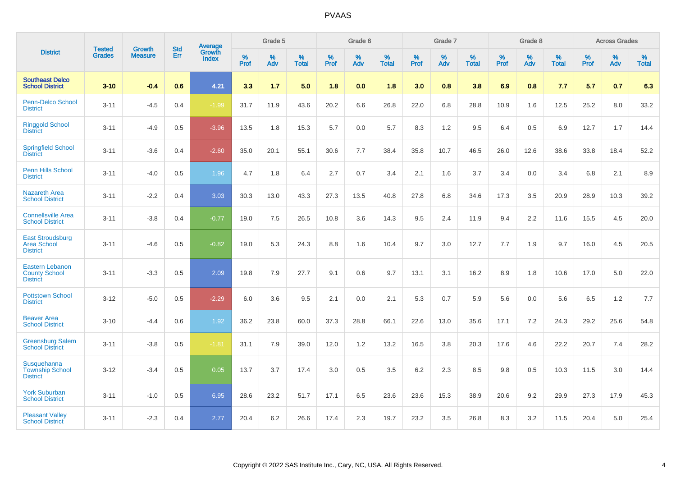|                                                                   |                                | <b>Growth</b>  | <b>Std</b> | Average                       |           | Grade 5  |                   |           | Grade 6  |                   |           | Grade 7  |                   |           | Grade 8  |                   |           | <b>Across Grades</b> |                   |
|-------------------------------------------------------------------|--------------------------------|----------------|------------|-------------------------------|-----------|----------|-------------------|-----------|----------|-------------------|-----------|----------|-------------------|-----------|----------|-------------------|-----------|----------------------|-------------------|
| <b>District</b>                                                   | <b>Tested</b><br><b>Grades</b> | <b>Measure</b> | Err        | <b>Growth</b><br><b>Index</b> | %<br>Prof | %<br>Adv | %<br><b>Total</b> | %<br>Prof | %<br>Adv | %<br><b>Total</b> | %<br>Prof | %<br>Adv | %<br><b>Total</b> | %<br>Prof | %<br>Adv | %<br><b>Total</b> | %<br>Prof | %<br>Adv             | %<br><b>Total</b> |
| <b>Southeast Delco</b><br><b>School District</b>                  | $3 - 10$                       | $-0.4$         | 0.6        | 4.21                          | 3.3       | 1.7      | 5.0               | 1.8       | 0.0      | 1.8               | 3.0       | 0.8      | 3.8               | 6.9       | 0.8      | 7.7               | 5.7       | 0.7                  | 6.3               |
| Penn-Delco School<br><b>District</b>                              | $3 - 11$                       | $-4.5$         | 0.4        | $-1.99$                       | 31.7      | 11.9     | 43.6              | 20.2      | 6.6      | 26.8              | 22.0      | 6.8      | 28.8              | 10.9      | 1.6      | 12.5              | 25.2      | 8.0                  | 33.2              |
| <b>Ringgold School</b><br><b>District</b>                         | $3 - 11$                       | $-4.9$         | 0.5        | $-3.96$                       | 13.5      | 1.8      | 15.3              | 5.7       | 0.0      | 5.7               | 8.3       | 1.2      | 9.5               | 6.4       | 0.5      | 6.9               | 12.7      | 1.7                  | 14.4              |
| <b>Springfield School</b><br><b>District</b>                      | $3 - 11$                       | $-3.6$         | 0.4        | $-2.60$                       | 35.0      | 20.1     | 55.1              | 30.6      | 7.7      | 38.4              | 35.8      | 10.7     | 46.5              | 26.0      | 12.6     | 38.6              | 33.8      | 18.4                 | 52.2              |
| <b>Penn Hills School</b><br><b>District</b>                       | $3 - 11$                       | $-4.0$         | 0.5        | 1.96                          | 4.7       | 1.8      | 6.4               | 2.7       | 0.7      | 3.4               | 2.1       | 1.6      | 3.7               | 3.4       | 0.0      | 3.4               | 6.8       | 2.1                  | 8.9               |
| <b>Nazareth Area</b><br><b>School District</b>                    | $3 - 11$                       | $-2.2$         | 0.4        | 3.03                          | 30.3      | 13.0     | 43.3              | 27.3      | 13.5     | 40.8              | 27.8      | 6.8      | 34.6              | 17.3      | 3.5      | 20.9              | 28.9      | 10.3                 | 39.2              |
| <b>Connellsville Area</b><br><b>School District</b>               | $3 - 11$                       | $-3.8$         | 0.4        | $-0.77$                       | 19.0      | 7.5      | 26.5              | 10.8      | 3.6      | 14.3              | 9.5       | 2.4      | 11.9              | 9.4       | 2.2      | 11.6              | 15.5      | 4.5                  | 20.0              |
| <b>East Stroudsburg</b><br><b>Area School</b><br><b>District</b>  | $3 - 11$                       | $-4.6$         | 0.5        | $-0.82$                       | 19.0      | 5.3      | 24.3              | 8.8       | 1.6      | 10.4              | 9.7       | 3.0      | 12.7              | 7.7       | 1.9      | 9.7               | 16.0      | 4.5                  | 20.5              |
| <b>Eastern Lebanon</b><br><b>County School</b><br><b>District</b> | $3 - 11$                       | $-3.3$         | 0.5        | 2.09                          | 19.8      | 7.9      | 27.7              | 9.1       | 0.6      | 9.7               | 13.1      | 3.1      | 16.2              | 8.9       | 1.8      | 10.6              | 17.0      | 5.0                  | 22.0              |
| <b>Pottstown School</b><br><b>District</b>                        | $3 - 12$                       | $-5.0$         | 0.5        | $-2.29$                       | 6.0       | 3.6      | 9.5               | 2.1       | 0.0      | 2.1               | 5.3       | 0.7      | 5.9               | 5.6       | 0.0      | 5.6               | 6.5       | 1.2                  | 7.7               |
| <b>Beaver Area</b><br><b>School District</b>                      | $3 - 10$                       | $-4.4$         | 0.6        | 1.92                          | 36.2      | 23.8     | 60.0              | 37.3      | 28.8     | 66.1              | 22.6      | 13.0     | 35.6              | 17.1      | 7.2      | 24.3              | 29.2      | 25.6                 | 54.8              |
| <b>Greensburg Salem</b><br><b>School District</b>                 | $3 - 11$                       | $-3.8$         | 0.5        | $-1.81$                       | 31.1      | 7.9      | 39.0              | 12.0      | 1.2      | 13.2              | 16.5      | 3.8      | 20.3              | 17.6      | 4.6      | 22.2              | 20.7      | 7.4                  | 28.2              |
| Susquehanna<br><b>Township School</b><br><b>District</b>          | $3 - 12$                       | $-3.4$         | 0.5        | 0.05                          | 13.7      | 3.7      | 17.4              | 3.0       | 0.5      | 3.5               | 6.2       | 2.3      | 8.5               | 9.8       | 0.5      | 10.3              | 11.5      | 3.0                  | 14.4              |
| <b>York Suburban</b><br><b>School District</b>                    | $3 - 11$                       | $-1.0$         | 0.5        | 6.95                          | 28.6      | 23.2     | 51.7              | 17.1      | 6.5      | 23.6              | 23.6      | 15.3     | 38.9              | 20.6      | 9.2      | 29.9              | 27.3      | 17.9                 | 45.3              |
| <b>Pleasant Valley</b><br><b>School District</b>                  | $3 - 11$                       | $-2.3$         | 0.4        | 2.77                          | 20.4      | 6.2      | 26.6              | 17.4      | 2.3      | 19.7              | 23.2      | 3.5      | 26.8              | 8.3       | 3.2      | 11.5              | 20.4      | 5.0                  | 25.4              |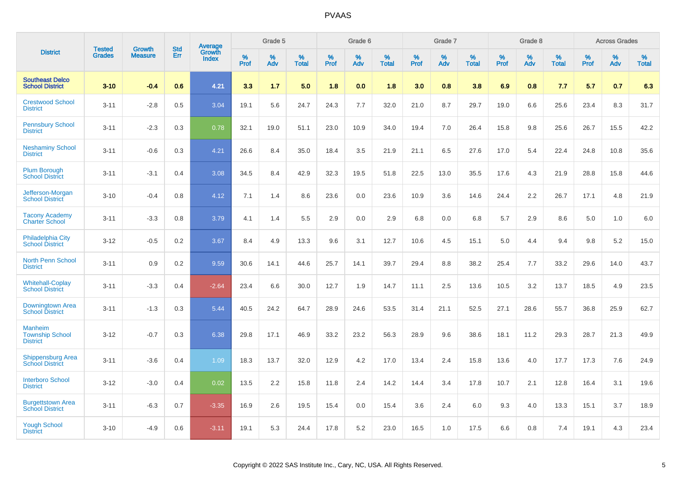|                                                             | <b>Tested</b> | <b>Growth</b>  | <b>Std</b> | Average                |              | Grade 5  |                      |              | Grade 6     |                      |              | Grade 7  |                      |              | Grade 8     |                      |              | <b>Across Grades</b> |                      |
|-------------------------------------------------------------|---------------|----------------|------------|------------------------|--------------|----------|----------------------|--------------|-------------|----------------------|--------------|----------|----------------------|--------------|-------------|----------------------|--------------|----------------------|----------------------|
| <b>District</b>                                             | <b>Grades</b> | <b>Measure</b> | Err        | Growth<br><b>Index</b> | $\%$<br>Prof | %<br>Adv | $\%$<br><b>Total</b> | $\%$<br>Prof | $\%$<br>Adv | $\%$<br><b>Total</b> | $\%$<br>Prof | %<br>Adv | $\%$<br><b>Total</b> | $\%$<br>Prof | $\%$<br>Adv | $\%$<br><b>Total</b> | $\%$<br>Prof | $\%$<br>Adv          | $\%$<br><b>Total</b> |
| <b>Southeast Delco</b><br><b>School District</b>            | $3 - 10$      | $-0.4$         | 0.6        | 4.21                   | 3.3          | 1.7      | 5.0                  | 1.8          | 0.0         | 1.8                  | 3.0          | 0.8      | 3.8                  | 6.9          | 0.8         | 7.7                  | 5.7          | 0.7                  | 6.3                  |
| <b>Crestwood School</b><br><b>District</b>                  | $3 - 11$      | $-2.8$         | 0.5        | 3.04                   | 19.1         | 5.6      | 24.7                 | 24.3         | 7.7         | 32.0                 | 21.0         | 8.7      | 29.7                 | 19.0         | 6.6         | 25.6                 | 23.4         | 8.3                  | 31.7                 |
| <b>Pennsbury School</b><br><b>District</b>                  | $3 - 11$      | $-2.3$         | 0.3        | 0.78                   | 32.1         | 19.0     | 51.1                 | 23.0         | 10.9        | 34.0                 | 19.4         | 7.0      | 26.4                 | 15.8         | 9.8         | 25.6                 | 26.7         | 15.5                 | 42.2                 |
| <b>Neshaminy School</b><br><b>District</b>                  | $3 - 11$      | $-0.6$         | 0.3        | 4.21                   | 26.6         | 8.4      | 35.0                 | 18.4         | 3.5         | 21.9                 | 21.1         | 6.5      | 27.6                 | 17.0         | 5.4         | 22.4                 | 24.8         | 10.8                 | 35.6                 |
| <b>Plum Borough</b><br><b>School District</b>               | $3 - 11$      | $-3.1$         | 0.4        | 3.08                   | 34.5         | 8.4      | 42.9                 | 32.3         | 19.5        | 51.8                 | 22.5         | 13.0     | 35.5                 | 17.6         | 4.3         | 21.9                 | 28.8         | 15.8                 | 44.6                 |
| Jefferson-Morgan<br><b>School District</b>                  | $3 - 10$      | $-0.4$         | 0.8        | 4.12                   | 7.1          | 1.4      | 8.6                  | 23.6         | 0.0         | 23.6                 | 10.9         | 3.6      | 14.6                 | 24.4         | 2.2         | 26.7                 | 17.1         | 4.8                  | 21.9                 |
| <b>Tacony Academy</b><br><b>Charter School</b>              | $3 - 11$      | $-3.3$         | 0.8        | 3.79                   | 4.1          | 1.4      | 5.5                  | 2.9          | 0.0         | 2.9                  | 6.8          | 0.0      | 6.8                  | 5.7          | 2.9         | 8.6                  | 5.0          | 1.0                  | 6.0                  |
| <b>Philadelphia City</b><br><b>School District</b>          | $3 - 12$      | $-0.5$         | 0.2        | 3.67                   | 8.4          | 4.9      | 13.3                 | 9.6          | 3.1         | 12.7                 | 10.6         | 4.5      | 15.1                 | 5.0          | 4.4         | 9.4                  | 9.8          | 5.2                  | 15.0                 |
| <b>North Penn School</b><br><b>District</b>                 | $3 - 11$      | 0.9            | 0.2        | 9.59                   | 30.6         | 14.1     | 44.6                 | 25.7         | 14.1        | 39.7                 | 29.4         | 8.8      | 38.2                 | 25.4         | 7.7         | 33.2                 | 29.6         | 14.0                 | 43.7                 |
| <b>Whitehall-Coplay</b><br><b>School District</b>           | $3 - 11$      | $-3.3$         | 0.4        | $-2.64$                | 23.4         | 6.6      | 30.0                 | 12.7         | 1.9         | 14.7                 | 11.1         | 2.5      | 13.6                 | 10.5         | 3.2         | 13.7                 | 18.5         | 4.9                  | 23.5                 |
| Downingtown Area<br><b>School District</b>                  | $3 - 11$      | $-1.3$         | 0.3        | 5.44                   | 40.5         | 24.2     | 64.7                 | 28.9         | 24.6        | 53.5                 | 31.4         | 21.1     | 52.5                 | 27.1         | 28.6        | 55.7                 | 36.8         | 25.9                 | 62.7                 |
| <b>Manheim</b><br><b>Township School</b><br><b>District</b> | $3 - 12$      | $-0.7$         | 0.3        | 6.38                   | 29.8         | 17.1     | 46.9                 | 33.2         | 23.2        | 56.3                 | 28.9         | 9.6      | 38.6                 | 18.1         | 11.2        | 29.3                 | 28.7         | 21.3                 | 49.9                 |
| <b>Shippensburg Area</b><br><b>School District</b>          | $3 - 11$      | $-3.6$         | 0.4        | 1.09                   | 18.3         | 13.7     | 32.0                 | 12.9         | 4.2         | 17.0                 | 13.4         | 2.4      | 15.8                 | 13.6         | 4.0         | 17.7                 | 17.3         | 7.6                  | 24.9                 |
| <b>Interboro School</b><br><b>District</b>                  | $3 - 12$      | $-3.0$         | 0.4        | 0.02                   | 13.5         | 2.2      | 15.8                 | 11.8         | 2.4         | 14.2                 | 14.4         | 3.4      | 17.8                 | 10.7         | 2.1         | 12.8                 | 16.4         | 3.1                  | 19.6                 |
| <b>Burgettstown Area</b><br><b>School District</b>          | $3 - 11$      | $-6.3$         | 0.7        | $-3.35$                | 16.9         | 2.6      | 19.5                 | 15.4         | 0.0         | 15.4                 | 3.6          | 2.4      | 6.0                  | 9.3          | 4.0         | 13.3                 | 15.1         | 3.7                  | 18.9                 |
| <b>Yough School</b><br><b>District</b>                      | $3 - 10$      | $-4.9$         | 0.6        | $-3.11$                | 19.1         | 5.3      | 24.4                 | 17.8         | 5.2         | 23.0                 | 16.5         | 1.0      | 17.5                 | 6.6          | 0.8         | 7.4                  | 19.1         | 4.3                  | 23.4                 |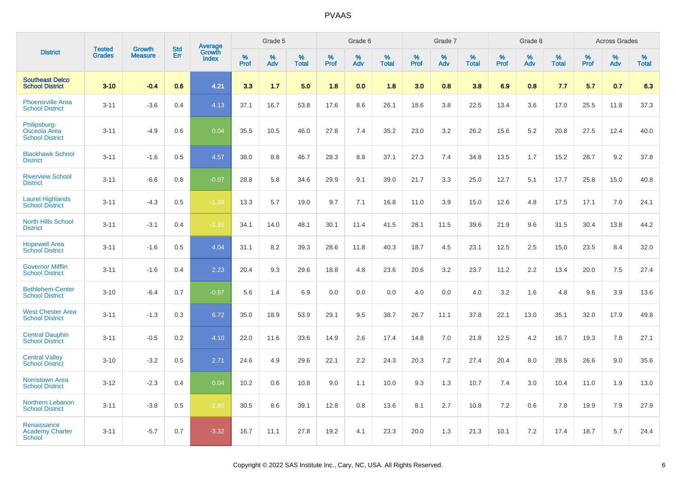|                                                        | <b>Tested</b> | <b>Growth</b>  | <b>Std</b> | Average                |              | Grade 5  |                   |              | Grade 6  |                   |              | Grade 7  |                   |              | Grade 8  |                   |              | <b>Across Grades</b> |                   |
|--------------------------------------------------------|---------------|----------------|------------|------------------------|--------------|----------|-------------------|--------------|----------|-------------------|--------------|----------|-------------------|--------------|----------|-------------------|--------------|----------------------|-------------------|
| <b>District</b>                                        | <b>Grades</b> | <b>Measure</b> | Err        | Growth<br><b>Index</b> | $\%$<br>Prof | %<br>Adv | %<br><b>Total</b> | $\%$<br>Prof | %<br>Adv | %<br><b>Total</b> | $\%$<br>Prof | %<br>Adv | %<br><b>Total</b> | $\%$<br>Prof | %<br>Adv | %<br><b>Total</b> | $\%$<br>Prof | %<br>Adv             | %<br><b>Total</b> |
| <b>Southeast Delco</b><br><b>School District</b>       | $3 - 10$      | $-0.4$         | 0.6        | 4.21                   | 3.3          | 1.7      | 5.0               | 1.8          | 0.0      | 1.8               | 3.0          | 0.8      | 3.8               | 6.9          | 0.8      | 7.7               | 5.7          | 0.7                  | 6.3               |
| <b>Phoenixville Area</b><br><b>School District</b>     | $3 - 11$      | $-3.6$         | 0.4        | 4.13                   | 37.1         | 16.7     | 53.8              | 17.6         | 8.6      | 26.1              | 18.6         | 3.8      | 22.5              | 13.4         | 3.6      | 17.0              | 25.5         | 11.8                 | 37.3              |
| Philipsburg-<br>Osceola Area<br><b>School District</b> | $3 - 11$      | $-4.9$         | 0.6        | 0.04                   | 35.5         | 10.5     | 46.0              | 27.8         | 7.4      | 35.2              | 23.0         | 3.2      | 26.2              | 15.6         | 5.2      | 20.8              | 27.5         | 12.4                 | 40.0              |
| <b>Blackhawk School</b><br><b>District</b>             | $3 - 11$      | $-1.6$         | 0.5        | 4.57                   | 38.0         | 8.8      | 46.7              | 28.3         | 8.8      | 37.1              | 27.3         | 7.4      | 34.8              | 13.5         | 1.7      | 15.2              | 28.7         | 9.2                  | 37.8              |
| <b>Riverview School</b><br><b>District</b>             | $3 - 11$      | $-6.6$         | 0.8        | $-0.07$                | 28.8         | 5.8      | 34.6              | 29.9         | 9.1      | 39.0              | 21.7         | 3.3      | 25.0              | 12.7         | 5.1      | 17.7              | 25.8         | 15.0                 | 40.8              |
| <b>Laurel Highlands</b><br><b>School District</b>      | $3 - 11$      | $-4.3$         | 0.5        | $-1.98$                | 13.3         | 5.7      | 19.0              | 9.7          | 7.1      | 16.8              | 11.0         | 3.9      | 15.0              | 12.6         | 4.8      | 17.5              | 17.1         | 7.0                  | 24.1              |
| <b>North Hills School</b><br><b>District</b>           | $3 - 11$      | $-3.1$         | 0.4        | $-1.31$                | 34.1         | 14.0     | 48.1              | 30.1         | 11.4     | 41.5              | 28.1         | 11.5     | 39.6              | 21.9         | 9.6      | 31.5              | 30.4         | 13.8                 | 44.2              |
| <b>Hopewell Area</b><br><b>School District</b>         | $3 - 11$      | $-1.6$         | 0.5        | 4.04                   | 31.1         | 8.2      | 39.3              | 28.6         | 11.8     | 40.3              | 18.7         | 4.5      | 23.1              | 12.5         | 2.5      | 15.0              | 23.5         | 8.4                  | 32.0              |
| <b>Governor Mifflin</b><br><b>School District</b>      | $3 - 11$      | $-1.6$         | 0.4        | 2.23                   | 20.4         | 9.3      | 29.6              | 18.8         | 4.8      | 23.6              | 20.6         | 3.2      | 23.7              | 11.2         | 2.2      | 13.4              | 20.0         | 7.5                  | 27.4              |
| <b>Bethlehem-Center</b><br><b>School District</b>      | $3 - 10$      | $-6.4$         | 0.7        | $-0.87$                | 5.6          | 1.4      | 6.9               | 0.0          | 0.0      | 0.0               | 4.0          | 0.0      | 4.0               | 3.2          | 1.6      | 4.8               | 9.6          | 3.9                  | 13.6              |
| <b>West Chester Area</b><br><b>School District</b>     | $3 - 11$      | $-1.3$         | 0.3        | 6.72                   | 35.0         | 18.9     | 53.9              | 29.1         | 9.5      | 38.7              | 26.7         | 11.1     | 37.8              | 22.1         | 13.0     | 35.1              | 32.0         | 17.9                 | 49.8              |
| <b>Central Dauphin</b><br><b>School District</b>       | $3 - 11$      | $-0.5$         | 0.2        | 4.10                   | 22.0         | 11.6     | 33.6              | 14.9         | 2.6      | 17.4              | 14.8         | 7.0      | 21.8              | 12.5         | 4.2      | 16.7              | 19.3         | 7.8                  | 27.1              |
| <b>Central Valley</b><br><b>School District</b>        | $3 - 10$      | $-3.2$         | 0.5        | 2.71                   | 24.6         | 4.9      | 29.6              | 22.1         | 2.2      | 24.3              | 20.3         | 7.2      | 27.4              | 20.4         | 8.0      | 28.5              | 26.6         | 9.0                  | 35.6              |
| <b>Norristown Area</b><br><b>School District</b>       | $3 - 12$      | $-2.3$         | 0.4        | 0.04                   | 10.2         | 0.6      | 10.8              | 9.0          | 1.1      | 10.0              | 9.3          | 1.3      | 10.7              | 7.4          | 3.0      | 10.4              | 11.0         | 1.9                  | 13.0              |
| Northern Lebanon<br><b>School District</b>             | $3 - 11$      | $-3.8$         | 0.5        | $-1.80$                | 30.5         | 8.6      | 39.1              | 12.8         | 0.8      | 13.6              | 8.1          | 2.7      | 10.8              | 7.2          | 0.6      | 7.8               | 19.9         | 7.9                  | 27.9              |
| Renaissance<br><b>Academy Charter</b><br>School        | $3 - 11$      | $-5.7$         | 0.7        | $-3.32$                | 16.7         | 11.1     | 27.8              | 19.2         | 4.1      | 23.3              | 20.0         | 1.3      | 21.3              | 10.1         | 7.2      | 17.4              | 18.7         | 5.7                  | 24.4              |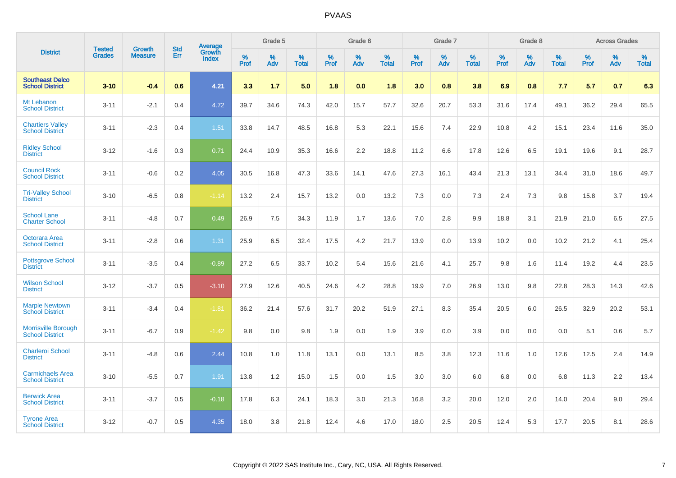|                                                      |                                |                                 | <b>Std</b> | <b>Average</b>         |           | Grade 5  |                   |           | Grade 6  |                   |           | Grade 7  |                   |           | Grade 8  |                   |           | <b>Across Grades</b> |            |
|------------------------------------------------------|--------------------------------|---------------------------------|------------|------------------------|-----------|----------|-------------------|-----------|----------|-------------------|-----------|----------|-------------------|-----------|----------|-------------------|-----------|----------------------|------------|
| <b>District</b>                                      | <b>Tested</b><br><b>Grades</b> | <b>Growth</b><br><b>Measure</b> | Err        | Growth<br><b>Index</b> | %<br>Prof | %<br>Adv | %<br><b>Total</b> | %<br>Prof | %<br>Adv | %<br><b>Total</b> | %<br>Prof | %<br>Adv | %<br><b>Total</b> | %<br>Prof | %<br>Adv | %<br><b>Total</b> | %<br>Prof | %<br>Adv             | %<br>Total |
| <b>Southeast Delco</b><br><b>School District</b>     | $3 - 10$                       | $-0.4$                          | 0.6        | 4.21                   | 3.3       | 1.7      | 5.0               | 1.8       | 0.0      | 1.8               | 3.0       | 0.8      | 3.8               | 6.9       | 0.8      | 7.7               | 5.7       | 0.7                  | 6.3        |
| Mt Lebanon<br><b>School District</b>                 | $3 - 11$                       | $-2.1$                          | 0.4        | 4.72                   | 39.7      | 34.6     | 74.3              | 42.0      | 15.7     | 57.7              | 32.6      | 20.7     | 53.3              | 31.6      | 17.4     | 49.1              | 36.2      | 29.4                 | 65.5       |
| <b>Chartiers Valley</b><br><b>School District</b>    | $3 - 11$                       | $-2.3$                          | 0.4        | 1.51                   | 33.8      | 14.7     | 48.5              | 16.8      | 5.3      | 22.1              | 15.6      | 7.4      | 22.9              | 10.8      | 4.2      | 15.1              | 23.4      | 11.6                 | 35.0       |
| <b>Ridley School</b><br><b>District</b>              | $3 - 12$                       | $-1.6$                          | 0.3        | 0.71                   | 24.4      | 10.9     | 35.3              | 16.6      | 2.2      | 18.8              | 11.2      | 6.6      | 17.8              | 12.6      | 6.5      | 19.1              | 19.6      | 9.1                  | 28.7       |
| <b>Council Rock</b><br><b>School District</b>        | $3 - 11$                       | $-0.6$                          | 0.2        | 4.05                   | 30.5      | 16.8     | 47.3              | 33.6      | 14.1     | 47.6              | 27.3      | 16.1     | 43.4              | 21.3      | 13.1     | 34.4              | 31.0      | 18.6                 | 49.7       |
| <b>Tri-Valley School</b><br><b>District</b>          | $3 - 10$                       | $-6.5$                          | 0.8        | $-1.14$                | 13.2      | 2.4      | 15.7              | 13.2      | 0.0      | 13.2              | 7.3       | 0.0      | 7.3               | 2.4       | 7.3      | 9.8               | 15.8      | 3.7                  | 19.4       |
| <b>School Lane</b><br><b>Charter School</b>          | $3 - 11$                       | $-4.8$                          | 0.7        | 0.49                   | 26.9      | 7.5      | 34.3              | 11.9      | 1.7      | 13.6              | 7.0       | 2.8      | 9.9               | 18.8      | 3.1      | 21.9              | 21.0      | 6.5                  | 27.5       |
| Octorara Area<br><b>School District</b>              | $3 - 11$                       | $-2.8$                          | 0.6        | 1.31                   | 25.9      | 6.5      | 32.4              | 17.5      | 4.2      | 21.7              | 13.9      | 0.0      | 13.9              | 10.2      | 0.0      | 10.2              | 21.2      | 4.1                  | 25.4       |
| <b>Pottsgrove School</b><br><b>District</b>          | $3 - 11$                       | $-3.5$                          | 0.4        | $-0.89$                | 27.2      | 6.5      | 33.7              | 10.2      | 5.4      | 15.6              | 21.6      | 4.1      | 25.7              | 9.8       | 1.6      | 11.4              | 19.2      | 4.4                  | 23.5       |
| <b>Wilson School</b><br><b>District</b>              | $3 - 12$                       | $-3.7$                          | 0.5        | $-3.10$                | 27.9      | 12.6     | 40.5              | 24.6      | 4.2      | 28.8              | 19.9      | 7.0      | 26.9              | 13.0      | 9.8      | 22.8              | 28.3      | 14.3                 | 42.6       |
| <b>Marple Newtown</b><br><b>School District</b>      | $3 - 11$                       | $-3.4$                          | 0.4        | $-1.81$                | 36.2      | 21.4     | 57.6              | 31.7      | 20.2     | 51.9              | 27.1      | 8.3      | 35.4              | 20.5      | 6.0      | 26.5              | 32.9      | 20.2                 | 53.1       |
| <b>Morrisville Borough</b><br><b>School District</b> | $3 - 11$                       | $-6.7$                          | 0.9        | $-1.42$                | 9.8       | 0.0      | 9.8               | 1.9       | 0.0      | 1.9               | 3.9       | 0.0      | 3.9               | 0.0       | 0.0      | 0.0               | 5.1       | 0.6                  | 5.7        |
| Charleroi School<br><b>District</b>                  | $3 - 11$                       | $-4.8$                          | 0.6        | 2.44                   | 10.8      | 1.0      | 11.8              | 13.1      | 0.0      | 13.1              | 8.5       | 3.8      | 12.3              | 11.6      | 1.0      | 12.6              | 12.5      | 2.4                  | 14.9       |
| <b>Carmichaels Area</b><br><b>School District</b>    | $3 - 10$                       | $-5.5$                          | 0.7        | 1.91                   | 13.8      | 1.2      | 15.0              | 1.5       | 0.0      | 1.5               | 3.0       | 3.0      | 6.0               | 6.8       | 0.0      | 6.8               | 11.3      | 2.2                  | 13.4       |
| <b>Berwick Area</b><br><b>School District</b>        | $3 - 11$                       | $-3.7$                          | 0.5        | $-0.18$                | 17.8      | 6.3      | 24.1              | 18.3      | 3.0      | 21.3              | 16.8      | 3.2      | 20.0              | 12.0      | 2.0      | 14.0              | 20.4      | 9.0                  | 29.4       |
| <b>Tyrone Area</b><br><b>School District</b>         | $3 - 12$                       | $-0.7$                          | 0.5        | 4.35                   | 18.0      | 3.8      | 21.8              | 12.4      | 4.6      | 17.0              | 18.0      | 2.5      | 20.5              | 12.4      | 5.3      | 17.7              | 20.5      | 8.1                  | 28.6       |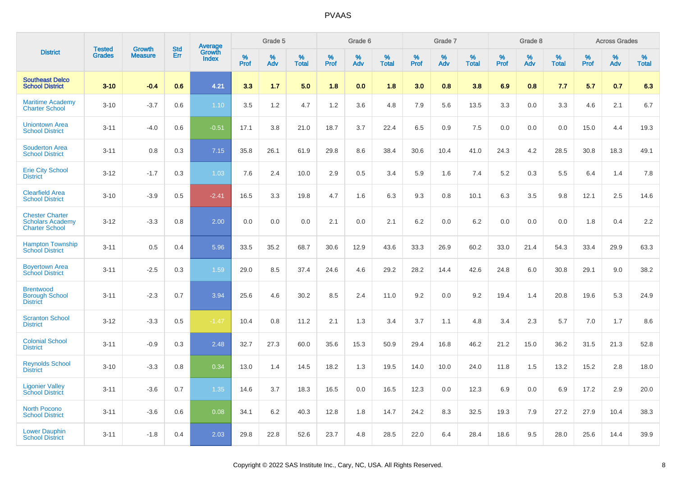|                                                                            | <b>Tested</b> | <b>Growth</b>  | <b>Std</b> | Average                |           | Grade 5  |                   |           | Grade 6  |                   |           | Grade 7  |                   |           | Grade 8  |                   |           | <b>Across Grades</b> |                   |
|----------------------------------------------------------------------------|---------------|----------------|------------|------------------------|-----------|----------|-------------------|-----------|----------|-------------------|-----------|----------|-------------------|-----------|----------|-------------------|-----------|----------------------|-------------------|
| <b>District</b>                                                            | <b>Grades</b> | <b>Measure</b> | Err        | Growth<br><b>Index</b> | %<br>Prof | %<br>Adv | %<br><b>Total</b> | %<br>Prof | %<br>Adv | %<br><b>Total</b> | %<br>Prof | %<br>Adv | %<br><b>Total</b> | %<br>Prof | %<br>Adv | %<br><b>Total</b> | %<br>Prof | %<br>Adv             | %<br><b>Total</b> |
| <b>Southeast Delco</b><br><b>School District</b>                           | $3 - 10$      | $-0.4$         | 0.6        | 4.21                   | 3.3       | 1.7      | 5.0               | 1.8       | 0.0      | 1.8               | 3.0       | 0.8      | 3.8               | 6.9       | 0.8      | 7.7               | 5.7       | 0.7                  | 6.3               |
| <b>Maritime Academy</b><br><b>Charter School</b>                           | $3 - 10$      | $-3.7$         | 0.6        | 1.10                   | 3.5       | 1.2      | 4.7               | 1.2       | 3.6      | 4.8               | 7.9       | 5.6      | 13.5              | 3.3       | 0.0      | 3.3               | 4.6       | 2.1                  | 6.7               |
| <b>Uniontown Area</b><br><b>School District</b>                            | $3 - 11$      | $-4.0$         | 0.6        | $-0.51$                | 17.1      | 3.8      | 21.0              | 18.7      | 3.7      | 22.4              | 6.5       | 0.9      | 7.5               | 0.0       | 0.0      | 0.0               | 15.0      | 4.4                  | 19.3              |
| <b>Souderton Area</b><br><b>School District</b>                            | $3 - 11$      | 0.8            | 0.3        | 7.15                   | 35.8      | 26.1     | 61.9              | 29.8      | 8.6      | 38.4              | 30.6      | 10.4     | 41.0              | 24.3      | 4.2      | 28.5              | 30.8      | 18.3                 | 49.1              |
| <b>Erie City School</b><br><b>District</b>                                 | $3 - 12$      | $-1.7$         | 0.3        | 1.03                   | 7.6       | 2.4      | 10.0              | 2.9       | 0.5      | 3.4               | 5.9       | 1.6      | 7.4               | 5.2       | 0.3      | 5.5               | 6.4       | 1.4                  | 7.8               |
| <b>Clearfield Area</b><br><b>School District</b>                           | $3 - 10$      | $-3.9$         | 0.5        | $-2.41$                | 16.5      | 3.3      | 19.8              | 4.7       | 1.6      | 6.3               | 9.3       | 0.8      | 10.1              | 6.3       | 3.5      | 9.8               | 12.1      | 2.5                  | 14.6              |
| <b>Chester Charter</b><br><b>Scholars Academy</b><br><b>Charter School</b> | $3 - 12$      | $-3.3$         | 0.8        | 2.00                   | 0.0       | 0.0      | 0.0               | 2.1       | 0.0      | 2.1               | 6.2       | 0.0      | 6.2               | 0.0       | 0.0      | 0.0               | 1.8       | 0.4                  | 2.2               |
| <b>Hampton Township</b><br><b>School District</b>                          | $3 - 11$      | 0.5            | 0.4        | 5.96                   | 33.5      | 35.2     | 68.7              | 30.6      | 12.9     | 43.6              | 33.3      | 26.9     | 60.2              | 33.0      | 21.4     | 54.3              | 33.4      | 29.9                 | 63.3              |
| <b>Boyertown Area</b><br><b>School District</b>                            | $3 - 11$      | $-2.5$         | 0.3        | 1.59                   | 29.0      | 8.5      | 37.4              | 24.6      | 4.6      | 29.2              | 28.2      | 14.4     | 42.6              | 24.8      | 6.0      | 30.8              | 29.1      | 9.0                  | 38.2              |
| <b>Brentwood</b><br><b>Borough School</b><br><b>District</b>               | $3 - 11$      | $-2.3$         | 0.7        | 3.94                   | 25.6      | 4.6      | 30.2              | 8.5       | 2.4      | 11.0              | 9.2       | 0.0      | 9.2               | 19.4      | 1.4      | 20.8              | 19.6      | 5.3                  | 24.9              |
| <b>Scranton School</b><br><b>District</b>                                  | $3 - 12$      | $-3.3$         | 0.5        | $-1.47$                | 10.4      | 0.8      | 11.2              | 2.1       | 1.3      | 3.4               | 3.7       | 1.1      | 4.8               | 3.4       | 2.3      | 5.7               | 7.0       | 1.7                  | 8.6               |
| <b>Colonial School</b><br><b>District</b>                                  | $3 - 11$      | $-0.9$         | 0.3        | 2.48                   | 32.7      | 27.3     | 60.0              | 35.6      | 15.3     | 50.9              | 29.4      | 16.8     | 46.2              | 21.2      | 15.0     | 36.2              | 31.5      | 21.3                 | 52.8              |
| <b>Reynolds School</b><br><b>District</b>                                  | $3 - 10$      | $-3.3$         | 0.8        | 0.34                   | 13.0      | 1.4      | 14.5              | 18.2      | 1.3      | 19.5              | 14.0      | 10.0     | 24.0              | 11.8      | 1.5      | 13.2              | 15.2      | 2.8                  | 18.0              |
| <b>Ligonier Valley</b><br><b>School District</b>                           | $3 - 11$      | $-3.6$         | 0.7        | 1.35                   | 14.6      | 3.7      | 18.3              | 16.5      | 0.0      | 16.5              | 12.3      | 0.0      | 12.3              | 6.9       | 0.0      | 6.9               | 17.2      | 2.9                  | 20.0              |
| <b>North Pocono</b><br><b>School District</b>                              | $3 - 11$      | $-3.6$         | 0.6        | 0.08                   | 34.1      | 6.2      | 40.3              | 12.8      | 1.8      | 14.7              | 24.2      | 8.3      | 32.5              | 19.3      | 7.9      | 27.2              | 27.9      | 10.4                 | 38.3              |
| <b>Lower Dauphin</b><br><b>School District</b>                             | $3 - 11$      | $-1.8$         | 0.4        | 2.03                   | 29.8      | 22.8     | 52.6              | 23.7      | 4.8      | 28.5              | 22.0      | 6.4      | 28.4              | 18.6      | 9.5      | 28.0              | 25.6      | 14.4                 | 39.9              |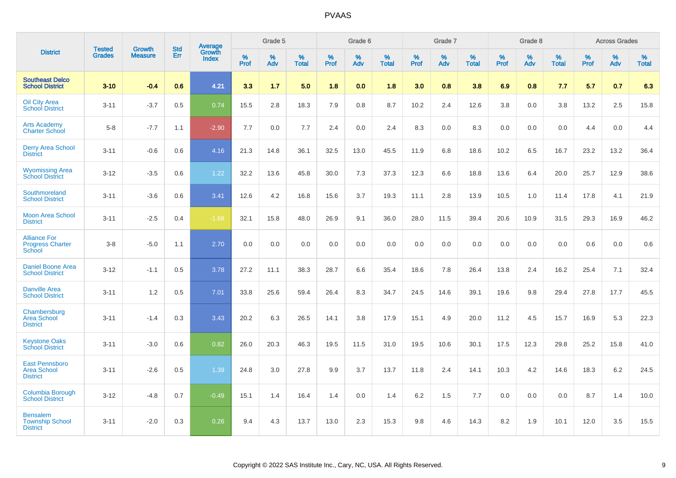|                                                                |                                |                                 | <b>Std</b> | Average                |           | Grade 5  |                   |           | Grade 6  |                   |           | Grade 7  |                      |           | Grade 8  |                   |           | <b>Across Grades</b> |                   |
|----------------------------------------------------------------|--------------------------------|---------------------------------|------------|------------------------|-----------|----------|-------------------|-----------|----------|-------------------|-----------|----------|----------------------|-----------|----------|-------------------|-----------|----------------------|-------------------|
| <b>District</b>                                                | <b>Tested</b><br><b>Grades</b> | <b>Growth</b><br><b>Measure</b> | Err        | Growth<br><b>Index</b> | %<br>Prof | %<br>Adv | %<br><b>Total</b> | %<br>Prof | %<br>Adv | %<br><b>Total</b> | %<br>Prof | %<br>Adv | $\%$<br><b>Total</b> | %<br>Prof | %<br>Adv | %<br><b>Total</b> | %<br>Prof | %<br>Adv             | %<br><b>Total</b> |
| <b>Southeast Delco</b><br><b>School District</b>               | $3 - 10$                       | $-0.4$                          | 0.6        | 4.21                   | 3.3       | 1.7      | 5.0               | 1.8       | 0.0      | 1.8               | 3.0       | 0.8      | 3.8                  | 6.9       | 0.8      | 7.7               | 5.7       | 0.7                  | 6.3               |
| <b>Oil City Area</b><br><b>School District</b>                 | $3 - 11$                       | $-3.7$                          | 0.5        | 0.74                   | 15.5      | 2.8      | 18.3              | 7.9       | 0.8      | 8.7               | 10.2      | 2.4      | 12.6                 | 3.8       | 0.0      | 3.8               | 13.2      | 2.5                  | 15.8              |
| <b>Arts Academy</b><br><b>Charter School</b>                   | $5 - 8$                        | $-7.7$                          | 1.1        | $-2.90$                | 7.7       | 0.0      | 7.7               | 2.4       | 0.0      | 2.4               | 8.3       | 0.0      | 8.3                  | 0.0       | 0.0      | 0.0               | 4.4       | 0.0                  | 4.4               |
| <b>Derry Area School</b><br><b>District</b>                    | $3 - 11$                       | $-0.6$                          | 0.6        | 4.16                   | 21.3      | 14.8     | 36.1              | 32.5      | 13.0     | 45.5              | 11.9      | 6.8      | 18.6                 | 10.2      | 6.5      | 16.7              | 23.2      | 13.2                 | 36.4              |
| <b>Wyomissing Area</b><br><b>School District</b>               | $3 - 12$                       | $-3.5$                          | 0.6        | 1.22                   | 32.2      | 13.6     | 45.8              | 30.0      | 7.3      | 37.3              | 12.3      | 6.6      | 18.8                 | 13.6      | 6.4      | 20.0              | 25.7      | 12.9                 | 38.6              |
| Southmoreland<br><b>School District</b>                        | $3 - 11$                       | $-3.6$                          | 0.6        | 3.41                   | 12.6      | 4.2      | 16.8              | 15.6      | 3.7      | 19.3              | 11.1      | 2.8      | 13.9                 | 10.5      | 1.0      | 11.4              | 17.8      | 4.1                  | 21.9              |
| <b>Moon Area School</b><br><b>District</b>                     | $3 - 11$                       | $-2.5$                          | 0.4        | $-1.68$                | 32.1      | 15.8     | 48.0              | 26.9      | 9.1      | 36.0              | 28.0      | 11.5     | 39.4                 | 20.6      | 10.9     | 31.5              | 29.3      | 16.9                 | 46.2              |
| <b>Alliance For</b><br><b>Progress Charter</b><br>School       | $3 - 8$                        | $-5.0$                          | 1.1        | 2.70                   | 0.0       | 0.0      | 0.0               | 0.0       | 0.0      | 0.0               | 0.0       | 0.0      | 0.0                  | 0.0       | 0.0      | 0.0               | 0.6       | 0.0                  | 0.6               |
| <b>Daniel Boone Area</b><br><b>School District</b>             | $3 - 12$                       | $-1.1$                          | 0.5        | 3.78                   | 27.2      | 11.1     | 38.3              | 28.7      | 6.6      | 35.4              | 18.6      | 7.8      | 26.4                 | 13.8      | 2.4      | 16.2              | 25.4      | 7.1                  | 32.4              |
| <b>Danville Area</b><br><b>School District</b>                 | $3 - 11$                       | 1.2                             | 0.5        | 7.01                   | 33.8      | 25.6     | 59.4              | 26.4      | 8.3      | 34.7              | 24.5      | 14.6     | 39.1                 | 19.6      | 9.8      | 29.4              | 27.8      | 17.7                 | 45.5              |
| Chambersburg<br><b>Area School</b><br><b>District</b>          | $3 - 11$                       | $-1.4$                          | 0.3        | 3.43                   | 20.2      | 6.3      | 26.5              | 14.1      | 3.8      | 17.9              | 15.1      | 4.9      | 20.0                 | 11.2      | 4.5      | 15.7              | 16.9      | 5.3                  | 22.3              |
| <b>Keystone Oaks</b><br><b>School District</b>                 | $3 - 11$                       | $-3.0$                          | 0.6        | 0.82                   | 26.0      | 20.3     | 46.3              | 19.5      | 11.5     | 31.0              | 19.5      | 10.6     | 30.1                 | 17.5      | 12.3     | 29.8              | 25.2      | 15.8                 | 41.0              |
| <b>East Pennsboro</b><br><b>Area School</b><br><b>District</b> | $3 - 11$                       | $-2.6$                          | 0.5        | 1.39                   | 24.8      | 3.0      | 27.8              | 9.9       | 3.7      | 13.7              | 11.8      | 2.4      | 14.1                 | 10.3      | 4.2      | 14.6              | 18.3      | $6.2\,$              | 24.5              |
| Columbia Borough<br><b>School District</b>                     | $3 - 12$                       | $-4.8$                          | 0.7        | $-0.49$                | 15.1      | 1.4      | 16.4              | 1.4       | 0.0      | 1.4               | 6.2       | 1.5      | 7.7                  | 0.0       | 0.0      | 0.0               | 8.7       | 1.4                  | 10.0              |
| <b>Bensalem</b><br><b>Township School</b><br><b>District</b>   | $3 - 11$                       | $-2.0$                          | 0.3        | 0.26                   | 9.4       | 4.3      | 13.7              | 13.0      | 2.3      | 15.3              | 9.8       | 4.6      | 14.3                 | 8.2       | 1.9      | 10.1              | 12.0      | 3.5                  | 15.5              |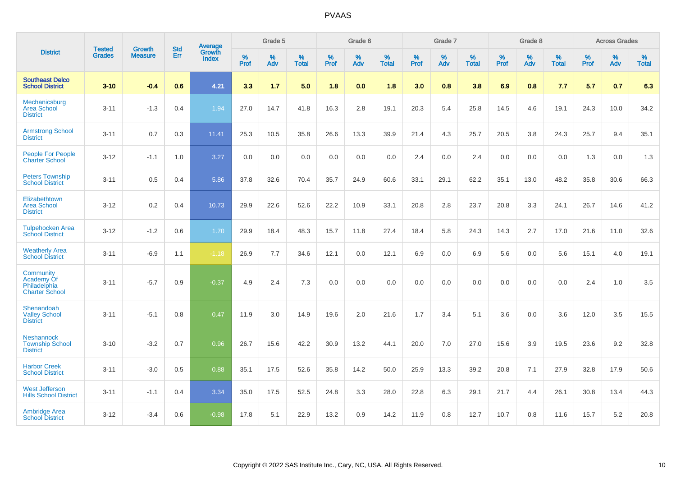|                                                                  | <b>Tested</b> |                          | <b>Std</b> | Average                |           | Grade 5  |                   |           | Grade 6  |                   |           | Grade 7  |                   |           | Grade 8  |                   |           | <b>Across Grades</b> |                   |
|------------------------------------------------------------------|---------------|--------------------------|------------|------------------------|-----------|----------|-------------------|-----------|----------|-------------------|-----------|----------|-------------------|-----------|----------|-------------------|-----------|----------------------|-------------------|
| <b>District</b>                                                  | <b>Grades</b> | Growth<br><b>Measure</b> | Err        | Growth<br><b>Index</b> | %<br>Prof | %<br>Adv | %<br><b>Total</b> | %<br>Prof | %<br>Adv | %<br><b>Total</b> | %<br>Prof | %<br>Adv | %<br><b>Total</b> | %<br>Prof | %<br>Adv | %<br><b>Total</b> | %<br>Prof | %<br>Adv             | %<br><b>Total</b> |
| <b>Southeast Delco</b><br><b>School District</b>                 | $3 - 10$      | $-0.4$                   | 0.6        | 4.21                   | 3.3       | 1.7      | 5.0               | 1.8       | 0.0      | 1.8               | 3.0       | 0.8      | 3.8               | 6.9       | 0.8      | 7.7               | 5.7       | 0.7                  | 6.3               |
| Mechanicsburg<br><b>Area School</b><br><b>District</b>           | $3 - 11$      | $-1.3$                   | 0.4        | 1.94                   | 27.0      | 14.7     | 41.8              | 16.3      | 2.8      | 19.1              | 20.3      | 5.4      | 25.8              | 14.5      | 4.6      | 19.1              | 24.3      | 10.0                 | 34.2              |
| <b>Armstrong School</b><br><b>District</b>                       | $3 - 11$      | 0.7                      | 0.3        | 11.41                  | 25.3      | 10.5     | 35.8              | 26.6      | 13.3     | 39.9              | 21.4      | 4.3      | 25.7              | 20.5      | 3.8      | 24.3              | 25.7      | 9.4                  | 35.1              |
| People For People<br><b>Charter School</b>                       | $3 - 12$      | $-1.1$                   | 1.0        | 3.27                   | 0.0       | 0.0      | 0.0               | 0.0       | 0.0      | 0.0               | 2.4       | 0.0      | 2.4               | 0.0       | 0.0      | 0.0               | 1.3       | 0.0                  | 1.3               |
| <b>Peters Township</b><br><b>School District</b>                 | $3 - 11$      | 0.5                      | 0.4        | 5.86                   | 37.8      | 32.6     | 70.4              | 35.7      | 24.9     | 60.6              | 33.1      | 29.1     | 62.2              | 35.1      | 13.0     | 48.2              | 35.8      | 30.6                 | 66.3              |
| Elizabethtown<br><b>Area School</b><br><b>District</b>           | $3 - 12$      | 0.2                      | 0.4        | 10.73                  | 29.9      | 22.6     | 52.6              | 22.2      | 10.9     | 33.1              | 20.8      | 2.8      | 23.7              | 20.8      | 3.3      | 24.1              | 26.7      | 14.6                 | 41.2              |
| <b>Tulpehocken Area</b><br><b>School District</b>                | $3 - 12$      | $-1.2$                   | 0.6        | 1.70                   | 29.9      | 18.4     | 48.3              | 15.7      | 11.8     | 27.4              | 18.4      | 5.8      | 24.3              | 14.3      | 2.7      | 17.0              | 21.6      | 11.0                 | 32.6              |
| <b>Weatherly Area</b><br><b>School District</b>                  | $3 - 11$      | $-6.9$                   | 1.1        | $-1.18$                | 26.9      | 7.7      | 34.6              | 12.1      | 0.0      | 12.1              | 6.9       | 0.0      | 6.9               | 5.6       | 0.0      | 5.6               | 15.1      | 4.0                  | 19.1              |
| Community<br>Academy Of<br>Philadelphia<br><b>Charter School</b> | $3 - 11$      | $-5.7$                   | 0.9        | $-0.37$                | 4.9       | 2.4      | 7.3               | 0.0       | 0.0      | 0.0               | 0.0       | 0.0      | 0.0               | 0.0       | 0.0      | 0.0               | 2.4       | 1.0                  | 3.5               |
| Shenandoah<br><b>Valley School</b><br><b>District</b>            | $3 - 11$      | $-5.1$                   | 0.8        | 0.47                   | 11.9      | 3.0      | 14.9              | 19.6      | 2.0      | 21.6              | 1.7       | 3.4      | 5.1               | 3.6       | 0.0      | 3.6               | 12.0      | 3.5                  | 15.5              |
| <b>Neshannock</b><br><b>Township School</b><br><b>District</b>   | $3 - 10$      | $-3.2$                   | 0.7        | 0.96                   | 26.7      | 15.6     | 42.2              | 30.9      | 13.2     | 44.1              | 20.0      | 7.0      | 27.0              | 15.6      | 3.9      | 19.5              | 23.6      | 9.2                  | 32.8              |
| <b>Harbor Creek</b><br><b>School District</b>                    | $3 - 11$      | $-3.0$                   | 0.5        | 0.88                   | 35.1      | 17.5     | 52.6              | 35.8      | 14.2     | 50.0              | 25.9      | 13.3     | 39.2              | 20.8      | 7.1      | 27.9              | 32.8      | 17.9                 | 50.6              |
| <b>West Jefferson</b><br><b>Hills School District</b>            | $3 - 11$      | $-1.1$                   | 0.4        | 3.34                   | 35.0      | 17.5     | 52.5              | 24.8      | 3.3      | 28.0              | 22.8      | 6.3      | 29.1              | 21.7      | 4.4      | 26.1              | 30.8      | 13.4                 | 44.3              |
| <b>Ambridge Area</b><br><b>School District</b>                   | $3 - 12$      | $-3.4$                   | 0.6        | $-0.98$                | 17.8      | 5.1      | 22.9              | 13.2      | 0.9      | 14.2              | 11.9      | 0.8      | 12.7              | 10.7      | 0.8      | 11.6              | 15.7      | 5.2                  | 20.8              |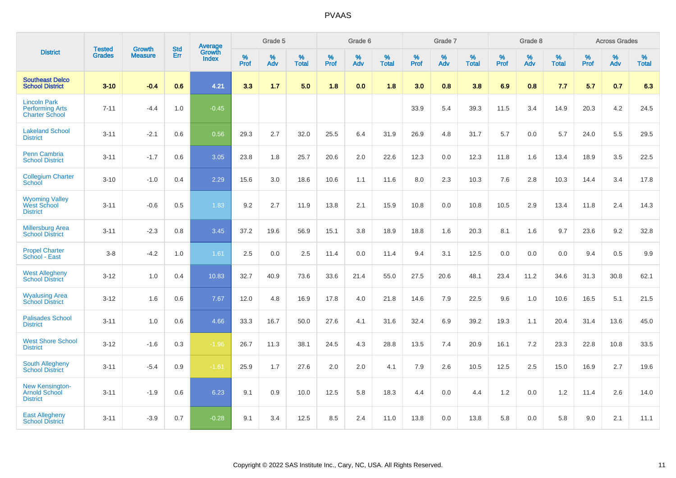|                                                                        | <b>Tested</b> | <b>Growth</b>  | <b>Std</b> | Average                       |              | Grade 5  |                   |           | Grade 6  |                   |           | Grade 7  |                   |           | Grade 8  |                   |           | <b>Across Grades</b> |                   |
|------------------------------------------------------------------------|---------------|----------------|------------|-------------------------------|--------------|----------|-------------------|-----------|----------|-------------------|-----------|----------|-------------------|-----------|----------|-------------------|-----------|----------------------|-------------------|
| <b>District</b>                                                        | <b>Grades</b> | <b>Measure</b> | Err        | <b>Growth</b><br><b>Index</b> | $\%$<br>Prof | %<br>Adv | %<br><b>Total</b> | %<br>Prof | %<br>Adv | %<br><b>Total</b> | %<br>Prof | %<br>Adv | %<br><b>Total</b> | %<br>Prof | %<br>Adv | %<br><b>Total</b> | %<br>Prof | %<br>Adv             | %<br><b>Total</b> |
| <b>Southeast Delco</b><br><b>School District</b>                       | $3 - 10$      | $-0.4$         | 0.6        | 4.21                          | 3.3          | 1.7      | 5.0               | 1.8       | 0.0      | 1.8               | 3.0       | 0.8      | 3.8               | 6.9       | 0.8      | 7.7               | 5.7       | 0.7                  | 6.3               |
| <b>Lincoln Park</b><br><b>Performing Arts</b><br><b>Charter School</b> | $7 - 11$      | $-4.4$         | 1.0        | $-0.45$                       |              |          |                   |           |          |                   | 33.9      | 5.4      | 39.3              | 11.5      | 3.4      | 14.9              | 20.3      | 4.2                  | 24.5              |
| <b>Lakeland School</b><br><b>District</b>                              | $3 - 11$      | $-2.1$         | 0.6        | 0.56                          | 29.3         | 2.7      | 32.0              | 25.5      | 6.4      | 31.9              | 26.9      | 4.8      | 31.7              | 5.7       | 0.0      | 5.7               | 24.0      | 5.5                  | 29.5              |
| <b>Penn Cambria</b><br><b>School District</b>                          | $3 - 11$      | $-1.7$         | 0.6        | 3.05                          | 23.8         | 1.8      | 25.7              | 20.6      | 2.0      | 22.6              | 12.3      | 0.0      | 12.3              | 11.8      | 1.6      | 13.4              | 18.9      | 3.5                  | 22.5              |
| <b>Collegium Charter</b><br>School                                     | $3 - 10$      | $-1.0$         | 0.4        | 2.29                          | 15.6         | 3.0      | 18.6              | 10.6      | 1.1      | 11.6              | 8.0       | 2.3      | 10.3              | 7.6       | 2.8      | 10.3              | 14.4      | 3.4                  | 17.8              |
| <b>Wyoming Valley</b><br>West School<br><b>District</b>                | $3 - 11$      | $-0.6$         | 0.5        | 1.83                          | 9.2          | 2.7      | 11.9              | 13.8      | 2.1      | 15.9              | 10.8      | 0.0      | 10.8              | 10.5      | 2.9      | 13.4              | 11.8      | 2.4                  | 14.3              |
| <b>Millersburg Area</b><br><b>School District</b>                      | $3 - 11$      | $-2.3$         | 0.8        | 3.45                          | 37.2         | 19.6     | 56.9              | 15.1      | 3.8      | 18.9              | 18.8      | 1.6      | 20.3              | 8.1       | 1.6      | 9.7               | 23.6      | 9.2                  | 32.8              |
| <b>Propel Charter</b><br>School - East                                 | $3 - 8$       | $-4.2$         | 1.0        | 1.61                          | 2.5          | 0.0      | 2.5               | 11.4      | 0.0      | 11.4              | 9.4       | 3.1      | 12.5              | 0.0       | 0.0      | 0.0               | 9.4       | 0.5                  | 9.9               |
| <b>West Allegheny</b><br><b>School District</b>                        | $3 - 12$      | 1.0            | 0.4        | 10.83                         | 32.7         | 40.9     | 73.6              | 33.6      | 21.4     | 55.0              | 27.5      | 20.6     | 48.1              | 23.4      | 11.2     | 34.6              | 31.3      | 30.8                 | 62.1              |
| <b>Wyalusing Area</b><br><b>School District</b>                        | $3 - 12$      | 1.6            | 0.6        | 7.67                          | 12.0         | 4.8      | 16.9              | 17.8      | 4.0      | 21.8              | 14.6      | 7.9      | 22.5              | 9.6       | 1.0      | 10.6              | 16.5      | 5.1                  | 21.5              |
| <b>Palisades School</b><br><b>District</b>                             | $3 - 11$      | 1.0            | 0.6        | 4.66                          | 33.3         | 16.7     | 50.0              | 27.6      | 4.1      | 31.6              | 32.4      | 6.9      | 39.2              | 19.3      | 1.1      | 20.4              | 31.4      | 13.6                 | 45.0              |
| <b>West Shore School</b><br><b>District</b>                            | $3 - 12$      | $-1.6$         | 0.3        | $-1.96$                       | 26.7         | 11.3     | 38.1              | 24.5      | 4.3      | 28.8              | 13.5      | 7.4      | 20.9              | 16.1      | 7.2      | 23.3              | 22.8      | 10.8                 | 33.5              |
| <b>South Allegheny</b><br><b>School District</b>                       | $3 - 11$      | $-5.4$         | 0.9        | $-1.61$                       | 25.9         | 1.7      | 27.6              | 2.0       | 2.0      | 4.1               | 7.9       | 2.6      | 10.5              | 12.5      | 2.5      | 15.0              | 16.9      | 2.7                  | 19.6              |
| <b>New Kensington-</b><br><b>Arnold School</b><br><b>District</b>      | $3 - 11$      | $-1.9$         | 0.6        | 6.23                          | 9.1          | 0.9      | 10.0              | 12.5      | 5.8      | 18.3              | 4.4       | $0.0\,$  | 4.4               | 1.2       | 0.0      | 1.2               | 11.4      | 2.6                  | 14.0              |
| <b>East Allegheny</b><br><b>School District</b>                        | $3 - 11$      | $-3.9$         | 0.7        | $-0.28$                       | 9.1          | 3.4      | 12.5              | 8.5       | 2.4      | 11.0              | 13.8      | 0.0      | 13.8              | 5.8       | 0.0      | 5.8               | 9.0       | 2.1                  | 11.1              |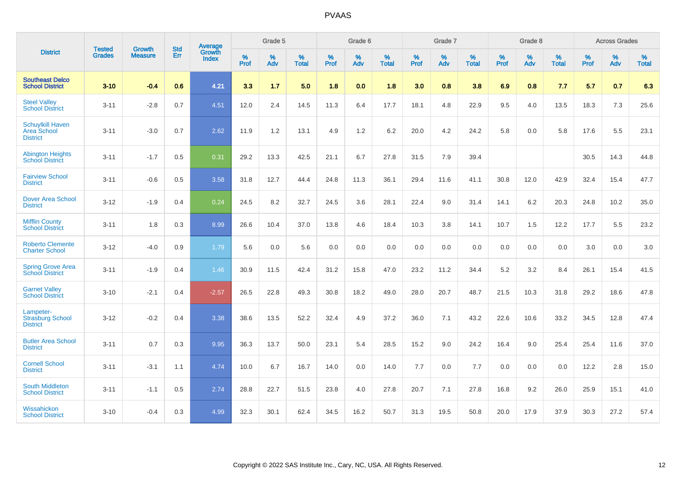|                                                           | <b>Tested</b> | <b>Growth</b>  | <b>Std</b> | Average         |                     | Grade 5  |                   |                     | Grade 6  |                   |                     | Grade 7  |                   |                     | Grade 8  |                   |                     | <b>Across Grades</b> |                   |
|-----------------------------------------------------------|---------------|----------------|------------|-----------------|---------------------|----------|-------------------|---------------------|----------|-------------------|---------------------|----------|-------------------|---------------------|----------|-------------------|---------------------|----------------------|-------------------|
| <b>District</b>                                           | <b>Grades</b> | <b>Measure</b> | Err        | Growth<br>Index | $\%$<br><b>Prof</b> | %<br>Adv | %<br><b>Total</b> | $\%$<br><b>Prof</b> | %<br>Adv | %<br><b>Total</b> | $\%$<br><b>Prof</b> | %<br>Adv | %<br><b>Total</b> | $\%$<br><b>Prof</b> | %<br>Adv | %<br><b>Total</b> | $\%$<br><b>Prof</b> | %<br>Adv             | %<br><b>Total</b> |
| <b>Southeast Delco</b><br><b>School District</b>          | $3 - 10$      | $-0.4$         | 0.6        | 4.21            | 3.3                 | 1.7      | 5.0               | 1.8                 | 0.0      | 1.8               | 3.0                 | 0.8      | 3.8               | 6.9                 | 0.8      | 7.7               | 5.7                 | 0.7                  | 6.3               |
| <b>Steel Valley</b><br><b>School District</b>             | $3 - 11$      | $-2.8$         | 0.7        | 4.51            | 12.0                | 2.4      | 14.5              | 11.3                | 6.4      | 17.7              | 18.1                | 4.8      | 22.9              | 9.5                 | 4.0      | 13.5              | 18.3                | $7.3$                | 25.6              |
| <b>Schuylkill Haven</b><br>Area School<br><b>District</b> | $3 - 11$      | $-3.0$         | 0.7        | 2.62            | 11.9                | 1.2      | 13.1              | 4.9                 | 1.2      | 6.2               | 20.0                | 4.2      | 24.2              | 5.8                 | 0.0      | 5.8               | 17.6                | 5.5                  | 23.1              |
| <b>Abington Heights</b><br><b>School District</b>         | $3 - 11$      | $-1.7$         | 0.5        | 0.31            | 29.2                | 13.3     | 42.5              | 21.1                | 6.7      | 27.8              | 31.5                | 7.9      | 39.4              |                     |          |                   | 30.5                | 14.3                 | 44.8              |
| <b>Fairview School</b><br><b>District</b>                 | $3 - 11$      | $-0.6$         | 0.5        | 3.58            | 31.8                | 12.7     | 44.4              | 24.8                | 11.3     | 36.1              | 29.4                | 11.6     | 41.1              | 30.8                | 12.0     | 42.9              | 32.4                | 15.4                 | 47.7              |
| <b>Dover Area School</b><br><b>District</b>               | $3 - 12$      | $-1.9$         | 0.4        | 0.24            | 24.5                | 8.2      | 32.7              | 24.5                | 3.6      | 28.1              | 22.4                | 9.0      | 31.4              | 14.1                | 6.2      | 20.3              | 24.8                | 10.2                 | 35.0              |
| <b>Mifflin County</b><br><b>School District</b>           | $3 - 11$      | 1.8            | 0.3        | 8.99            | 26.6                | 10.4     | 37.0              | 13.8                | 4.6      | 18.4              | 10.3                | 3.8      | 14.1              | 10.7                | 1.5      | 12.2              | 17.7                | 5.5                  | 23.2              |
| <b>Roberto Clemente</b><br><b>Charter School</b>          | $3 - 12$      | $-4.0$         | 0.9        | 1.79            | 5.6                 | 0.0      | 5.6               | 0.0                 | 0.0      | 0.0               | 0.0                 | 0.0      | 0.0               | 0.0                 | 0.0      | 0.0               | 3.0                 | 0.0                  | 3.0               |
| <b>Spring Grove Area</b><br><b>School District</b>        | $3 - 11$      | $-1.9$         | 0.4        | 1.46            | 30.9                | 11.5     | 42.4              | 31.2                | 15.8     | 47.0              | 23.2                | 11.2     | 34.4              | 5.2                 | 3.2      | 8.4               | 26.1                | 15.4                 | 41.5              |
| <b>Garnet Valley</b><br><b>School District</b>            | $3 - 10$      | $-2.1$         | 0.4        | $-2.57$         | 26.5                | 22.8     | 49.3              | 30.8                | 18.2     | 49.0              | 28.0                | 20.7     | 48.7              | 21.5                | 10.3     | 31.8              | 29.2                | 18.6                 | 47.8              |
| Lampeter-<br><b>Strasburg School</b><br><b>District</b>   | $3 - 12$      | $-0.2$         | 0.4        | 3.38            | 38.6                | 13.5     | 52.2              | 32.4                | 4.9      | 37.2              | 36.0                | 7.1      | 43.2              | 22.6                | 10.6     | 33.2              | 34.5                | 12.8                 | 47.4              |
| <b>Butler Area School</b><br><b>District</b>              | $3 - 11$      | 0.7            | 0.3        | 9.95            | 36.3                | 13.7     | 50.0              | 23.1                | 5.4      | 28.5              | 15.2                | 9.0      | 24.2              | 16.4                | 9.0      | 25.4              | 25.4                | 11.6                 | 37.0              |
| <b>Cornell School</b><br><b>District</b>                  | $3 - 11$      | $-3.1$         | 1.1        | 4.74            | 10.0                | 6.7      | 16.7              | 14.0                | 0.0      | 14.0              | $7.7$               | 0.0      | 7.7               | 0.0                 | 0.0      | 0.0               | 12.2                | 2.8                  | 15.0              |
| South Middleton<br><b>School District</b>                 | $3 - 11$      | $-1.1$         | 0.5        | 2.74            | 28.8                | 22.7     | 51.5              | 23.8                | 4.0      | 27.8              | 20.7                | 7.1      | 27.8              | 16.8                | 9.2      | 26.0              | 25.9                | 15.1                 | 41.0              |
| Wissahickon<br><b>School District</b>                     | $3 - 10$      | $-0.4$         | 0.3        | 4.99            | 32.3                | 30.1     | 62.4              | 34.5                | 16.2     | 50.7              | 31.3                | 19.5     | 50.8              | 20.0                | 17.9     | 37.9              | 30.3                | 27.2                 | 57.4              |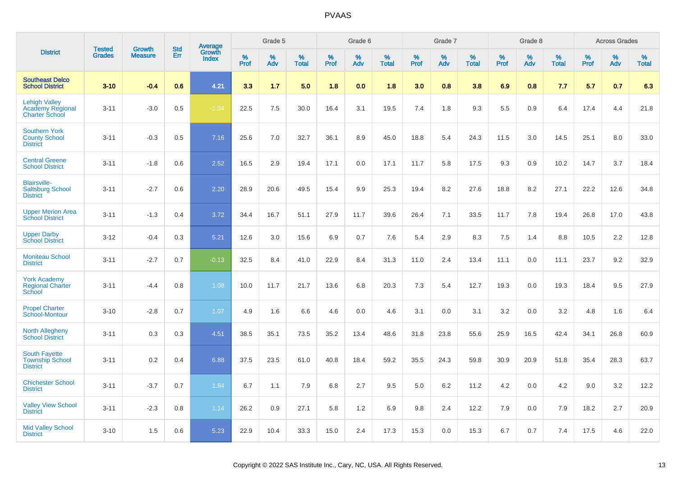|                                                                   |                                |                                 | <b>Std</b> |                                          |                  | Grade 5  |                   |           | Grade 6  |                   |           | Grade 7  |                   |           | Grade 8  |                   |              | <b>Across Grades</b> |                   |
|-------------------------------------------------------------------|--------------------------------|---------------------------------|------------|------------------------------------------|------------------|----------|-------------------|-----------|----------|-------------------|-----------|----------|-------------------|-----------|----------|-------------------|--------------|----------------------|-------------------|
| <b>District</b>                                                   | <b>Tested</b><br><b>Grades</b> | <b>Growth</b><br><b>Measure</b> | Err        | <b>Average</b><br>Growth<br><b>Index</b> | %<br><b>Prof</b> | %<br>Adv | %<br><b>Total</b> | %<br>Prof | %<br>Adv | %<br><b>Total</b> | %<br>Prof | %<br>Adv | %<br><b>Total</b> | %<br>Prof | %<br>Adv | %<br><b>Total</b> | $\%$<br>Prof | %<br>Adv             | %<br><b>Total</b> |
| <b>Southeast Delco</b><br><b>School District</b>                  | $3 - 10$                       | $-0.4$                          | 0.6        | 4.21                                     | 3.3              | 1.7      | 5.0               | 1.8       | 0.0      | 1.8               | 3.0       | 0.8      | 3.8               | 6.9       | 0.8      | 7.7               | 5.7          | 0.7                  | 6.3               |
| <b>Lehigh Valley</b><br>Academy Regional<br><b>Charter School</b> | $3 - 11$                       | $-3.0$                          | 0.5        | $-1.04$                                  | 22.5             | 7.5      | 30.0              | 16.4      | 3.1      | 19.5              | 7.4       | 1.8      | 9.3               | 5.5       | 0.9      | 6.4               | 17.4         | 4.4                  | 21.8              |
| <b>Southern York</b><br><b>County School</b><br><b>District</b>   | $3 - 11$                       | $-0.3$                          | 0.5        | 7.16                                     | 25.6             | 7.0      | 32.7              | 36.1      | 8.9      | 45.0              | 18.8      | 5.4      | 24.3              | 11.5      | 3.0      | 14.5              | 25.1         | 8.0                  | 33.0              |
| <b>Central Greene</b><br><b>School District</b>                   | $3 - 11$                       | $-1.8$                          | 0.6        | 2.52                                     | 16.5             | 2.9      | 19.4              | 17.1      | 0.0      | 17.1              | 11.7      | 5.8      | 17.5              | 9.3       | 0.9      | 10.2              | 14.7         | 3.7                  | 18.4              |
| <b>Blairsville-</b><br><b>Saltsburg School</b><br><b>District</b> | $3 - 11$                       | $-2.7$                          | 0.6        | 2.20                                     | 28.9             | 20.6     | 49.5              | 15.4      | 9.9      | 25.3              | 19.4      | 8.2      | 27.6              | 18.8      | 8.2      | 27.1              | 22.2         | 12.6                 | 34.8              |
| <b>Upper Merion Area</b><br><b>School District</b>                | $3 - 11$                       | $-1.3$                          | 0.4        | 3.72                                     | 34.4             | 16.7     | 51.1              | 27.9      | 11.7     | 39.6              | 26.4      | 7.1      | 33.5              | 11.7      | 7.8      | 19.4              | 26.8         | 17.0                 | 43.8              |
| <b>Upper Darby</b><br><b>School District</b>                      | $3 - 12$                       | $-0.4$                          | 0.3        | 5.21                                     | 12.6             | 3.0      | 15.6              | 6.9       | 0.7      | 7.6               | 5.4       | 2.9      | 8.3               | 7.5       | 1.4      | 8.8               | 10.5         | 2.2                  | 12.8              |
| <b>Moniteau School</b><br><b>District</b>                         | $3 - 11$                       | $-2.7$                          | 0.7        | $-0.13$                                  | 32.5             | 8.4      | 41.0              | 22.9      | 8.4      | 31.3              | 11.0      | 2.4      | 13.4              | 11.1      | 0.0      | 11.1              | 23.7         | 9.2                  | 32.9              |
| <b>York Academy</b><br><b>Regional Charter</b><br>School          | $3 - 11$                       | $-4.4$                          | 0.8        | 1.08                                     | 10.0             | 11.7     | 21.7              | 13.6      | 6.8      | 20.3              | 7.3       | 5.4      | 12.7              | 19.3      | 0.0      | 19.3              | 18.4         | 9.5                  | 27.9              |
| <b>Propel Charter</b><br>School-Montour                           | $3 - 10$                       | $-2.8$                          | 0.7        | 1.07                                     | 4.9              | 1.6      | 6.6               | 4.6       | 0.0      | 4.6               | 3.1       | 0.0      | 3.1               | 3.2       | 0.0      | 3.2               | 4.8          | 1.6                  | 6.4               |
| <b>North Allegheny</b><br><b>School District</b>                  | $3 - 11$                       | 0.3                             | 0.3        | 4.51                                     | 38.5             | 35.1     | 73.5              | 35.2      | 13.4     | 48.6              | 31.8      | 23.8     | 55.6              | 25.9      | 16.5     | 42.4              | 34.1         | 26.8                 | 60.9              |
| <b>South Fayette</b><br><b>Township School</b><br><b>District</b> | $3 - 11$                       | 0.2                             | 0.4        | 6.88                                     | 37.5             | 23.5     | 61.0              | 40.8      | 18.4     | 59.2              | 35.5      | 24.3     | 59.8              | 30.9      | 20.9     | 51.8              | 35.4         | 28.3                 | 63.7              |
| <b>Chichester School</b><br><b>District</b>                       | $3 - 11$                       | $-3.7$                          | 0.7        | 1.84                                     | 6.7              | 1.1      | 7.9               | 6.8       | 2.7      | 9.5               | 5.0       | 6.2      | 11.2              | 4.2       | 0.0      | 4.2               | 9.0          | 3.2                  | 12.2              |
| <b>Valley View School</b><br><b>District</b>                      | $3 - 11$                       | $-2.3$                          | 0.8        | 1.14                                     | 26.2             | 0.9      | 27.1              | 5.8       | 1.2      | 6.9               | 9.8       | 2.4      | 12.2              | 7.9       | 0.0      | 7.9               | 18.2         | 2.7                  | 20.9              |
| <b>Mid Valley School</b><br><b>District</b>                       | $3 - 10$                       | 1.5                             | 0.6        | 5.23                                     | 22.9             | 10.4     | 33.3              | 15.0      | 2.4      | 17.3              | 15.3      | 0.0      | 15.3              | 6.7       | 0.7      | 7.4               | 17.5         | 4.6                  | 22.0              |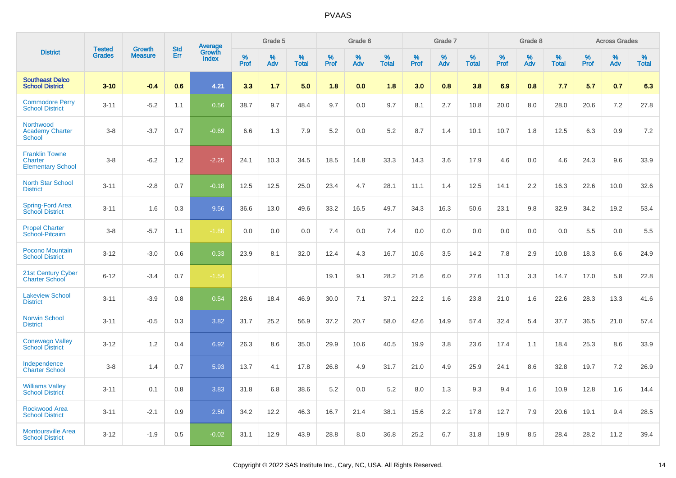|                                                              | <b>Tested</b> | <b>Growth</b>  | <b>Std</b> |                                          |              | Grade 5  |                   |              | Grade 6  |                   |              | Grade 7  |                   |              | Grade 8  |                   |              | <b>Across Grades</b> |                   |
|--------------------------------------------------------------|---------------|----------------|------------|------------------------------------------|--------------|----------|-------------------|--------------|----------|-------------------|--------------|----------|-------------------|--------------|----------|-------------------|--------------|----------------------|-------------------|
| <b>District</b>                                              | <b>Grades</b> | <b>Measure</b> | Err        | <b>Average</b><br>Growth<br><b>Index</b> | $\%$<br>Prof | %<br>Adv | %<br><b>Total</b> | $\%$<br>Prof | %<br>Adv | %<br><b>Total</b> | $\%$<br>Prof | %<br>Adv | %<br><b>Total</b> | $\%$<br>Prof | %<br>Adv | %<br><b>Total</b> | $\%$<br>Prof | %<br>Adv             | %<br><b>Total</b> |
| <b>Southeast Delco</b><br><b>School District</b>             | $3 - 10$      | $-0.4$         | 0.6        | 4.21                                     | 3.3          | 1.7      | 5.0               | 1.8          | 0.0      | 1.8               | 3.0          | 0.8      | 3.8               | 6.9          | 0.8      | 7.7               | 5.7          | 0.7                  | 6.3               |
| <b>Commodore Perry</b><br><b>School District</b>             | $3 - 11$      | $-5.2$         | 1.1        | 0.56                                     | 38.7         | 9.7      | 48.4              | 9.7          | 0.0      | 9.7               | 8.1          | 2.7      | 10.8              | 20.0         | 8.0      | 28.0              | 20.6         | 7.2                  | 27.8              |
| Northwood<br><b>Academy Charter</b><br><b>School</b>         | $3 - 8$       | $-3.7$         | 0.7        | $-0.69$                                  | 6.6          | 1.3      | 7.9               | 5.2          | 0.0      | 5.2               | 8.7          | 1.4      | 10.1              | 10.7         | 1.8      | 12.5              | 6.3          | 0.9                  | 7.2               |
| <b>Franklin Towne</b><br>Charter<br><b>Elementary School</b> | $3 - 8$       | $-6.2$         | 1.2        | $-2.25$                                  | 24.1         | 10.3     | 34.5              | 18.5         | 14.8     | 33.3              | 14.3         | 3.6      | 17.9              | 4.6          | 0.0      | 4.6               | 24.3         | 9.6                  | 33.9              |
| <b>North Star School</b><br><b>District</b>                  | $3 - 11$      | $-2.8$         | 0.7        | $-0.18$                                  | 12.5         | 12.5     | 25.0              | 23.4         | 4.7      | 28.1              | 11.1         | 1.4      | 12.5              | 14.1         | 2.2      | 16.3              | 22.6         | 10.0                 | 32.6              |
| Spring-Ford Area<br><b>School District</b>                   | $3 - 11$      | 1.6            | 0.3        | 9.56                                     | 36.6         | 13.0     | 49.6              | 33.2         | 16.5     | 49.7              | 34.3         | 16.3     | 50.6              | 23.1         | 9.8      | 32.9              | 34.2         | 19.2                 | 53.4              |
| <b>Propel Charter</b><br>School-Pitcairn                     | $3 - 8$       | $-5.7$         | 1.1        | $-1.88$                                  | 0.0          | 0.0      | 0.0               | 7.4          | 0.0      | 7.4               | 0.0          | 0.0      | 0.0               | 0.0          | 0.0      | 0.0               | 5.5          | 0.0                  | 5.5               |
| Pocono Mountain<br><b>School District</b>                    | $3 - 12$      | $-3.0$         | 0.6        | 0.33                                     | 23.9         | 8.1      | 32.0              | 12.4         | 4.3      | 16.7              | 10.6         | 3.5      | 14.2              | 7.8          | 2.9      | 10.8              | 18.3         | 6.6                  | 24.9              |
| 21st Century Cyber<br><b>Charter School</b>                  | $6 - 12$      | $-3.4$         | 0.7        | $-1.54$                                  |              |          |                   | 19.1         | 9.1      | 28.2              | 21.6         | 6.0      | 27.6              | 11.3         | 3.3      | 14.7              | 17.0         | 5.8                  | 22.8              |
| <b>Lakeview School</b><br><b>District</b>                    | $3 - 11$      | $-3.9$         | 0.8        | 0.54                                     | 28.6         | 18.4     | 46.9              | 30.0         | 7.1      | 37.1              | 22.2         | 1.6      | 23.8              | 21.0         | 1.6      | 22.6              | 28.3         | 13.3                 | 41.6              |
| <b>Norwin School</b><br><b>District</b>                      | $3 - 11$      | $-0.5$         | 0.3        | 3.82                                     | 31.7         | 25.2     | 56.9              | 37.2         | 20.7     | 58.0              | 42.6         | 14.9     | 57.4              | 32.4         | 5.4      | 37.7              | 36.5         | 21.0                 | 57.4              |
| <b>Conewago Valley</b><br><b>School District</b>             | $3 - 12$      | 1.2            | 0.4        | 6.92                                     | 26.3         | 8.6      | 35.0              | 29.9         | 10.6     | 40.5              | 19.9         | 3.8      | 23.6              | 17.4         | 1.1      | 18.4              | 25.3         | 8.6                  | 33.9              |
| Independence<br><b>Charter School</b>                        | $3 - 8$       | 1.4            | 0.7        | 5.93                                     | 13.7         | 4.1      | 17.8              | 26.8         | 4.9      | 31.7              | 21.0         | 4.9      | 25.9              | 24.1         | 8.6      | 32.8              | 19.7         | 7.2                  | 26.9              |
| <b>Williams Valley</b><br><b>School District</b>             | $3 - 11$      | 0.1            | 0.8        | 3.83                                     | 31.8         | 6.8      | 38.6              | 5.2          | 0.0      | 5.2               | 8.0          | 1.3      | 9.3               | 9.4          | 1.6      | 10.9              | 12.8         | 1.6                  | 14.4              |
| <b>Rockwood Area</b><br><b>School District</b>               | $3 - 11$      | $-2.1$         | 0.9        | 2.50                                     | 34.2         | 12.2     | 46.3              | 16.7         | 21.4     | 38.1              | 15.6         | 2.2      | 17.8              | 12.7         | 7.9      | 20.6              | 19.1         | 9.4                  | 28.5              |
| <b>Montoursville Area</b><br><b>School District</b>          | $3 - 12$      | $-1.9$         | 0.5        | $-0.02$                                  | 31.1         | 12.9     | 43.9              | 28.8         | 8.0      | 36.8              | 25.2         | 6.7      | 31.8              | 19.9         | 8.5      | 28.4              | 28.2         | 11.2                 | 39.4              |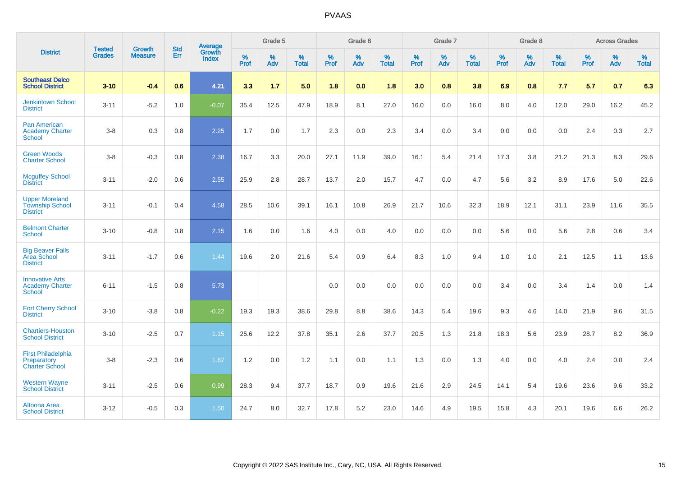|                                                                    | <b>Tested</b> | <b>Growth</b>  | <b>Std</b> | Average                |                     | Grade 5  |                   |              | Grade 6  |                   |                     | Grade 7  |                   |                     | Grade 8  |                   |              | <b>Across Grades</b> |                   |
|--------------------------------------------------------------------|---------------|----------------|------------|------------------------|---------------------|----------|-------------------|--------------|----------|-------------------|---------------------|----------|-------------------|---------------------|----------|-------------------|--------------|----------------------|-------------------|
| <b>District</b>                                                    | <b>Grades</b> | <b>Measure</b> | Err        | Growth<br><b>Index</b> | $\%$<br><b>Prof</b> | %<br>Adv | %<br><b>Total</b> | $\%$<br>Prof | %<br>Adv | %<br><b>Total</b> | $\%$<br><b>Prof</b> | %<br>Adv | %<br><b>Total</b> | $\%$<br><b>Prof</b> | %<br>Adv | %<br><b>Total</b> | $\%$<br>Prof | %<br>Adv             | %<br><b>Total</b> |
| <b>Southeast Delco</b><br><b>School District</b>                   | $3 - 10$      | $-0.4$         | 0.6        | 4.21                   | 3.3                 | 1.7      | 5.0               | 1.8          | 0.0      | 1.8               | 3.0                 | 0.8      | 3.8               | 6.9                 | 0.8      | 7.7               | 5.7          | 0.7                  | 6.3               |
| <b>Jenkintown School</b><br><b>District</b>                        | $3 - 11$      | $-5.2$         | 1.0        | $-0.07$                | 35.4                | 12.5     | 47.9              | 18.9         | 8.1      | 27.0              | 16.0                | 0.0      | 16.0              | 8.0                 | 4.0      | 12.0              | 29.0         | 16.2                 | 45.2              |
| Pan American<br><b>Academy Charter</b><br><b>School</b>            | $3-8$         | 0.3            | 0.8        | 2.25                   | 1.7                 | 0.0      | 1.7               | 2.3          | 0.0      | 2.3               | 3.4                 | 0.0      | 3.4               | 0.0                 | 0.0      | 0.0               | 2.4          | 0.3                  | 2.7               |
| <b>Green Woods</b><br><b>Charter School</b>                        | $3-8$         | $-0.3$         | 0.8        | 2.38                   | 16.7                | 3.3      | 20.0              | 27.1         | 11.9     | 39.0              | 16.1                | 5.4      | 21.4              | 17.3                | 3.8      | 21.2              | 21.3         | 8.3                  | 29.6              |
| <b>Mcguffey School</b><br><b>District</b>                          | $3 - 11$      | $-2.0$         | 0.6        | 2.55                   | 25.9                | 2.8      | 28.7              | 13.7         | 2.0      | 15.7              | 4.7                 | 0.0      | 4.7               | 5.6                 | 3.2      | 8.9               | 17.6         | 5.0                  | 22.6              |
| <b>Upper Moreland</b><br><b>Township School</b><br><b>District</b> | $3 - 11$      | $-0.1$         | 0.4        | 4.58                   | 28.5                | 10.6     | 39.1              | 16.1         | 10.8     | 26.9              | 21.7                | 10.6     | 32.3              | 18.9                | 12.1     | 31.1              | 23.9         | 11.6                 | 35.5              |
| <b>Belmont Charter</b><br>School                                   | $3 - 10$      | $-0.8$         | 0.8        | 2.15                   | 1.6                 | 0.0      | 1.6               | 4.0          | 0.0      | 4.0               | 0.0                 | 0.0      | 0.0               | 5.6                 | 0.0      | 5.6               | 2.8          | 0.6                  | 3.4               |
| <b>Big Beaver Falls</b><br>Area School<br><b>District</b>          | $3 - 11$      | $-1.7$         | 0.6        | 1.44                   | 19.6                | 2.0      | 21.6              | 5.4          | 0.9      | 6.4               | 8.3                 | 1.0      | 9.4               | 1.0                 | 1.0      | 2.1               | 12.5         | 1.1                  | 13.6              |
| <b>Innovative Arts</b><br><b>Academy Charter</b><br><b>School</b>  | $6 - 11$      | $-1.5$         | 0.8        | 5.73                   |                     |          |                   | 0.0          | 0.0      | 0.0               | 0.0                 | 0.0      | 0.0               | 3.4                 | 0.0      | 3.4               | 1.4          | 0.0                  | 1.4               |
| <b>Fort Cherry School</b><br><b>District</b>                       | $3 - 10$      | $-3.8$         | 0.8        | $-0.22$                | 19.3                | 19.3     | 38.6              | 29.8         | 8.8      | 38.6              | 14.3                | 5.4      | 19.6              | 9.3                 | 4.6      | 14.0              | 21.9         | 9.6                  | 31.5              |
| <b>Chartiers-Houston</b><br><b>School District</b>                 | $3 - 10$      | $-2.5$         | 0.7        | 1.15                   | 25.6                | 12.2     | 37.8              | 35.1         | 2.6      | 37.7              | 20.5                | 1.3      | 21.8              | 18.3                | 5.6      | 23.9              | 28.7         | 8.2                  | 36.9              |
| <b>First Philadelphia</b><br>Preparatory<br><b>Charter School</b>  | $3 - 8$       | $-2.3$         | 0.6        | 1.67                   | 1.2                 | 0.0      | 1.2               | 1.1          | 0.0      | 1.1               | 1.3                 | 0.0      | 1.3               | 4.0                 | 0.0      | 4.0               | 2.4          | 0.0                  | 2.4               |
| <b>Western Wayne</b><br><b>School District</b>                     | $3 - 11$      | $-2.5$         | 0.6        | 0.99                   | 28.3                | 9.4      | 37.7              | 18.7         | 0.9      | 19.6              | 21.6                | 2.9      | 24.5              | 14.1                | 5.4      | 19.6              | 23.6         | 9.6                  | 33.2              |
| Altoona Area<br><b>School District</b>                             | $3 - 12$      | $-0.5$         | 0.3        | 1.50                   | 24.7                | 8.0      | 32.7              | 17.8         | 5.2      | 23.0              | 14.6                | 4.9      | 19.5              | 15.8                | 4.3      | 20.1              | 19.6         | 6.6                  | 26.2              |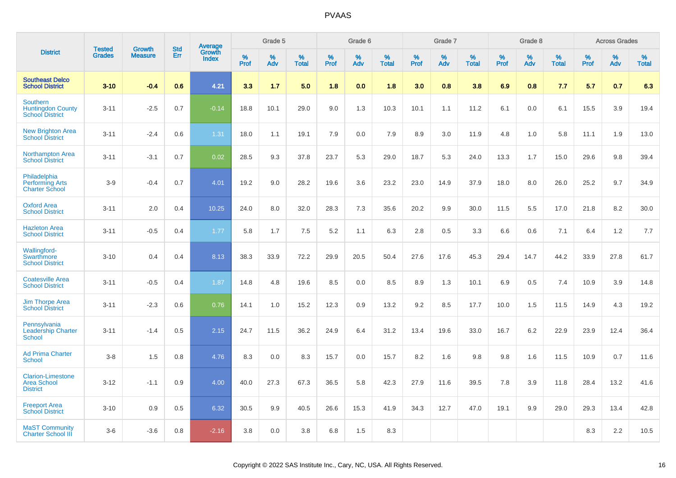|                                                                       | <b>Tested</b> | <b>Growth</b>  | <b>Std</b> | Average                |              | Grade 5  |                   |              | Grade 6  |                   |              | Grade 7  |                   |                  | Grade 8  |                   |              | <b>Across Grades</b> |                   |
|-----------------------------------------------------------------------|---------------|----------------|------------|------------------------|--------------|----------|-------------------|--------------|----------|-------------------|--------------|----------|-------------------|------------------|----------|-------------------|--------------|----------------------|-------------------|
| <b>District</b>                                                       | <b>Grades</b> | <b>Measure</b> | Err        | Growth<br><b>Index</b> | $\%$<br>Prof | %<br>Adv | %<br><b>Total</b> | $\%$<br>Prof | %<br>Adv | %<br><b>Total</b> | $\%$<br>Prof | %<br>Adv | %<br><b>Total</b> | %<br><b>Prof</b> | %<br>Adv | %<br><b>Total</b> | $\%$<br>Prof | $\%$<br>Adv          | %<br><b>Total</b> |
| <b>Southeast Delco</b><br><b>School District</b>                      | $3 - 10$      | $-0.4$         | 0.6        | 4.21                   | 3.3          | 1.7      | 5.0               | 1.8          | 0.0      | 1.8               | 3.0          | 0.8      | 3.8               | 6.9              | 0.8      | 7.7               | 5.7          | 0.7                  | 6.3               |
| <b>Southern</b><br><b>Huntingdon County</b><br><b>School District</b> | $3 - 11$      | $-2.5$         | 0.7        | $-0.14$                | 18.8         | 10.1     | 29.0              | 9.0          | 1.3      | 10.3              | 10.1         | 1.1      | 11.2              | 6.1              | 0.0      | 6.1               | 15.5         | 3.9                  | 19.4              |
| <b>New Brighton Area</b><br><b>School District</b>                    | $3 - 11$      | $-2.4$         | 0.6        | 1.31                   | 18.0         | 1.1      | 19.1              | 7.9          | 0.0      | 7.9               | 8.9          | 3.0      | 11.9              | 4.8              | 1.0      | 5.8               | 11.1         | 1.9                  | 13.0              |
| <b>Northampton Area</b><br><b>School District</b>                     | $3 - 11$      | $-3.1$         | 0.7        | 0.02                   | 28.5         | 9.3      | 37.8              | 23.7         | 5.3      | 29.0              | 18.7         | 5.3      | 24.0              | 13.3             | 1.7      | 15.0              | 29.6         | 9.8                  | 39.4              |
| Philadelphia<br><b>Performing Arts</b><br><b>Charter School</b>       | $3-9$         | $-0.4$         | 0.7        | 4.01                   | 19.2         | 9.0      | 28.2              | 19.6         | 3.6      | 23.2              | 23.0         | 14.9     | 37.9              | 18.0             | 8.0      | 26.0              | 25.2         | 9.7                  | 34.9              |
| <b>Oxford Area</b><br><b>School District</b>                          | $3 - 11$      | 2.0            | 0.4        | 10.25                  | 24.0         | 8.0      | 32.0              | 28.3         | 7.3      | 35.6              | 20.2         | 9.9      | 30.0              | 11.5             | 5.5      | 17.0              | 21.8         | 8.2                  | 30.0              |
| <b>Hazleton Area</b><br><b>School District</b>                        | $3 - 11$      | $-0.5$         | 0.4        | 1.77                   | 5.8          | 1.7      | 7.5               | 5.2          | 1.1      | 6.3               | 2.8          | 0.5      | 3.3               | 6.6              | 0.6      | 7.1               | 6.4          | 1.2                  | 7.7               |
| Wallingford-<br>Swarthmore<br><b>School District</b>                  | $3 - 10$      | 0.4            | 0.4        | 8.13                   | 38.3         | 33.9     | 72.2              | 29.9         | 20.5     | 50.4              | 27.6         | 17.6     | 45.3              | 29.4             | 14.7     | 44.2              | 33.9         | 27.8                 | 61.7              |
| <b>Coatesville Area</b><br><b>School District</b>                     | $3 - 11$      | $-0.5$         | 0.4        | 1.87                   | 14.8         | 4.8      | 19.6              | 8.5          | 0.0      | 8.5               | 8.9          | 1.3      | 10.1              | 6.9              | 0.5      | 7.4               | 10.9         | 3.9                  | 14.8              |
| <b>Jim Thorpe Area</b><br><b>School District</b>                      | $3 - 11$      | $-2.3$         | 0.6        | 0.76                   | 14.1         | 1.0      | 15.2              | 12.3         | 0.9      | 13.2              | 9.2          | 8.5      | 17.7              | 10.0             | 1.5      | 11.5              | 14.9         | 4.3                  | 19.2              |
| Pennsylvania<br><b>Leadership Charter</b><br><b>School</b>            | $3 - 11$      | $-1.4$         | 0.5        | 2.15                   | 24.7         | 11.5     | 36.2              | 24.9         | 6.4      | 31.2              | 13.4         | 19.6     | 33.0              | 16.7             | 6.2      | 22.9              | 23.9         | 12.4                 | 36.4              |
| <b>Ad Prima Charter</b><br><b>School</b>                              | $3-8$         | 1.5            | 0.8        | 4.76                   | 8.3          | 0.0      | 8.3               | 15.7         | 0.0      | 15.7              | 8.2          | 1.6      | 9.8               | 9.8              | 1.6      | 11.5              | 10.9         | 0.7                  | 11.6              |
| <b>Clarion-Limestone</b><br><b>Area School</b><br><b>District</b>     | $3 - 12$      | $-1.1$         | 0.9        | 4.00                   | 40.0         | 27.3     | 67.3              | 36.5         | 5.8      | 42.3              | 27.9         | 11.6     | 39.5              | 7.8              | 3.9      | 11.8              | 28.4         | 13.2                 | 41.6              |
| <b>Freeport Area</b><br><b>School District</b>                        | $3 - 10$      | 0.9            | 0.5        | 6.32                   | 30.5         | 9.9      | 40.5              | 26.6         | 15.3     | 41.9              | 34.3         | 12.7     | 47.0              | 19.1             | 9.9      | 29.0              | 29.3         | 13.4                 | 42.8              |
| <b>MaST Community</b><br><b>Charter School III</b>                    | $3-6$         | $-3.6$         | 0.8        | $-2.16$                | 3.8          | 0.0      | 3.8               | 6.8          | 1.5      | 8.3               |              |          |                   |                  |          |                   | 8.3          | 2.2                  | 10.5              |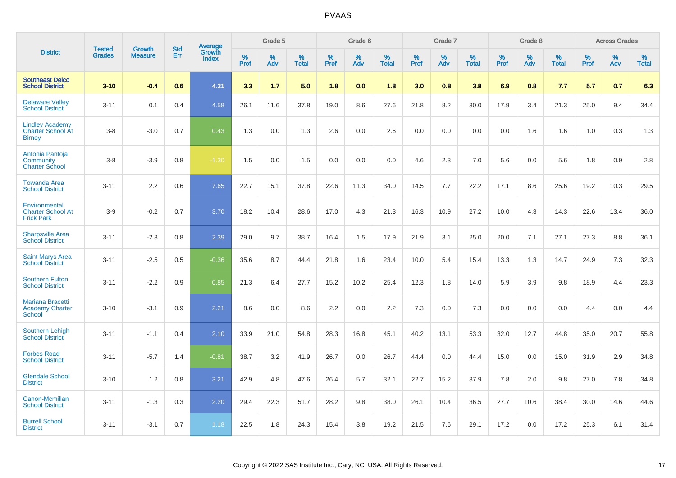|                                                                     | <b>Tested</b> | <b>Growth</b>  | <b>Std</b> | Average                |           | Grade 5  |                   |           | Grade 6  |                   |           | Grade 7  |                   |           | Grade 8  |                   |           | <b>Across Grades</b> |                   |
|---------------------------------------------------------------------|---------------|----------------|------------|------------------------|-----------|----------|-------------------|-----------|----------|-------------------|-----------|----------|-------------------|-----------|----------|-------------------|-----------|----------------------|-------------------|
| <b>District</b>                                                     | <b>Grades</b> | <b>Measure</b> | <b>Err</b> | Growth<br><b>Index</b> | %<br>Prof | %<br>Adv | %<br><b>Total</b> | %<br>Prof | %<br>Adv | %<br><b>Total</b> | %<br>Prof | %<br>Adv | %<br><b>Total</b> | %<br>Prof | %<br>Adv | %<br><b>Total</b> | %<br>Prof | %<br>Adv             | %<br><b>Total</b> |
| <b>Southeast Delco</b><br><b>School District</b>                    | $3 - 10$      | $-0.4$         | 0.6        | 4.21                   | 3.3       | 1.7      | 5.0               | 1.8       | 0.0      | 1.8               | 3.0       | 0.8      | 3.8               | 6.9       | 0.8      | 7.7               | 5.7       | 0.7                  | 6.3               |
| <b>Delaware Valley</b><br><b>School District</b>                    | $3 - 11$      | 0.1            | 0.4        | 4.58                   | 26.1      | 11.6     | 37.8              | 19.0      | 8.6      | 27.6              | 21.8      | 8.2      | 30.0              | 17.9      | 3.4      | 21.3              | 25.0      | 9.4                  | 34.4              |
| <b>Lindley Academy</b><br><b>Charter School At</b><br><b>Birney</b> | $3 - 8$       | $-3.0$         | 0.7        | 0.43                   | 1.3       | 0.0      | 1.3               | 2.6       | 0.0      | 2.6               | 0.0       | 0.0      | 0.0               | 0.0       | 1.6      | 1.6               | 1.0       | 0.3                  | 1.3               |
| Antonia Pantoja<br>Community<br><b>Charter School</b>               | $3 - 8$       | $-3.9$         | 0.8        | $-1.30$                | 1.5       | 0.0      | 1.5               | 0.0       | 0.0      | 0.0               | 4.6       | 2.3      | 7.0               | 5.6       | 0.0      | 5.6               | 1.8       | 0.9                  | 2.8               |
| <b>Towanda Area</b><br><b>School District</b>                       | $3 - 11$      | 2.2            | 0.6        | 7.65                   | 22.7      | 15.1     | 37.8              | 22.6      | 11.3     | 34.0              | 14.5      | 7.7      | 22.2              | 17.1      | 8.6      | 25.6              | 19.2      | 10.3                 | 29.5              |
| Environmental<br><b>Charter School At</b><br><b>Frick Park</b>      | $3-9$         | $-0.2$         | 0.7        | 3.70                   | 18.2      | 10.4     | 28.6              | 17.0      | 4.3      | 21.3              | 16.3      | 10.9     | 27.2              | 10.0      | 4.3      | 14.3              | 22.6      | 13.4                 | 36.0              |
| <b>Sharpsville Area</b><br><b>School District</b>                   | $3 - 11$      | $-2.3$         | 0.8        | 2.39                   | 29.0      | 9.7      | 38.7              | 16.4      | 1.5      | 17.9              | 21.9      | 3.1      | 25.0              | 20.0      | 7.1      | 27.1              | 27.3      | 8.8                  | 36.1              |
| <b>Saint Marys Area</b><br><b>School District</b>                   | $3 - 11$      | $-2.5$         | 0.5        | $-0.36$                | 35.6      | 8.7      | 44.4              | 21.8      | 1.6      | 23.4              | 10.0      | 5.4      | 15.4              | 13.3      | 1.3      | 14.7              | 24.9      | 7.3                  | 32.3              |
| <b>Southern Fulton</b><br><b>School District</b>                    | $3 - 11$      | $-2.2$         | 0.9        | 0.85                   | 21.3      | 6.4      | 27.7              | 15.2      | 10.2     | 25.4              | 12.3      | 1.8      | 14.0              | 5.9       | 3.9      | 9.8               | 18.9      | 4.4                  | 23.3              |
| <b>Mariana Bracetti</b><br><b>Academy Charter</b><br><b>School</b>  | $3 - 10$      | $-3.1$         | 0.9        | 2.21                   | 8.6       | 0.0      | 8.6               | 2.2       | 0.0      | 2.2               | 7.3       | 0.0      | 7.3               | 0.0       | 0.0      | 0.0               | 4.4       | 0.0                  | 4.4               |
| <b>Southern Lehigh</b><br><b>School District</b>                    | $3 - 11$      | $-1.1$         | 0.4        | 2.10                   | 33.9      | 21.0     | 54.8              | 28.3      | 16.8     | 45.1              | 40.2      | 13.1     | 53.3              | 32.0      | 12.7     | 44.8              | 35.0      | 20.7                 | 55.8              |
| <b>Forbes Road</b><br><b>School District</b>                        | $3 - 11$      | $-5.7$         | 1.4        | $-0.81$                | 38.7      | 3.2      | 41.9              | 26.7      | 0.0      | 26.7              | 44.4      | 0.0      | 44.4              | 15.0      | 0.0      | 15.0              | 31.9      | 2.9                  | 34.8              |
| <b>Glendale School</b><br><b>District</b>                           | $3 - 10$      | 1.2            | 0.8        | 3.21                   | 42.9      | 4.8      | 47.6              | 26.4      | 5.7      | 32.1              | 22.7      | 15.2     | 37.9              | 7.8       | 2.0      | 9.8               | 27.0      | 7.8                  | 34.8              |
| <b>Canon-Mcmillan</b><br><b>School District</b>                     | $3 - 11$      | $-1.3$         | 0.3        | 2.20                   | 29.4      | 22.3     | 51.7              | 28.2      | 9.8      | 38.0              | 26.1      | 10.4     | 36.5              | 27.7      | 10.6     | 38.4              | 30.0      | 14.6                 | 44.6              |
| <b>Burrell School</b><br><b>District</b>                            | $3 - 11$      | $-3.1$         | 0.7        | 1.18                   | 22.5      | 1.8      | 24.3              | 15.4      | 3.8      | 19.2              | 21.5      | 7.6      | 29.1              | 17.2      | 0.0      | 17.2              | 25.3      | 6.1                  | 31.4              |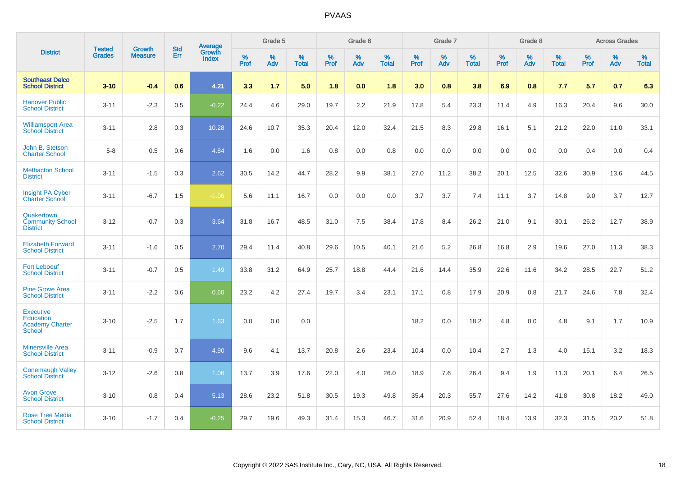|                                                                                 |                                |                                 | <b>Std</b> | Average                       |           | Grade 5  |                   |           | Grade 6  |                   |           | Grade 7  |                   |           | Grade 8  |                   |           | <b>Across Grades</b> |                   |
|---------------------------------------------------------------------------------|--------------------------------|---------------------------------|------------|-------------------------------|-----------|----------|-------------------|-----------|----------|-------------------|-----------|----------|-------------------|-----------|----------|-------------------|-----------|----------------------|-------------------|
| <b>District</b>                                                                 | <b>Tested</b><br><b>Grades</b> | <b>Growth</b><br><b>Measure</b> | Err        | <b>Growth</b><br><b>Index</b> | %<br>Prof | %<br>Adv | %<br><b>Total</b> | %<br>Prof | %<br>Adv | %<br><b>Total</b> | %<br>Prof | %<br>Adv | %<br><b>Total</b> | %<br>Prof | %<br>Adv | %<br><b>Total</b> | %<br>Prof | %<br>Adv             | %<br><b>Total</b> |
| <b>Southeast Delco</b><br><b>School District</b>                                | $3 - 10$                       | $-0.4$                          | 0.6        | 4.21                          | 3.3       | 1.7      | 5.0               | 1.8       | 0.0      | 1.8               | 3.0       | 0.8      | 3.8               | 6.9       | 0.8      | 7.7               | 5.7       | 0.7                  | 6.3               |
| <b>Hanover Public</b><br><b>School District</b>                                 | $3 - 11$                       | $-2.3$                          | 0.5        | $-0.22$                       | 24.4      | 4.6      | 29.0              | 19.7      | 2.2      | 21.9              | 17.8      | 5.4      | 23.3              | 11.4      | 4.9      | 16.3              | 20.4      | 9.6                  | 30.0              |
| <b>Williamsport Area</b><br><b>School District</b>                              | $3 - 11$                       | 2.8                             | 0.3        | 10.28                         | 24.6      | 10.7     | 35.3              | 20.4      | 12.0     | 32.4              | 21.5      | 8.3      | 29.8              | 16.1      | 5.1      | 21.2              | 22.0      | 11.0                 | 33.1              |
| John B. Stetson<br><b>Charter School</b>                                        | $5-8$                          | 0.5                             | 0.6        | 4.84                          | 1.6       | 0.0      | 1.6               | 0.8       | 0.0      | 0.8               | 0.0       | 0.0      | 0.0               | 0.0       | 0.0      | 0.0               | 0.4       | 0.0                  | 0.4               |
| <b>Methacton School</b><br><b>District</b>                                      | $3 - 11$                       | $-1.5$                          | 0.3        | 2.62                          | 30.5      | 14.2     | 44.7              | 28.2      | 9.9      | 38.1              | 27.0      | 11.2     | 38.2              | 20.1      | 12.5     | 32.6              | 30.9      | 13.6                 | 44.5              |
| <b>Insight PA Cyber</b><br><b>Charter School</b>                                | $3 - 11$                       | $-6.7$                          | 1.5        | $-1.06$                       | 5.6       | 11.1     | 16.7              | 0.0       | 0.0      | 0.0               | 3.7       | 3.7      | 7.4               | 11.1      | 3.7      | 14.8              | 9.0       | 3.7                  | 12.7              |
| Quakertown<br><b>Community School</b><br><b>District</b>                        | $3 - 12$                       | $-0.7$                          | 0.3        | 3.64                          | 31.8      | 16.7     | 48.5              | 31.0      | 7.5      | 38.4              | 17.8      | 8.4      | 26.2              | 21.0      | 9.1      | 30.1              | 26.2      | 12.7                 | 38.9              |
| <b>Elizabeth Forward</b><br><b>School District</b>                              | $3 - 11$                       | $-1.6$                          | 0.5        | 2.70                          | 29.4      | 11.4     | 40.8              | 29.6      | 10.5     | 40.1              | 21.6      | 5.2      | 26.8              | 16.8      | 2.9      | 19.6              | 27.0      | 11.3                 | 38.3              |
| <b>Fort Leboeuf</b><br><b>School District</b>                                   | $3 - 11$                       | $-0.7$                          | 0.5        | 1.49                          | 33.8      | 31.2     | 64.9              | 25.7      | 18.8     | 44.4              | 21.6      | 14.4     | 35.9              | 22.6      | 11.6     | 34.2              | 28.5      | 22.7                 | 51.2              |
| <b>Pine Grove Area</b><br><b>School District</b>                                | $3 - 11$                       | $-2.2$                          | 0.6        | 0.60                          | 23.2      | 4.2      | 27.4              | 19.7      | 3.4      | 23.1              | 17.1      | 0.8      | 17.9              | 20.9      | 0.8      | 21.7              | 24.6      | 7.8                  | 32.4              |
| <b>Executive</b><br><b>Education</b><br><b>Academy Charter</b><br><b>School</b> | $3 - 10$                       | $-2.5$                          | 1.7        | 1.63                          | 0.0       | 0.0      | 0.0               |           |          |                   | 18.2      | 0.0      | 18.2              | 4.8       | 0.0      | 4.8               | 9.1       | 1.7                  | 10.9              |
| <b>Minersville Area</b><br><b>School District</b>                               | $3 - 11$                       | $-0.9$                          | 0.7        | 4.90                          | 9.6       | 4.1      | 13.7              | 20.8      | 2.6      | 23.4              | 10.4      | 0.0      | 10.4              | 2.7       | 1.3      | 4.0               | 15.1      | 3.2                  | 18.3              |
| <b>Conemaugh Valley</b><br><b>School District</b>                               | $3 - 12$                       | $-2.6$                          | 0.8        | 1.06                          | 13.7      | 3.9      | 17.6              | 22.0      | 4.0      | 26.0              | 18.9      | 7.6      | 26.4              | 9.4       | 1.9      | 11.3              | 20.1      | 6.4                  | 26.5              |
| <b>Avon Grove</b><br><b>School District</b>                                     | $3 - 10$                       | 0.8                             | 0.4        | 5.13                          | 28.6      | 23.2     | 51.8              | 30.5      | 19.3     | 49.8              | 35.4      | 20.3     | 55.7              | 27.6      | 14.2     | 41.8              | 30.8      | 18.2                 | 49.0              |
| <b>Rose Tree Media</b><br><b>School District</b>                                | $3 - 10$                       | $-1.7$                          | 0.4        | $-0.25$                       | 29.7      | 19.6     | 49.3              | 31.4      | 15.3     | 46.7              | 31.6      | 20.9     | 52.4              | 18.4      | 13.9     | 32.3              | 31.5      | 20.2                 | 51.8              |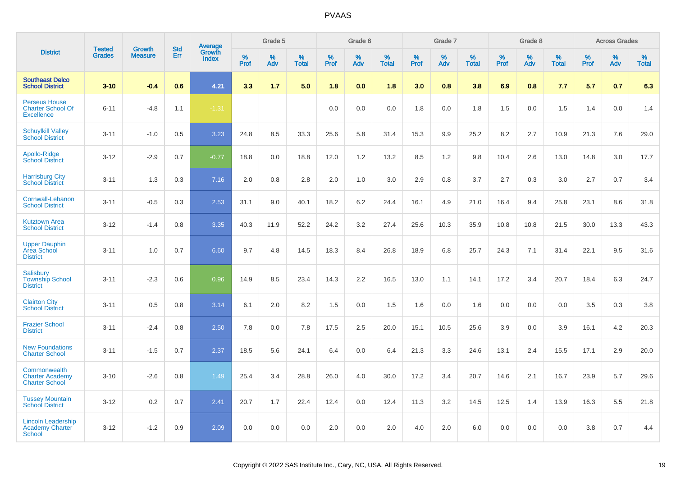|                                                                       |                                |                                 | <b>Std</b> | Average                |                     | Grade 5     |                   |                  | Grade 6  |                   |                  | Grade 7  |                   |           | Grade 8  |                   |                     | <b>Across Grades</b> |                   |
|-----------------------------------------------------------------------|--------------------------------|---------------------------------|------------|------------------------|---------------------|-------------|-------------------|------------------|----------|-------------------|------------------|----------|-------------------|-----------|----------|-------------------|---------------------|----------------------|-------------------|
| <b>District</b>                                                       | <b>Tested</b><br><b>Grades</b> | <b>Growth</b><br><b>Measure</b> | Err        | Growth<br><b>Index</b> | $\%$<br><b>Prof</b> | $\%$<br>Adv | %<br><b>Total</b> | %<br><b>Prof</b> | %<br>Adv | %<br><b>Total</b> | %<br><b>Prof</b> | %<br>Adv | %<br><b>Total</b> | %<br>Prof | %<br>Adv | %<br><b>Total</b> | $\%$<br><b>Prof</b> | %<br>Adv             | %<br><b>Total</b> |
| <b>Southeast Delco</b><br><b>School District</b>                      | $3 - 10$                       | $-0.4$                          | 0.6        | 4.21                   | 3.3                 | 1.7         | 5.0               | 1.8              | 0.0      | 1.8               | 3.0              | 0.8      | 3.8               | 6.9       | 0.8      | 7.7               | 5.7                 | 0.7                  | 6.3               |
| <b>Perseus House</b><br><b>Charter School Of</b><br><b>Excellence</b> | $6 - 11$                       | $-4.8$                          | 1.1        | $-1.31$                |                     |             |                   | 0.0              | 0.0      | 0.0               | 1.8              | 0.0      | 1.8               | 1.5       | 0.0      | 1.5               | 1.4                 | 0.0                  | 1.4               |
| <b>Schuylkill Valley</b><br><b>School District</b>                    | $3 - 11$                       | $-1.0$                          | 0.5        | 3.23                   | 24.8                | 8.5         | 33.3              | 25.6             | 5.8      | 31.4              | 15.3             | 9.9      | 25.2              | 8.2       | 2.7      | 10.9              | 21.3                | 7.6                  | 29.0              |
| Apollo-Ridge<br><b>School District</b>                                | $3-12$                         | $-2.9$                          | 0.7        | $-0.77$                | 18.8                | 0.0         | 18.8              | 12.0             | 1.2      | 13.2              | 8.5              | 1.2      | 9.8               | 10.4      | 2.6      | 13.0              | 14.8                | 3.0                  | 17.7              |
| <b>Harrisburg City</b><br><b>School District</b>                      | $3 - 11$                       | 1.3                             | 0.3        | 7.16                   | 2.0                 | 0.8         | 2.8               | 2.0              | 1.0      | 3.0               | 2.9              | 0.8      | 3.7               | 2.7       | 0.3      | 3.0               | 2.7                 | 0.7                  | 3.4               |
| Cornwall-Lebanon<br><b>School District</b>                            | $3 - 11$                       | $-0.5$                          | 0.3        | 2.53                   | 31.1                | 9.0         | 40.1              | 18.2             | 6.2      | 24.4              | 16.1             | 4.9      | 21.0              | 16.4      | 9.4      | 25.8              | 23.1                | 8.6                  | 31.8              |
| <b>Kutztown Area</b><br><b>School District</b>                        | $3 - 12$                       | $-1.4$                          | 0.8        | 3.35                   | 40.3                | 11.9        | 52.2              | 24.2             | 3.2      | 27.4              | 25.6             | 10.3     | 35.9              | 10.8      | 10.8     | 21.5              | 30.0                | 13.3                 | 43.3              |
| <b>Upper Dauphin</b><br><b>Area School</b><br><b>District</b>         | $3 - 11$                       | 1.0                             | 0.7        | 6.60                   | 9.7                 | 4.8         | 14.5              | 18.3             | 8.4      | 26.8              | 18.9             | 6.8      | 25.7              | 24.3      | 7.1      | 31.4              | 22.1                | 9.5                  | 31.6              |
| Salisbury<br><b>Township School</b><br><b>District</b>                | $3 - 11$                       | $-2.3$                          | 0.6        | 0.96                   | 14.9                | 8.5         | 23.4              | 14.3             | 2.2      | 16.5              | 13.0             | 1.1      | 14.1              | 17.2      | 3.4      | 20.7              | 18.4                | 6.3                  | 24.7              |
| <b>Clairton City</b><br><b>School District</b>                        | $3 - 11$                       | 0.5                             | 0.8        | 3.14                   | 6.1                 | 2.0         | 8.2               | 1.5              | 0.0      | 1.5               | 1.6              | 0.0      | 1.6               | 0.0       | 0.0      | 0.0               | 3.5                 | 0.3                  | 3.8               |
| <b>Frazier School</b><br><b>District</b>                              | $3 - 11$                       | $-2.4$                          | 0.8        | 2.50                   | 7.8                 | 0.0         | 7.8               | 17.5             | 2.5      | 20.0              | 15.1             | 10.5     | 25.6              | 3.9       | 0.0      | 3.9               | 16.1                | 4.2                  | 20.3              |
| <b>New Foundations</b><br><b>Charter School</b>                       | $3 - 11$                       | $-1.5$                          | 0.7        | 2.37                   | 18.5                | 5.6         | 24.1              | 6.4              | 0.0      | 6.4               | 21.3             | 3.3      | 24.6              | 13.1      | 2.4      | 15.5              | 17.1                | 2.9                  | 20.0              |
| Commonwealth<br><b>Charter Academy</b><br><b>Charter School</b>       | $3 - 10$                       | $-2.6$                          | 0.8        | 1.49                   | 25.4                | 3.4         | 28.8              | 26.0             | 4.0      | 30.0              | 17.2             | 3.4      | 20.7              | 14.6      | 2.1      | 16.7              | 23.9                | 5.7                  | 29.6              |
| <b>Tussey Mountain</b><br><b>School District</b>                      | $3 - 12$                       | 0.2                             | 0.7        | 2.41                   | 20.7                | 1.7         | 22.4              | 12.4             | 0.0      | 12.4              | 11.3             | 3.2      | 14.5              | 12.5      | 1.4      | 13.9              | 16.3                | 5.5                  | 21.8              |
| <b>Lincoln Leadership</b><br>Academy Charter<br>School                | $3 - 12$                       | $-1.2$                          | 0.9        | 2.09                   | 0.0                 | 0.0         | 0.0               | 2.0              | 0.0      | 2.0               | 4.0              | 2.0      | 6.0               | 0.0       | 0.0      | 0.0               | 3.8                 | 0.7                  | 4.4               |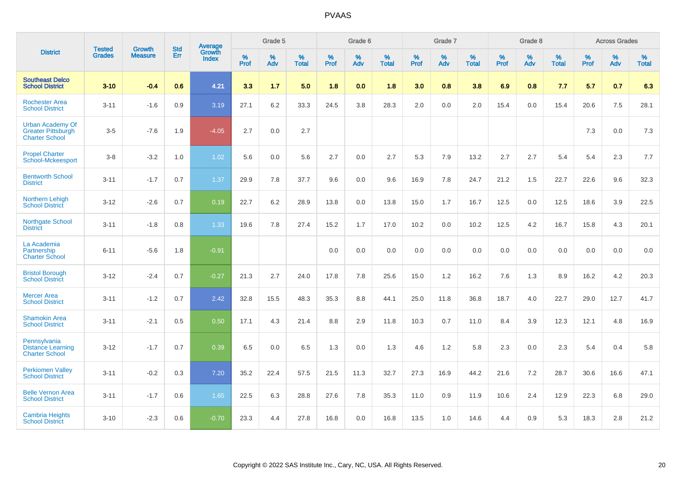|                                                                               | <b>Tested</b> | <b>Growth</b>  | <b>Std</b> | Average                |           | Grade 5  |                   |           | Grade 6  |                   |           | Grade 7  |                   |           | Grade 8  |                   |              | <b>Across Grades</b> |                   |
|-------------------------------------------------------------------------------|---------------|----------------|------------|------------------------|-----------|----------|-------------------|-----------|----------|-------------------|-----------|----------|-------------------|-----------|----------|-------------------|--------------|----------------------|-------------------|
| <b>District</b>                                                               | <b>Grades</b> | <b>Measure</b> | Err        | Growth<br><b>Index</b> | %<br>Prof | %<br>Adv | %<br><b>Total</b> | %<br>Prof | %<br>Adv | %<br><b>Total</b> | %<br>Prof | %<br>Adv | %<br><b>Total</b> | %<br>Prof | %<br>Adv | %<br><b>Total</b> | $\%$<br>Prof | %<br>Adv             | %<br><b>Total</b> |
| <b>Southeast Delco</b><br><b>School District</b>                              | $3 - 10$      | $-0.4$         | 0.6        | 4.21                   | 3.3       | 1.7      | 5.0               | 1.8       | 0.0      | 1.8               | 3.0       | 0.8      | 3.8               | 6.9       | 0.8      | 7.7               | 5.7          | 0.7                  | 6.3               |
| <b>Rochester Area</b><br><b>School District</b>                               | $3 - 11$      | $-1.6$         | 0.9        | 3.19                   | 27.1      | 6.2      | 33.3              | 24.5      | 3.8      | 28.3              | 2.0       | 0.0      | 2.0               | 15.4      | 0.0      | 15.4              | 20.6         | 7.5                  | 28.1              |
| <b>Urban Academy Of</b><br><b>Greater Pittsburgh</b><br><b>Charter School</b> | $3-5$         | $-7.6$         | 1.9        | $-4.05$                | 2.7       | 0.0      | 2.7               |           |          |                   |           |          |                   |           |          |                   | 7.3          | 0.0                  | $7.3$             |
| <b>Propel Charter</b><br><b>School-Mckeesport</b>                             | $3 - 8$       | $-3.2$         | 1.0        | 1.02                   | 5.6       | 0.0      | 5.6               | 2.7       | 0.0      | 2.7               | 5.3       | 7.9      | 13.2              | 2.7       | 2.7      | 5.4               | 5.4          | 2.3                  | 7.7               |
| <b>Bentworth School</b><br><b>District</b>                                    | $3 - 11$      | $-1.7$         | 0.7        | 1.37                   | 29.9      | 7.8      | 37.7              | 9.6       | 0.0      | 9.6               | 16.9      | 7.8      | 24.7              | 21.2      | 1.5      | 22.7              | 22.6         | 9.6                  | 32.3              |
| Northern Lehigh<br><b>School District</b>                                     | $3 - 12$      | $-2.6$         | 0.7        | 0.19                   | 22.7      | 6.2      | 28.9              | 13.8      | 0.0      | 13.8              | 15.0      | 1.7      | 16.7              | 12.5      | 0.0      | 12.5              | 18.6         | 3.9                  | 22.5              |
| Northgate School<br><b>District</b>                                           | $3 - 11$      | $-1.8$         | 0.8        | 1.33                   | 19.6      | 7.8      | 27.4              | 15.2      | 1.7      | 17.0              | 10.2      | 0.0      | 10.2              | 12.5      | 4.2      | 16.7              | 15.8         | 4.3                  | 20.1              |
| La Academia<br>Partnership<br><b>Charter School</b>                           | $6 - 11$      | $-5.6$         | 1.8        | $-0.91$                |           |          |                   | 0.0       | 0.0      | 0.0               | 0.0       | 0.0      | 0.0               | 0.0       | 0.0      | 0.0               | 0.0          | 0.0                  | 0.0               |
| <b>Bristol Borough</b><br><b>School District</b>                              | $3 - 12$      | $-2.4$         | 0.7        | $-0.27$                | 21.3      | 2.7      | 24.0              | 17.8      | 7.8      | 25.6              | 15.0      | 1.2      | 16.2              | 7.6       | 1.3      | 8.9               | 16.2         | 4.2                  | 20.3              |
| <b>Mercer Area</b><br><b>School District</b>                                  | $3 - 11$      | $-1.2$         | 0.7        | 2.42                   | 32.8      | 15.5     | 48.3              | 35.3      | 8.8      | 44.1              | 25.0      | 11.8     | 36.8              | 18.7      | 4.0      | 22.7              | 29.0         | 12.7                 | 41.7              |
| <b>Shamokin Area</b><br><b>School District</b>                                | $3 - 11$      | $-2.1$         | 0.5        | 0.50                   | 17.1      | 4.3      | 21.4              | 8.8       | 2.9      | 11.8              | 10.3      | 0.7      | 11.0              | 8.4       | 3.9      | 12.3              | 12.1         | 4.8                  | 16.9              |
| Pennsylvania<br><b>Distance Learning</b><br><b>Charter School</b>             | $3 - 12$      | $-1.7$         | 0.7        | 0.39                   | 6.5       | 0.0      | 6.5               | 1.3       | 0.0      | 1.3               | 4.6       | 1.2      | 5.8               | 2.3       | 0.0      | 2.3               | 5.4          | 0.4                  | 5.8               |
| <b>Perkiomen Valley</b><br><b>School District</b>                             | $3 - 11$      | $-0.2$         | 0.3        | 7.20                   | 35.2      | 22.4     | 57.5              | 21.5      | 11.3     | 32.7              | 27.3      | 16.9     | 44.2              | 21.6      | 7.2      | 28.7              | 30.6         | 16.6                 | 47.1              |
| <b>Belle Vernon Area</b><br><b>School District</b>                            | $3 - 11$      | $-1.7$         | 0.6        | 1.65                   | 22.5      | 6.3      | 28.8              | 27.6      | 7.8      | 35.3              | 11.0      | 0.9      | 11.9              | 10.6      | 2.4      | 12.9              | 22.3         | 6.8                  | 29.0              |
| <b>Cambria Heights</b><br><b>School District</b>                              | $3 - 10$      | $-2.3$         | 0.6        | $-0.70$                | 23.3      | 4.4      | 27.8              | 16.8      | 0.0      | 16.8              | 13.5      | 1.0      | 14.6              | 4.4       | 0.9      | 5.3               | 18.3         | 2.8                  | 21.2              |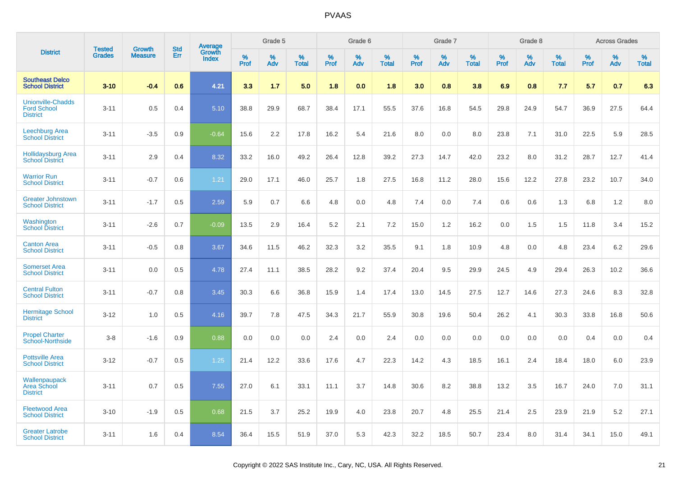|                                                                   | <b>Tested</b> |                                 | <b>Std</b> | Average                |              | Grade 5  |                   |              | Grade 6  |                   |              | Grade 7  |                   |              | Grade 8  |                   |              | <b>Across Grades</b> |                   |
|-------------------------------------------------------------------|---------------|---------------------------------|------------|------------------------|--------------|----------|-------------------|--------------|----------|-------------------|--------------|----------|-------------------|--------------|----------|-------------------|--------------|----------------------|-------------------|
| <b>District</b>                                                   | <b>Grades</b> | <b>Growth</b><br><b>Measure</b> | Err        | Growth<br><b>Index</b> | $\%$<br>Prof | %<br>Adv | %<br><b>Total</b> | $\%$<br>Prof | %<br>Adv | %<br><b>Total</b> | $\%$<br>Prof | %<br>Adv | %<br><b>Total</b> | $\%$<br>Prof | %<br>Adv | %<br><b>Total</b> | $\%$<br>Prof | %<br>Adv             | %<br><b>Total</b> |
| <b>Southeast Delco</b><br><b>School District</b>                  | $3 - 10$      | $-0.4$                          | 0.6        | 4.21                   | 3.3          | 1.7      | 5.0               | 1.8          | 0.0      | 1.8               | 3.0          | 0.8      | 3.8               | 6.9          | 0.8      | 7.7               | 5.7          | 0.7                  | 6.3               |
| <b>Unionville-Chadds</b><br><b>Ford School</b><br><b>District</b> | $3 - 11$      | 0.5                             | 0.4        | 5.10                   | 38.8         | 29.9     | 68.7              | 38.4         | 17.1     | 55.5              | 37.6         | 16.8     | 54.5              | 29.8         | 24.9     | 54.7              | 36.9         | 27.5                 | 64.4              |
| <b>Leechburg Area</b><br><b>School District</b>                   | $3 - 11$      | $-3.5$                          | 0.9        | $-0.64$                | 15.6         | 2.2      | 17.8              | 16.2         | 5.4      | 21.6              | 8.0          | 0.0      | 8.0               | 23.8         | 7.1      | 31.0              | 22.5         | 5.9                  | 28.5              |
| <b>Hollidaysburg Area</b><br><b>School District</b>               | $3 - 11$      | 2.9                             | 0.4        | 8.32                   | 33.2         | 16.0     | 49.2              | 26.4         | 12.8     | 39.2              | 27.3         | 14.7     | 42.0              | 23.2         | 8.0      | 31.2              | 28.7         | 12.7                 | 41.4              |
| <b>Warrior Run</b><br><b>School District</b>                      | $3 - 11$      | $-0.7$                          | 0.6        | 1.21                   | 29.0         | 17.1     | 46.0              | 25.7         | 1.8      | 27.5              | 16.8         | 11.2     | 28.0              | 15.6         | 12.2     | 27.8              | 23.2         | 10.7                 | 34.0              |
| <b>Greater Johnstown</b><br><b>School District</b>                | $3 - 11$      | $-1.7$                          | 0.5        | 2.59                   | 5.9          | 0.7      | 6.6               | 4.8          | 0.0      | 4.8               | 7.4          | 0.0      | 7.4               | 0.6          | 0.6      | 1.3               | 6.8          | 1.2                  | 8.0               |
| Washington<br><b>School District</b>                              | $3 - 11$      | $-2.6$                          | 0.7        | $-0.09$                | 13.5         | 2.9      | 16.4              | 5.2          | 2.1      | 7.2               | 15.0         | 1.2      | 16.2              | 0.0          | 1.5      | 1.5               | 11.8         | 3.4                  | 15.2              |
| <b>Canton Area</b><br><b>School District</b>                      | $3 - 11$      | $-0.5$                          | 0.8        | 3.67                   | 34.6         | 11.5     | 46.2              | 32.3         | 3.2      | 35.5              | 9.1          | 1.8      | 10.9              | 4.8          | 0.0      | 4.8               | 23.4         | 6.2                  | 29.6              |
| <b>Somerset Area</b><br><b>School District</b>                    | $3 - 11$      | 0.0                             | 0.5        | 4.78                   | 27.4         | 11.1     | 38.5              | 28.2         | 9.2      | 37.4              | 20.4         | 9.5      | 29.9              | 24.5         | 4.9      | 29.4              | 26.3         | 10.2                 | 36.6              |
| <b>Central Fulton</b><br><b>School District</b>                   | $3 - 11$      | $-0.7$                          | 0.8        | 3.45                   | 30.3         | 6.6      | 36.8              | 15.9         | 1.4      | 17.4              | 13.0         | 14.5     | 27.5              | 12.7         | 14.6     | 27.3              | 24.6         | 8.3                  | 32.8              |
| <b>Hermitage School</b><br><b>District</b>                        | $3 - 12$      | 1.0                             | 0.5        | 4.16                   | 39.7         | 7.8      | 47.5              | 34.3         | 21.7     | 55.9              | 30.8         | 19.6     | 50.4              | 26.2         | 4.1      | 30.3              | 33.8         | 16.8                 | 50.6              |
| <b>Propel Charter</b><br><b>School-Northside</b>                  | $3 - 8$       | $-1.6$                          | 0.9        | 0.88                   | 0.0          | 0.0      | 0.0               | 2.4          | 0.0      | 2.4               | 0.0          | 0.0      | 0.0               | 0.0          | 0.0      | 0.0               | 0.4          | 0.0                  | 0.4               |
| <b>Pottsville Area</b><br><b>School District</b>                  | $3 - 12$      | $-0.7$                          | 0.5        | 1.25                   | 21.4         | 12.2     | 33.6              | 17.6         | 4.7      | 22.3              | 14.2         | 4.3      | 18.5              | 16.1         | 2.4      | 18.4              | 18.0         | 6.0                  | 23.9              |
| Wallenpaupack<br><b>Area School</b><br><b>District</b>            | $3 - 11$      | 0.7                             | 0.5        | 7.55                   | 27.0         | 6.1      | 33.1              | 11.1         | 3.7      | 14.8              | 30.6         | 8.2      | 38.8              | 13.2         | 3.5      | 16.7              | 24.0         | 7.0                  | 31.1              |
| <b>Fleetwood Area</b><br><b>School District</b>                   | $3 - 10$      | $-1.9$                          | 0.5        | 0.68                   | 21.5         | 3.7      | 25.2              | 19.9         | 4.0      | 23.8              | 20.7         | 4.8      | 25.5              | 21.4         | 2.5      | 23.9              | 21.9         | 5.2                  | 27.1              |
| <b>Greater Latrobe</b><br><b>School District</b>                  | $3 - 11$      | 1.6                             | 0.4        | 8.54                   | 36.4         | 15.5     | 51.9              | 37.0         | 5.3      | 42.3              | 32.2         | 18.5     | 50.7              | 23.4         | 8.0      | 31.4              | 34.1         | 15.0                 | 49.1              |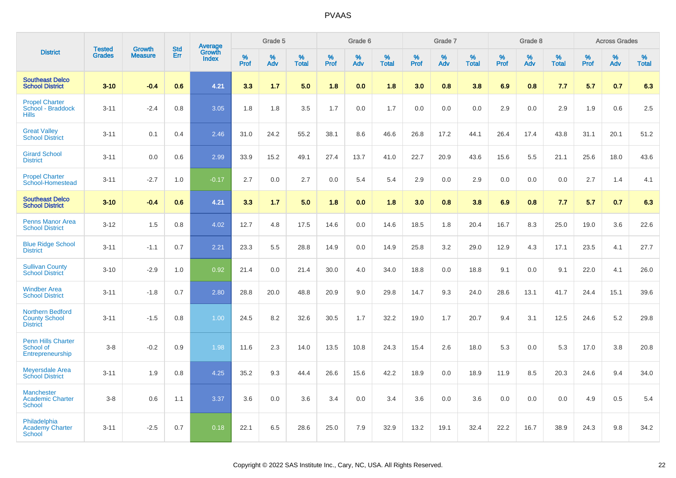|                                                                    | <b>Tested</b> | <b>Growth</b>  | <b>Std</b> | Average                |                  | Grade 5  |                   |                  | Grade 6  |                   |                  | Grade 7  |                   |           | Grade 8  |                   |                  | <b>Across Grades</b> |                   |
|--------------------------------------------------------------------|---------------|----------------|------------|------------------------|------------------|----------|-------------------|------------------|----------|-------------------|------------------|----------|-------------------|-----------|----------|-------------------|------------------|----------------------|-------------------|
| <b>District</b>                                                    | <b>Grades</b> | <b>Measure</b> | Err        | Growth<br><b>Index</b> | %<br><b>Prof</b> | %<br>Adv | %<br><b>Total</b> | %<br><b>Prof</b> | %<br>Adv | %<br><b>Total</b> | %<br><b>Prof</b> | %<br>Adv | %<br><b>Total</b> | %<br>Prof | %<br>Adv | %<br><b>Total</b> | %<br><b>Prof</b> | %<br>Adv             | %<br><b>Total</b> |
| <b>Southeast Delco</b><br><b>School District</b>                   | $3 - 10$      | $-0.4$         | 0.6        | 4.21                   | 3.3              | 1.7      | 5.0               | 1.8              | 0.0      | 1.8               | 3.0              | 0.8      | 3.8               | 6.9       | 0.8      | 7.7               | 5.7              | 0.7                  | 6.3               |
| <b>Propel Charter</b><br>School - Braddock<br><b>Hills</b>         | $3 - 11$      | $-2.4$         | 0.8        | 3.05                   | 1.8              | 1.8      | 3.5               | 1.7              | 0.0      | 1.7               | 0.0              | 0.0      | 0.0               | 2.9       | 0.0      | 2.9               | 1.9              | 0.6                  | 2.5               |
| <b>Great Valley</b><br><b>School District</b>                      | $3 - 11$      | 0.1            | 0.4        | 2.46                   | 31.0             | 24.2     | 55.2              | 38.1             | 8.6      | 46.6              | 26.8             | 17.2     | 44.1              | 26.4      | 17.4     | 43.8              | 31.1             | 20.1                 | 51.2              |
| <b>Girard School</b><br><b>District</b>                            | $3 - 11$      | 0.0            | 0.6        | 2.99                   | 33.9             | 15.2     | 49.1              | 27.4             | 13.7     | 41.0              | 22.7             | 20.9     | 43.6              | 15.6      | 5.5      | 21.1              | 25.6             | 18.0                 | 43.6              |
| <b>Propel Charter</b><br>School-Homestead                          | $3 - 11$      | $-2.7$         | 1.0        | $-0.17$                | 2.7              | 0.0      | 2.7               | 0.0              | 5.4      | 5.4               | 2.9              | 0.0      | 2.9               | 0.0       | 0.0      | 0.0               | 2.7              | 1.4                  | 4.1               |
| <b>Southeast Delco</b><br><b>School District</b>                   | $3 - 10$      | $-0.4$         | 0.6        | 4.21                   | 3.3              | 1.7      | 5.0               | 1.8              | 0.0      | 1.8               | 3.0              | 0.8      | 3.8               | 6.9       | 0.8      | 7.7               | 5.7              | 0.7                  | 6.3               |
| <b>Penns Manor Area</b><br><b>School District</b>                  | $3 - 12$      | 1.5            | 0.8        | 4.02                   | 12.7             | 4.8      | 17.5              | 14.6             | 0.0      | 14.6              | 18.5             | 1.8      | 20.4              | 16.7      | 8.3      | 25.0              | 19.0             | 3.6                  | 22.6              |
| <b>Blue Ridge School</b><br><b>District</b>                        | $3 - 11$      | $-1.1$         | 0.7        | 2.21                   | 23.3             | 5.5      | 28.8              | 14.9             | 0.0      | 14.9              | 25.8             | 3.2      | 29.0              | 12.9      | 4.3      | 17.1              | 23.5             | 4.1                  | 27.7              |
| <b>Sullivan County</b><br><b>School District</b>                   | $3 - 10$      | $-2.9$         | 1.0        | 0.92                   | 21.4             | 0.0      | 21.4              | 30.0             | 4.0      | 34.0              | 18.8             | 0.0      | 18.8              | 9.1       | 0.0      | 9.1               | 22.0             | 4.1                  | 26.0              |
| <b>Windber Area</b><br><b>School District</b>                      | $3 - 11$      | $-1.8$         | 0.7        | 2.80                   | 28.8             | 20.0     | 48.8              | 20.9             | 9.0      | 29.8              | 14.7             | 9.3      | 24.0              | 28.6      | 13.1     | 41.7              | 24.4             | 15.1                 | 39.6              |
| <b>Northern Bedford</b><br><b>County School</b><br><b>District</b> | $3 - 11$      | $-1.5$         | 0.8        | 1.00                   | 24.5             | 8.2      | 32.6              | 30.5             | 1.7      | 32.2              | 19.0             | 1.7      | 20.7              | 9.4       | 3.1      | 12.5              | 24.6             | 5.2                  | 29.8              |
| <b>Penn Hills Charter</b><br>School of<br>Entrepreneurship         | $3-8$         | $-0.2$         | 0.9        | 1.98                   | 11.6             | 2.3      | 14.0              | 13.5             | 10.8     | 24.3              | 15.4             | 2.6      | 18.0              | 5.3       | 0.0      | 5.3               | 17.0             | 3.8                  | 20.8              |
| <b>Meyersdale Area</b><br><b>School District</b>                   | $3 - 11$      | 1.9            | 0.8        | 4.25                   | 35.2             | 9.3      | 44.4              | 26.6             | 15.6     | 42.2              | 18.9             | 0.0      | 18.9              | 11.9      | 8.5      | 20.3              | 24.6             | 9.4                  | 34.0              |
| <b>Manchester</b><br><b>Academic Charter</b><br><b>School</b>      | $3-8$         | 0.6            | 1.1        | 3.37                   | 3.6              | 0.0      | 3.6               | 3.4              | 0.0      | 3.4               | 3.6              | 0.0      | 3.6               | 0.0       | 0.0      | 0.0               | 4.9              | 0.5                  | 5.4               |
| Philadelphia<br><b>Academy Charter</b><br><b>School</b>            | $3 - 11$      | $-2.5$         | 0.7        | 0.18                   | 22.1             | 6.5      | 28.6              | 25.0             | 7.9      | 32.9              | 13.2             | 19.1     | 32.4              | 22.2      | 16.7     | 38.9              | 24.3             | 9.8                  | 34.2              |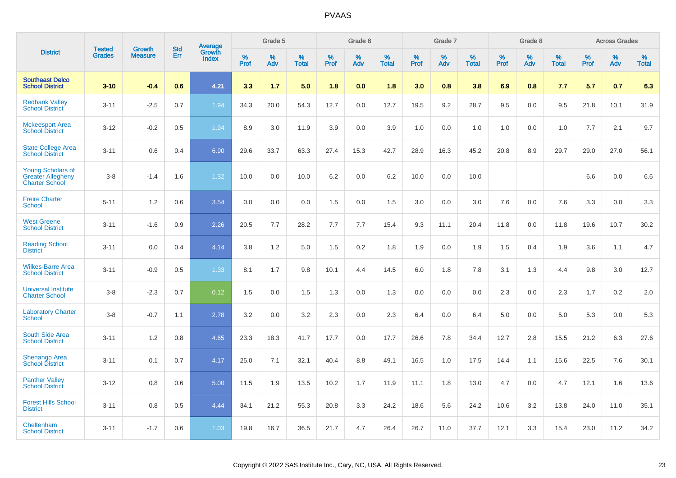|                                                                               | <b>Tested</b> | <b>Growth</b>  | <b>Std</b> | Average<br>Growth |                     | Grade 5  |                      |                     | Grade 6  |                      |              | Grade 7  |                      |                     | Grade 8  |                      |                     | <b>Across Grades</b> |                      |
|-------------------------------------------------------------------------------|---------------|----------------|------------|-------------------|---------------------|----------|----------------------|---------------------|----------|----------------------|--------------|----------|----------------------|---------------------|----------|----------------------|---------------------|----------------------|----------------------|
| <b>District</b>                                                               | <b>Grades</b> | <b>Measure</b> | Err        | Index             | $\%$<br><b>Prof</b> | %<br>Adv | $\%$<br><b>Total</b> | $\%$<br><b>Prof</b> | %<br>Adv | $\%$<br><b>Total</b> | $\%$<br>Prof | %<br>Adv | $\%$<br><b>Total</b> | $\%$<br><b>Prof</b> | %<br>Adv | $\%$<br><b>Total</b> | $\%$<br><b>Prof</b> | $\%$<br>Adv          | $\%$<br><b>Total</b> |
| <b>Southeast Delco</b><br><b>School District</b>                              | $3 - 10$      | $-0.4$         | 0.6        | 4.21              | 3.3                 | 1.7      | 5.0                  | 1.8                 | 0.0      | 1.8                  | 3.0          | 0.8      | 3.8                  | 6.9                 | 0.8      | 7.7                  | 5.7                 | 0.7                  | 6.3                  |
| <b>Redbank Valley</b><br><b>School District</b>                               | $3 - 11$      | $-2.5$         | 0.7        | 1.94              | 34.3                | 20.0     | 54.3                 | 12.7                | 0.0      | 12.7                 | 19.5         | 9.2      | 28.7                 | 9.5                 | 0.0      | 9.5                  | 21.8                | 10.1                 | 31.9                 |
| <b>Mckeesport Area</b><br><b>School District</b>                              | $3 - 12$      | $-0.2$         | 0.5        | 1.94              | 8.9                 | 3.0      | 11.9                 | 3.9                 | 0.0      | 3.9                  | 1.0          | 0.0      | 1.0                  | 1.0                 | 0.0      | 1.0                  | 7.7                 | 2.1                  | 9.7                  |
| <b>State College Area</b><br><b>School District</b>                           | $3 - 11$      | 0.6            | 0.4        | 6.90              | 29.6                | 33.7     | 63.3                 | 27.4                | 15.3     | 42.7                 | 28.9         | 16.3     | 45.2                 | 20.8                | 8.9      | 29.7                 | 29.0                | 27.0                 | 56.1                 |
| <b>Young Scholars of</b><br><b>Greater Allegheny</b><br><b>Charter School</b> | $3 - 8$       | $-1.4$         | 1.6        | 1.32              | 10.0                | 0.0      | 10.0                 | 6.2                 | 0.0      | 6.2                  | 10.0         | 0.0      | 10.0                 |                     |          |                      | 6.6                 | 0.0                  | 6.6                  |
| <b>Freire Charter</b><br><b>School</b>                                        | $5 - 11$      | 1.2            | 0.6        | 3.54              | 0.0                 | 0.0      | 0.0                  | 1.5                 | 0.0      | 1.5                  | 3.0          | 0.0      | 3.0                  | 7.6                 | 0.0      | 7.6                  | 3.3                 | 0.0                  | 3.3                  |
| <b>West Greene</b><br><b>School District</b>                                  | $3 - 11$      | $-1.6$         | 0.9        | 2.26              | 20.5                | 7.7      | 28.2                 | 7.7                 | 7.7      | 15.4                 | 9.3          | 11.1     | 20.4                 | 11.8                | 0.0      | 11.8                 | 19.6                | 10.7                 | 30.2                 |
| <b>Reading School</b><br><b>District</b>                                      | $3 - 11$      | 0.0            | 0.4        | 4.14              | 3.8                 | 1.2      | 5.0                  | 1.5                 | 0.2      | 1.8                  | 1.9          | 0.0      | 1.9                  | 1.5                 | 0.4      | 1.9                  | 3.6                 | 1.1                  | 4.7                  |
| <b>Wilkes-Barre Area</b><br><b>School District</b>                            | $3 - 11$      | $-0.9$         | 0.5        | 1.33              | 8.1                 | 1.7      | 9.8                  | 10.1                | 4.4      | 14.5                 | $6.0\,$      | 1.8      | 7.8                  | 3.1                 | 1.3      | 4.4                  | 9.8                 | 3.0                  | 12.7                 |
| <b>Universal Institute</b><br><b>Charter School</b>                           | $3 - 8$       | $-2.3$         | 0.7        | 0.12              | 1.5                 | 0.0      | 1.5                  | 1.3                 | 0.0      | 1.3                  | 0.0          | 0.0      | 0.0                  | 2.3                 | 0.0      | 2.3                  | 1.7                 | $0.2\,$              | 2.0                  |
| <b>Laboratory Charter</b><br><b>School</b>                                    | $3 - 8$       | $-0.7$         | 1.1        | 2.78              | 3.2                 | 0.0      | 3.2                  | 2.3                 | 0.0      | 2.3                  | 6.4          | 0.0      | 6.4                  | 5.0                 | 0.0      | 5.0                  | 5.3                 | 0.0                  | 5.3                  |
| <b>South Side Area</b><br><b>School District</b>                              | $3 - 11$      | 1.2            | 0.8        | 4.65              | 23.3                | 18.3     | 41.7                 | 17.7                | 0.0      | 17.7                 | 26.6         | 7.8      | 34.4                 | 12.7                | 2.8      | 15.5                 | 21.2                | 6.3                  | 27.6                 |
| <b>Shenango Area</b><br><b>School District</b>                                | $3 - 11$      | 0.1            | 0.7        | 4.17              | 25.0                | 7.1      | 32.1                 | 40.4                | 8.8      | 49.1                 | 16.5         | 1.0      | 17.5                 | 14.4                | 1.1      | 15.6                 | 22.5                | 7.6                  | 30.1                 |
| <b>Panther Valley</b><br><b>School District</b>                               | $3 - 12$      | 0.8            | 0.6        | 5.00              | 11.5                | 1.9      | 13.5                 | 10.2                | 1.7      | 11.9                 | 11.1         | 1.8      | 13.0                 | 4.7                 | 0.0      | 4.7                  | 12.1                | 1.6                  | 13.6                 |
| <b>Forest Hills School</b><br><b>District</b>                                 | $3 - 11$      | 0.8            | 0.5        | 4.44              | 34.1                | 21.2     | 55.3                 | 20.8                | 3.3      | 24.2                 | 18.6         | 5.6      | 24.2                 | 10.6                | 3.2      | 13.8                 | 24.0                | 11.0                 | 35.1                 |
| Cheltenham<br><b>School District</b>                                          | $3 - 11$      | $-1.7$         | 0.6        | 1.03              | 19.8                | 16.7     | 36.5                 | 21.7                | 4.7      | 26.4                 | 26.7         | 11.0     | 37.7                 | 12.1                | 3.3      | 15.4                 | 23.0                | 11.2                 | 34.2                 |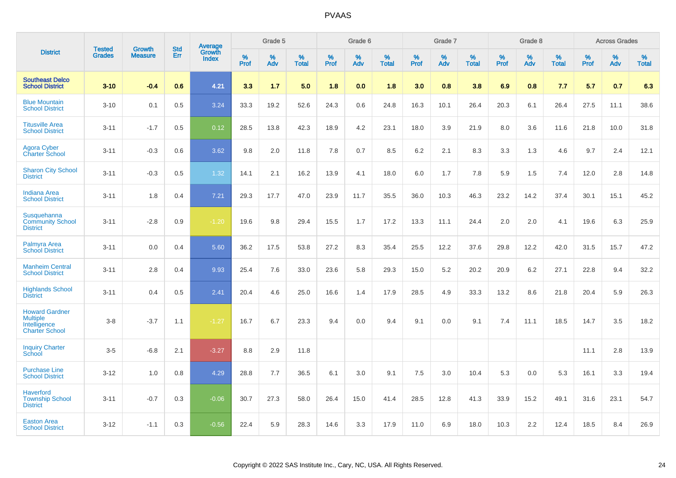|                                                                                   | <b>Tested</b> | <b>Growth</b>  | <b>Std</b> | <b>Average</b><br>Growth |              | Grade 5  |                   |              | Grade 6  |                   |           | Grade 7  |                   |                     | Grade 8  |                   |                     | <b>Across Grades</b> |                   |
|-----------------------------------------------------------------------------------|---------------|----------------|------------|--------------------------|--------------|----------|-------------------|--------------|----------|-------------------|-----------|----------|-------------------|---------------------|----------|-------------------|---------------------|----------------------|-------------------|
| <b>District</b>                                                                   | <b>Grades</b> | <b>Measure</b> | Err        | Index                    | $\%$<br>Prof | %<br>Adv | %<br><b>Total</b> | $\%$<br>Prof | %<br>Adv | %<br><b>Total</b> | %<br>Prof | %<br>Adv | %<br><b>Total</b> | $\%$<br><b>Prof</b> | %<br>Adv | %<br><b>Total</b> | $\%$<br><b>Prof</b> | $\%$<br>Adv          | %<br><b>Total</b> |
| <b>Southeast Delco</b><br><b>School District</b>                                  | $3 - 10$      | $-0.4$         | 0.6        | 4.21                     | 3.3          | 1.7      | 5.0               | 1.8          | 0.0      | 1.8               | 3.0       | 0.8      | 3.8               | 6.9                 | 0.8      | 7.7               | 5.7                 | 0.7                  | 6.3               |
| <b>Blue Mountain</b><br><b>School District</b>                                    | $3 - 10$      | 0.1            | 0.5        | 3.24                     | 33.3         | 19.2     | 52.6              | 24.3         | 0.6      | 24.8              | 16.3      | 10.1     | 26.4              | 20.3                | 6.1      | 26.4              | 27.5                | 11.1                 | 38.6              |
| <b>Titusville Area</b><br><b>School District</b>                                  | $3 - 11$      | $-1.7$         | 0.5        | 0.12                     | 28.5         | 13.8     | 42.3              | 18.9         | 4.2      | 23.1              | 18.0      | 3.9      | 21.9              | 8.0                 | 3.6      | 11.6              | 21.8                | 10.0                 | 31.8              |
| <b>Agora Cyber</b><br><b>Charter School</b>                                       | $3 - 11$      | $-0.3$         | 0.6        | 3.62                     | 9.8          | 2.0      | 11.8              | 7.8          | 0.7      | 8.5               | 6.2       | 2.1      | 8.3               | 3.3                 | 1.3      | 4.6               | 9.7                 | 2.4                  | 12.1              |
| <b>Sharon City School</b><br><b>District</b>                                      | $3 - 11$      | $-0.3$         | 0.5        | 1.32                     | 14.1         | 2.1      | 16.2              | 13.9         | 4.1      | 18.0              | 6.0       | 1.7      | 7.8               | 5.9                 | 1.5      | 7.4               | 12.0                | 2.8                  | 14.8              |
| <b>Indiana Area</b><br><b>School District</b>                                     | $3 - 11$      | 1.8            | 0.4        | 7.21                     | 29.3         | 17.7     | 47.0              | 23.9         | 11.7     | 35.5              | 36.0      | 10.3     | 46.3              | 23.2                | 14.2     | 37.4              | 30.1                | 15.1                 | 45.2              |
| Susquehanna<br><b>Community School</b><br><b>District</b>                         | $3 - 11$      | $-2.8$         | 0.9        | $-1.20$                  | 19.6         | 9.8      | 29.4              | 15.5         | 1.7      | 17.2              | 13.3      | 11.1     | 24.4              | 2.0                 | 2.0      | 4.1               | 19.6                | 6.3                  | 25.9              |
| Palmyra Area<br><b>School District</b>                                            | $3 - 11$      | 0.0            | 0.4        | 5.60                     | 36.2         | 17.5     | 53.8              | 27.2         | 8.3      | 35.4              | 25.5      | 12.2     | 37.6              | 29.8                | 12.2     | 42.0              | 31.5                | 15.7                 | 47.2              |
| <b>Manheim Central</b><br><b>School District</b>                                  | $3 - 11$      | 2.8            | 0.4        | 9.93                     | 25.4         | 7.6      | 33.0              | 23.6         | 5.8      | 29.3              | 15.0      | 5.2      | 20.2              | 20.9                | 6.2      | 27.1              | 22.8                | 9.4                  | 32.2              |
| <b>Highlands School</b><br><b>District</b>                                        | $3 - 11$      | 0.4            | 0.5        | 2.41                     | 20.4         | 4.6      | 25.0              | 16.6         | 1.4      | 17.9              | 28.5      | 4.9      | 33.3              | 13.2                | 8.6      | 21.8              | 20.4                | 5.9                  | 26.3              |
| <b>Howard Gardner</b><br><b>Multiple</b><br>Intelligence<br><b>Charter School</b> | $3-8$         | $-3.7$         | 1.1        | $-1.27$                  | 16.7         | 6.7      | 23.3              | 9.4          | 0.0      | 9.4               | 9.1       | 0.0      | 9.1               | 7.4                 | 11.1     | 18.5              | 14.7                | 3.5                  | 18.2              |
| <b>Inquiry Charter</b><br>School                                                  | $3 - 5$       | $-6.8$         | 2.1        | $-3.27$                  | 8.8          | 2.9      | 11.8              |              |          |                   |           |          |                   |                     |          |                   | 11.1                | 2.8                  | 13.9              |
| <b>Purchase Line</b><br><b>School District</b>                                    | $3 - 12$      | 1.0            | 0.8        | 4.29                     | 28.8         | 7.7      | 36.5              | 6.1          | 3.0      | 9.1               | 7.5       | 3.0      | 10.4              | 5.3                 | 0.0      | 5.3               | 16.1                | 3.3                  | 19.4              |
| <b>Haverford</b><br><b>Township School</b><br><b>District</b>                     | $3 - 11$      | $-0.7$         | 0.3        | $-0.06$                  | 30.7         | 27.3     | 58.0              | 26.4         | 15.0     | 41.4              | 28.5      | 12.8     | 41.3              | 33.9                | 15.2     | 49.1              | 31.6                | 23.1                 | 54.7              |
| <b>Easton Area</b><br><b>School District</b>                                      | $3 - 12$      | $-1.1$         | 0.3        | $-0.56$                  | 22.4         | 5.9      | 28.3              | 14.6         | 3.3      | 17.9              | 11.0      | 6.9      | 18.0              | 10.3                | 2.2      | 12.4              | 18.5                | 8.4                  | 26.9              |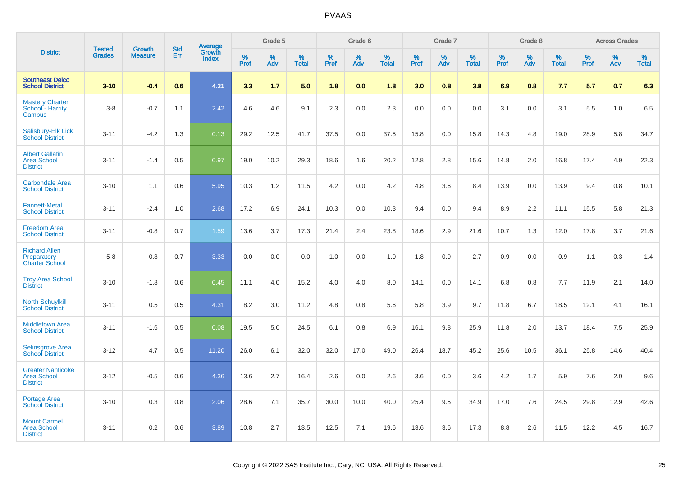|                                                                   |                                |                                 |                   | Average                |                     | Grade 5     |                   |                  | Grade 6  |                   |                  | Grade 7  |                   |           | Grade 8  |                   |              | <b>Across Grades</b> |                   |
|-------------------------------------------------------------------|--------------------------------|---------------------------------|-------------------|------------------------|---------------------|-------------|-------------------|------------------|----------|-------------------|------------------|----------|-------------------|-----------|----------|-------------------|--------------|----------------------|-------------------|
| <b>District</b>                                                   | <b>Tested</b><br><b>Grades</b> | <b>Growth</b><br><b>Measure</b> | <b>Std</b><br>Err | Growth<br><b>Index</b> | $\%$<br><b>Prof</b> | $\%$<br>Adv | %<br><b>Total</b> | %<br><b>Prof</b> | %<br>Adv | %<br><b>Total</b> | %<br><b>Prof</b> | %<br>Adv | %<br><b>Total</b> | %<br>Prof | %<br>Adv | %<br><b>Total</b> | $\%$<br>Prof | %<br>Adv             | %<br><b>Total</b> |
| <b>Southeast Delco</b><br><b>School District</b>                  | $3 - 10$                       | $-0.4$                          | 0.6               | 4.21                   | 3.3                 | 1.7         | 5.0               | 1.8              | 0.0      | 1.8               | 3.0              | 0.8      | 3.8               | 6.9       | 0.8      | 7.7               | 5.7          | 0.7                  | 6.3               |
| <b>Mastery Charter</b><br>School - Harrity<br>Campus              | $3-8$                          | $-0.7$                          | 1.1               | 2.42                   | 4.6                 | 4.6         | 9.1               | 2.3              | 0.0      | 2.3               | 0.0              | 0.0      | 0.0               | 3.1       | 0.0      | 3.1               | 5.5          | 1.0                  | 6.5               |
| Salisbury-Elk Lick<br><b>School District</b>                      | $3 - 11$                       | $-4.2$                          | 1.3               | 0.13                   | 29.2                | 12.5        | 41.7              | 37.5             | 0.0      | 37.5              | 15.8             | 0.0      | 15.8              | 14.3      | 4.8      | 19.0              | 28.9         | 5.8                  | 34.7              |
| <b>Albert Gallatin</b><br><b>Area School</b><br><b>District</b>   | $3 - 11$                       | $-1.4$                          | 0.5               | 0.97                   | 19.0                | 10.2        | 29.3              | 18.6             | 1.6      | 20.2              | 12.8             | 2.8      | 15.6              | 14.8      | 2.0      | 16.8              | 17.4         | 4.9                  | 22.3              |
| <b>Carbondale Area</b><br><b>School District</b>                  | $3 - 10$                       | 1.1                             | 0.6               | 5.95                   | 10.3                | 1.2         | 11.5              | 4.2              | 0.0      | 4.2               | 4.8              | 3.6      | 8.4               | 13.9      | 0.0      | 13.9              | 9.4          | 0.8                  | 10.1              |
| <b>Fannett-Metal</b><br><b>School District</b>                    | $3 - 11$                       | $-2.4$                          | 1.0               | 2.68                   | 17.2                | 6.9         | 24.1              | 10.3             | 0.0      | 10.3              | 9.4              | 0.0      | 9.4               | 8.9       | 2.2      | 11.1              | 15.5         | 5.8                  | 21.3              |
| <b>Freedom Area</b><br><b>School District</b>                     | $3 - 11$                       | $-0.8$                          | 0.7               | 1.59                   | 13.6                | 3.7         | 17.3              | 21.4             | 2.4      | 23.8              | 18.6             | 2.9      | 21.6              | 10.7      | 1.3      | 12.0              | 17.8         | 3.7                  | 21.6              |
| <b>Richard Allen</b><br>Preparatory<br><b>Charter School</b>      | $5-8$                          | 0.8                             | 0.7               | 3.33                   | 0.0                 | 0.0         | 0.0               | 1.0              | 0.0      | 1.0               | 1.8              | 0.9      | 2.7               | 0.9       | 0.0      | 0.9               | 1.1          | 0.3                  | 1.4               |
| <b>Troy Area School</b><br><b>District</b>                        | $3 - 10$                       | $-1.8$                          | 0.6               | 0.45                   | 11.1                | 4.0         | 15.2              | 4.0              | 4.0      | 8.0               | 14.1             | 0.0      | 14.1              | 6.8       | 0.8      | 7.7               | 11.9         | 2.1                  | 14.0              |
| <b>North Schuylkill</b><br><b>School District</b>                 | $3 - 11$                       | 0.5                             | 0.5               | 4.31                   | 8.2                 | 3.0         | 11.2              | 4.8              | 0.8      | 5.6               | 5.8              | 3.9      | 9.7               | 11.8      | 6.7      | 18.5              | 12.1         | 4.1                  | 16.1              |
| <b>Middletown Area</b><br><b>School District</b>                  | $3 - 11$                       | $-1.6$                          | 0.5               | 0.08                   | 19.5                | 5.0         | 24.5              | 6.1              | 0.8      | 6.9               | 16.1             | 9.8      | 25.9              | 11.8      | 2.0      | 13.7              | 18.4         | 7.5                  | 25.9              |
| <b>Selinsgrove Area</b><br><b>School District</b>                 | $3 - 12$                       | 4.7                             | 0.5               | 11.20                  | 26.0                | 6.1         | 32.0              | 32.0             | 17.0     | 49.0              | 26.4             | 18.7     | 45.2              | 25.6      | 10.5     | 36.1              | 25.8         | 14.6                 | 40.4              |
| <b>Greater Nanticoke</b><br><b>Area School</b><br><b>District</b> | $3 - 12$                       | $-0.5$                          | 0.6               | 4.36                   | 13.6                | 2.7         | 16.4              | 2.6              | 0.0      | 2.6               | 3.6              | 0.0      | 3.6               | 4.2       | 1.7      | 5.9               | 7.6          | 2.0                  | 9.6               |
| Portage Area<br><b>School District</b>                            | $3 - 10$                       | 0.3                             | 0.8               | 2.06                   | 28.6                | 7.1         | 35.7              | 30.0             | 10.0     | 40.0              | 25.4             | 9.5      | 34.9              | 17.0      | 7.6      | 24.5              | 29.8         | 12.9                 | 42.6              |
| <b>Mount Carmel</b><br><b>Area School</b><br><b>District</b>      | $3 - 11$                       | 0.2                             | 0.6               | 3.89                   | 10.8                | 2.7         | 13.5              | 12.5             | 7.1      | 19.6              | 13.6             | 3.6      | 17.3              | 8.8       | 2.6      | 11.5              | 12.2         | 4.5                  | 16.7              |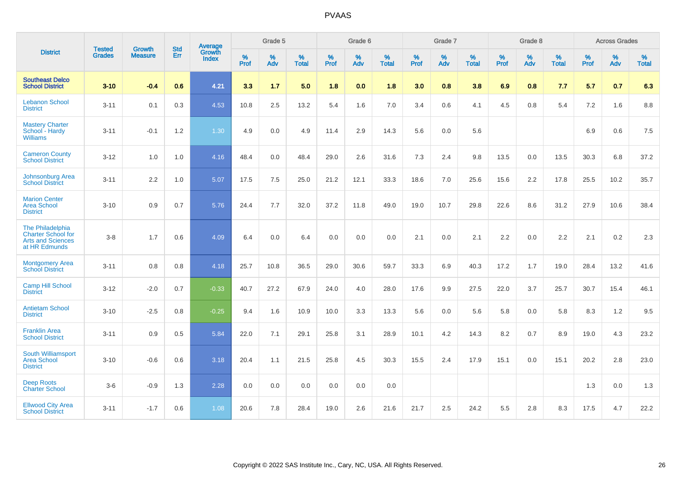|                                                                                            | <b>Tested</b> | <b>Growth</b>  | <b>Std</b> | Average                |                     | Grade 5  |                   |                     | Grade 6  |                   |              | Grade 7  |                   |                     | Grade 8  |                   |                     | <b>Across Grades</b> |                   |
|--------------------------------------------------------------------------------------------|---------------|----------------|------------|------------------------|---------------------|----------|-------------------|---------------------|----------|-------------------|--------------|----------|-------------------|---------------------|----------|-------------------|---------------------|----------------------|-------------------|
| <b>District</b>                                                                            | <b>Grades</b> | <b>Measure</b> | <b>Err</b> | Growth<br><b>Index</b> | $\%$<br><b>Prof</b> | %<br>Adv | %<br><b>Total</b> | $\%$<br><b>Prof</b> | %<br>Adv | %<br><b>Total</b> | $\%$<br>Prof | %<br>Adv | %<br><b>Total</b> | $\%$<br><b>Prof</b> | %<br>Adv | %<br><b>Total</b> | $\%$<br><b>Prof</b> | %<br>Adv             | %<br><b>Total</b> |
| <b>Southeast Delco</b><br><b>School District</b>                                           | $3 - 10$      | $-0.4$         | 0.6        | 4.21                   | 3.3                 | 1.7      | 5.0               | 1.8                 | 0.0      | 1.8               | 3.0          | 0.8      | 3.8               | 6.9                 | 0.8      | 7.7               | 5.7                 | 0.7                  | 6.3               |
| <b>Lebanon School</b><br><b>District</b>                                                   | $3 - 11$      | 0.1            | 0.3        | 4.53                   | 10.8                | 2.5      | 13.2              | 5.4                 | 1.6      | 7.0               | 3.4          | 0.6      | 4.1               | 4.5                 | 0.8      | 5.4               | 7.2                 | 1.6                  | 8.8               |
| <b>Mastery Charter</b><br>School - Hardy<br><b>Williams</b>                                | $3 - 11$      | $-0.1$         | 1.2        | 1.30                   | 4.9                 | 0.0      | 4.9               | 11.4                | 2.9      | 14.3              | 5.6          | 0.0      | 5.6               |                     |          |                   | 6.9                 | 0.6                  | 7.5               |
| <b>Cameron County</b><br><b>School District</b>                                            | $3 - 12$      | 1.0            | 1.0        | 4.16                   | 48.4                | 0.0      | 48.4              | 29.0                | 2.6      | 31.6              | 7.3          | 2.4      | 9.8               | 13.5                | 0.0      | 13.5              | 30.3                | 6.8                  | 37.2              |
| Johnsonburg Area<br><b>School District</b>                                                 | $3 - 11$      | 2.2            | 1.0        | 5.07                   | 17.5                | 7.5      | 25.0              | 21.2                | 12.1     | 33.3              | 18.6         | 7.0      | 25.6              | 15.6                | 2.2      | 17.8              | 25.5                | 10.2                 | 35.7              |
| <b>Marion Center</b><br><b>Area School</b><br><b>District</b>                              | $3 - 10$      | 0.9            | 0.7        | 5.76                   | 24.4                | 7.7      | 32.0              | 37.2                | 11.8     | 49.0              | 19.0         | 10.7     | 29.8              | 22.6                | 8.6      | 31.2              | 27.9                | 10.6                 | 38.4              |
| The Philadelphia<br><b>Charter School for</b><br><b>Arts and Sciences</b><br>at HR Edmunds | $3 - 8$       | 1.7            | 0.6        | 4.09                   | 6.4                 | 0.0      | 6.4               | 0.0                 | 0.0      | 0.0               | 2.1          | 0.0      | 2.1               | 2.2                 | 0.0      | 2.2               | 2.1                 | $0.2\,$              | 2.3               |
| <b>Montgomery Area</b><br><b>School District</b>                                           | $3 - 11$      | 0.8            | 0.8        | 4.18                   | 25.7                | 10.8     | 36.5              | 29.0                | 30.6     | 59.7              | 33.3         | 6.9      | 40.3              | 17.2                | 1.7      | 19.0              | 28.4                | 13.2                 | 41.6              |
| <b>Camp Hill School</b><br><b>District</b>                                                 | $3 - 12$      | $-2.0$         | 0.7        | $-0.33$                | 40.7                | 27.2     | 67.9              | 24.0                | 4.0      | 28.0              | 17.6         | 9.9      | 27.5              | 22.0                | 3.7      | 25.7              | 30.7                | 15.4                 | 46.1              |
| <b>Antietam School</b><br><b>District</b>                                                  | $3 - 10$      | $-2.5$         | 0.8        | $-0.25$                | 9.4                 | 1.6      | 10.9              | 10.0                | 3.3      | 13.3              | 5.6          | 0.0      | 5.6               | 5.8                 | 0.0      | 5.8               | 8.3                 | 1.2                  | 9.5               |
| <b>Franklin Area</b><br><b>School District</b>                                             | $3 - 11$      | 0.9            | 0.5        | 5.84                   | 22.0                | 7.1      | 29.1              | 25.8                | 3.1      | 28.9              | 10.1         | 4.2      | 14.3              | 8.2                 | 0.7      | 8.9               | 19.0                | 4.3                  | 23.2              |
| South Williamsport<br><b>Area School</b><br><b>District</b>                                | $3 - 10$      | $-0.6$         | 0.6        | 3.18                   | 20.4                | 1.1      | 21.5              | 25.8                | 4.5      | 30.3              | 15.5         | 2.4      | 17.9              | 15.1                | 0.0      | 15.1              | 20.2                | 2.8                  | 23.0              |
| <b>Deep Roots</b><br><b>Charter School</b>                                                 | $3-6$         | $-0.9$         | 1.3        | 2.28                   | 0.0                 | 0.0      | 0.0               | 0.0                 | 0.0      | 0.0               |              |          |                   |                     |          |                   | 1.3                 | 0.0                  | 1.3               |
| <b>Ellwood City Area</b><br><b>School District</b>                                         | $3 - 11$      | $-1.7$         | 0.6        | 1.08                   | 20.6                | 7.8      | 28.4              | 19.0                | 2.6      | 21.6              | 21.7         | 2.5      | 24.2              | 5.5                 | 2.8      | 8.3               | 17.5                | 4.7                  | 22.2              |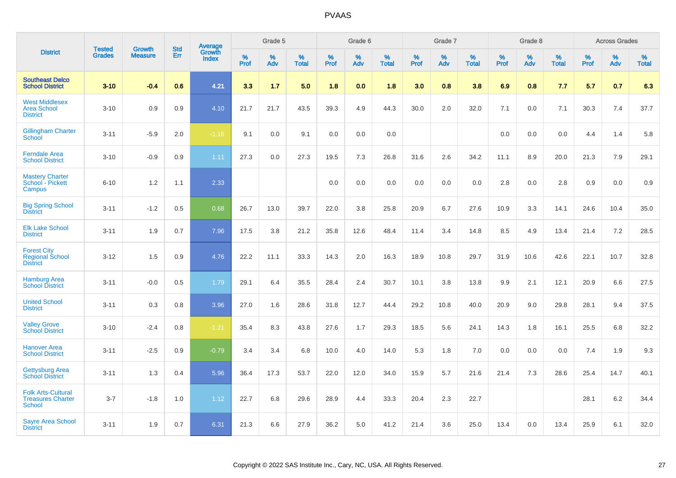|                                                                        |                                |                                 |                   | Average                |                     | Grade 5     |                   |                  | Grade 6     |                   |                  | Grade 7     |                   |                     | Grade 8  |                   |                     | <b>Across Grades</b> |                   |
|------------------------------------------------------------------------|--------------------------------|---------------------------------|-------------------|------------------------|---------------------|-------------|-------------------|------------------|-------------|-------------------|------------------|-------------|-------------------|---------------------|----------|-------------------|---------------------|----------------------|-------------------|
| <b>District</b>                                                        | <b>Tested</b><br><b>Grades</b> | <b>Growth</b><br><b>Measure</b> | <b>Std</b><br>Err | Growth<br><b>Index</b> | $\%$<br><b>Prof</b> | $\%$<br>Adv | %<br><b>Total</b> | %<br><b>Prof</b> | $\%$<br>Adv | %<br><b>Total</b> | %<br><b>Prof</b> | $\%$<br>Adv | %<br><b>Total</b> | $\%$<br><b>Prof</b> | %<br>Adv | %<br><b>Total</b> | $\%$<br><b>Prof</b> | $\%$<br>Adv          | %<br><b>Total</b> |
| <b>Southeast Delco</b><br><b>School District</b>                       | $3 - 10$                       | $-0.4$                          | 0.6               | 4.21                   | 3.3                 | 1.7         | 5.0               | 1.8              | 0.0         | 1.8               | 3.0              | 0.8         | 3.8               | 6.9                 | 0.8      | 7.7               | 5.7                 | 0.7                  | 6.3               |
| <b>West Middlesex</b><br><b>Area School</b><br><b>District</b>         | $3 - 10$                       | 0.9                             | 0.9               | 4.10                   | 21.7                | 21.7        | 43.5              | 39.3             | 4.9         | 44.3              | 30.0             | 2.0         | 32.0              | 7.1                 | 0.0      | 7.1               | 30.3                | 7.4                  | 37.7              |
| <b>Gillingham Charter</b><br>School                                    | $3 - 11$                       | $-5.9$                          | 2.0               | $-1.16$                | 9.1                 | 0.0         | 9.1               | 0.0              | 0.0         | 0.0               |                  |             |                   | 0.0                 | 0.0      | 0.0               | 4.4                 | 1.4                  | 5.8               |
| <b>Ferndale Area</b><br><b>School District</b>                         | $3 - 10$                       | $-0.9$                          | 0.9               | 1.11                   | 27.3                | 0.0         | 27.3              | 19.5             | 7.3         | 26.8              | 31.6             | 2.6         | 34.2              | 11.1                | 8.9      | 20.0              | 21.3                | 7.9                  | 29.1              |
| <b>Mastery Charter</b><br>School - Pickett<br>Campus                   | $6 - 10$                       | 1.2                             | 1.1               | 2.33                   |                     |             |                   | 0.0              | 0.0         | 0.0               | 0.0              | 0.0         | 0.0               | 2.8                 | 0.0      | 2.8               | 0.9                 | 0.0                  | 0.9               |
| <b>Big Spring School</b><br><b>District</b>                            | $3 - 11$                       | $-1.2$                          | 0.5               | 0.68                   | 26.7                | 13.0        | 39.7              | 22.0             | 3.8         | 25.8              | 20.9             | 6.7         | 27.6              | 10.9                | 3.3      | 14.1              | 24.6                | 10.4                 | 35.0              |
| <b>Elk Lake School</b><br><b>District</b>                              | $3 - 11$                       | 1.9                             | 0.7               | 7.96                   | 17.5                | 3.8         | 21.2              | 35.8             | 12.6        | 48.4              | 11.4             | 3.4         | 14.8              | 8.5                 | 4.9      | 13.4              | 21.4                | 7.2                  | 28.5              |
| <b>Forest City</b><br><b>Regional School</b><br><b>District</b>        | $3 - 12$                       | 1.5                             | 0.9               | 4.76                   | 22.2                | 11.1        | 33.3              | 14.3             | 2.0         | 16.3              | 18.9             | 10.8        | 29.7              | 31.9                | 10.6     | 42.6              | 22.1                | 10.7                 | 32.8              |
| <b>Hamburg Area</b><br><b>School District</b>                          | $3 - 11$                       | $-0.0$                          | 0.5               | 1.79                   | 29.1                | 6.4         | 35.5              | 28.4             | 2.4         | 30.7              | 10.1             | 3.8         | 13.8              | 9.9                 | 2.1      | 12.1              | 20.9                | 6.6                  | 27.5              |
| <b>United School</b><br><b>District</b>                                | $3 - 11$                       | 0.3                             | 0.8               | 3.96                   | 27.0                | 1.6         | 28.6              | 31.8             | 12.7        | 44.4              | 29.2             | 10.8        | 40.0              | 20.9                | 9.0      | 29.8              | 28.1                | 9.4                  | 37.5              |
| <b>Valley Grove</b><br><b>School District</b>                          | $3 - 10$                       | $-2.4$                          | 0.8               | $-1.21$                | 35.4                | 8.3         | 43.8              | 27.6             | 1.7         | 29.3              | 18.5             | 5.6         | 24.1              | 14.3                | 1.8      | 16.1              | 25.5                | 6.8                  | 32.2              |
| <b>Hanover Area</b><br><b>School District</b>                          | $3 - 11$                       | $-2.5$                          | 0.9               | $-0.79$                | 3.4                 | 3.4         | 6.8               | 10.0             | 4.0         | 14.0              | 5.3              | 1.8         | 7.0               | 0.0                 | 0.0      | 0.0               | 7.4                 | 1.9                  | 9.3               |
| <b>Gettysburg Area</b><br><b>School District</b>                       | $3 - 11$                       | 1.3                             | 0.4               | 5.96                   | 36.4                | 17.3        | 53.7              | 22.0             | 12.0        | 34.0              | 15.9             | 5.7         | 21.6              | 21.4                | 7.3      | 28.6              | 25.4                | 14.7                 | 40.1              |
| <b>Folk Arts-Cultural</b><br><b>Treasures Charter</b><br><b>School</b> | $3 - 7$                        | $-1.8$                          | 1.0               | 1.12                   | 22.7                | 6.8         | 29.6              | 28.9             | 4.4         | 33.3              | 20.4             | 2.3         | 22.7              |                     |          |                   | 28.1                | 6.2                  | 34.4              |
| <b>Sayre Area School</b><br><b>District</b>                            | $3 - 11$                       | 1.9                             | 0.7               | 6.31                   | 21.3                | 6.6         | 27.9              | 36.2             | 5.0         | 41.2              | 21.4             | 3.6         | 25.0              | 13.4                | 0.0      | 13.4              | 25.9                | 6.1                  | 32.0              |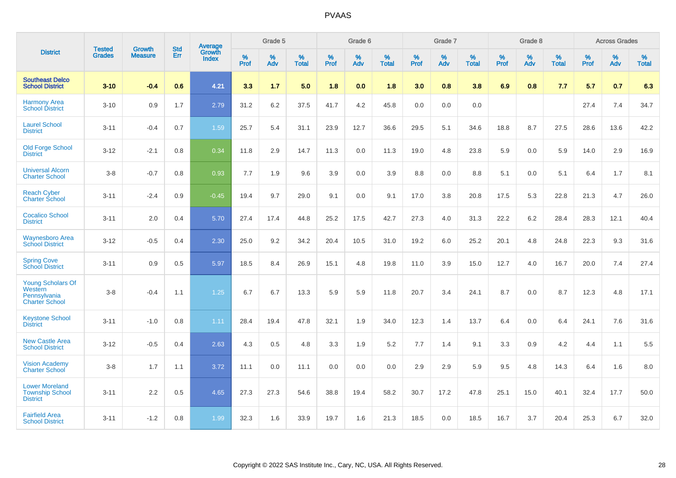|                                                                       |                                |                                 | <b>Std</b> | Average         |           | Grade 5  |                   |           | Grade 6  |                   |           | Grade 7  |                   |           | Grade 8  |                   |           | <b>Across Grades</b> |                   |
|-----------------------------------------------------------------------|--------------------------------|---------------------------------|------------|-----------------|-----------|----------|-------------------|-----------|----------|-------------------|-----------|----------|-------------------|-----------|----------|-------------------|-----------|----------------------|-------------------|
| <b>District</b>                                                       | <b>Tested</b><br><b>Grades</b> | <b>Growth</b><br><b>Measure</b> | Err        | Growth<br>Index | %<br>Prof | %<br>Adv | %<br><b>Total</b> | %<br>Prof | %<br>Adv | %<br><b>Total</b> | %<br>Prof | %<br>Adv | %<br><b>Total</b> | %<br>Prof | %<br>Adv | %<br><b>Total</b> | %<br>Prof | %<br>Adv             | %<br><b>Total</b> |
| <b>Southeast Delco</b><br><b>School District</b>                      | $3 - 10$                       | $-0.4$                          | 0.6        | 4.21            | 3.3       | 1.7      | 5.0               | 1.8       | 0.0      | 1.8               | 3.0       | 0.8      | 3.8               | 6.9       | 0.8      | 7.7               | 5.7       | 0.7                  | 6.3               |
| <b>Harmony Area</b><br><b>School District</b>                         | $3 - 10$                       | 0.9                             | 1.7        | 2.79            | 31.2      | 6.2      | 37.5              | 41.7      | 4.2      | 45.8              | 0.0       | 0.0      | 0.0               |           |          |                   | 27.4      | 7.4                  | 34.7              |
| <b>Laurel School</b><br><b>District</b>                               | $3 - 11$                       | $-0.4$                          | 0.7        | 1.59            | 25.7      | 5.4      | 31.1              | 23.9      | 12.7     | 36.6              | 29.5      | 5.1      | 34.6              | 18.8      | 8.7      | 27.5              | 28.6      | 13.6                 | 42.2              |
| <b>Old Forge School</b><br><b>District</b>                            | $3 - 12$                       | $-2.1$                          | 0.8        | 0.34            | 11.8      | 2.9      | 14.7              | 11.3      | 0.0      | 11.3              | 19.0      | 4.8      | 23.8              | 5.9       | 0.0      | 5.9               | 14.0      | 2.9                  | 16.9              |
| <b>Universal Alcorn</b><br><b>Charter School</b>                      | $3 - 8$                        | $-0.7$                          | 0.8        | 0.93            | 7.7       | 1.9      | 9.6               | 3.9       | 0.0      | 3.9               | 8.8       | 0.0      | 8.8               | 5.1       | 0.0      | 5.1               | 6.4       | 1.7                  | 8.1               |
| <b>Reach Cyber</b><br><b>Charter School</b>                           | $3 - 11$                       | $-2.4$                          | 0.9        | $-0.45$         | 19.4      | 9.7      | 29.0              | 9.1       | 0.0      | 9.1               | 17.0      | 3.8      | 20.8              | 17.5      | 5.3      | 22.8              | 21.3      | 4.7                  | 26.0              |
| <b>Cocalico School</b><br><b>District</b>                             | $3 - 11$                       | 2.0                             | 0.4        | 5.70            | 27.4      | 17.4     | 44.8              | 25.2      | 17.5     | 42.7              | 27.3      | 4.0      | 31.3              | 22.2      | $6.2\,$  | 28.4              | 28.3      | 12.1                 | 40.4              |
| <b>Waynesboro Area</b><br><b>School District</b>                      | $3 - 12$                       | $-0.5$                          | 0.4        | 2.30            | 25.0      | 9.2      | 34.2              | 20.4      | 10.5     | 31.0              | 19.2      | 6.0      | 25.2              | 20.1      | 4.8      | 24.8              | 22.3      | 9.3                  | 31.6              |
| <b>Spring Cove</b><br><b>School District</b>                          | $3 - 11$                       | 0.9                             | 0.5        | 5.97            | 18.5      | 8.4      | 26.9              | 15.1      | 4.8      | 19.8              | 11.0      | 3.9      | 15.0              | 12.7      | 4.0      | 16.7              | 20.0      | 7.4                  | 27.4              |
| Young Scholars Of<br>Western<br>Pennsylvania<br><b>Charter School</b> | $3 - 8$                        | $-0.4$                          | 1.1        | 1.25            | 6.7       | 6.7      | 13.3              | 5.9       | 5.9      | 11.8              | 20.7      | 3.4      | 24.1              | 8.7       | 0.0      | 8.7               | 12.3      | 4.8                  | 17.1              |
| <b>Keystone School</b><br><b>District</b>                             | $3 - 11$                       | $-1.0$                          | 0.8        | 1.11            | 28.4      | 19.4     | 47.8              | 32.1      | 1.9      | 34.0              | 12.3      | 1.4      | 13.7              | 6.4       | 0.0      | 6.4               | 24.1      | 7.6                  | 31.6              |
| <b>New Castle Area</b><br><b>School District</b>                      | $3 - 12$                       | $-0.5$                          | 0.4        | 2.63            | 4.3       | 0.5      | 4.8               | 3.3       | 1.9      | 5.2               | 7.7       | 1.4      | 9.1               | 3.3       | 0.9      | 4.2               | 4.4       | 1.1                  | 5.5               |
| <b>Vision Academy</b><br><b>Charter School</b>                        | $3 - 8$                        | 1.7                             | 1.1        | 3.72            | 11.1      | 0.0      | 11.1              | 0.0       | 0.0      | 0.0               | 2.9       | 2.9      | 5.9               | 9.5       | 4.8      | 14.3              | 6.4       | 1.6                  | 8.0               |
| <b>Lower Moreland</b><br><b>Township School</b><br><b>District</b>    | $3 - 11$                       | 2.2                             | 0.5        | 4.65            | 27.3      | 27.3     | 54.6              | 38.8      | 19.4     | 58.2              | 30.7      | 17.2     | 47.8              | 25.1      | 15.0     | 40.1              | 32.4      | 17.7                 | 50.0              |
| <b>Fairfield Area</b><br><b>School District</b>                       | $3 - 11$                       | $-1.2$                          | 0.8        | 1.99            | 32.3      | 1.6      | 33.9              | 19.7      | 1.6      | 21.3              | 18.5      | 0.0      | 18.5              | 16.7      | 3.7      | 20.4              | 25.3      | 6.7                  | 32.0              |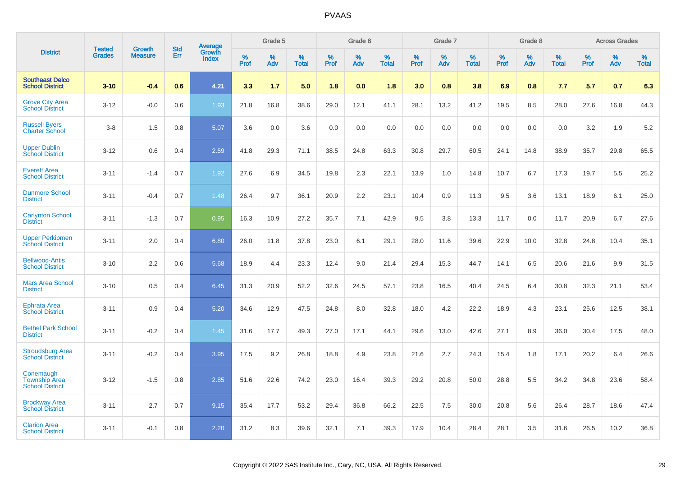|                                                             |                                |                          | <b>Std</b> |                                          |                     | Grade 5  |                      |              | Grade 6     |                      |              | Grade 7  |                      |              | Grade 8     |                      |              | <b>Across Grades</b> |                      |
|-------------------------------------------------------------|--------------------------------|--------------------------|------------|------------------------------------------|---------------------|----------|----------------------|--------------|-------------|----------------------|--------------|----------|----------------------|--------------|-------------|----------------------|--------------|----------------------|----------------------|
| <b>District</b>                                             | <b>Tested</b><br><b>Grades</b> | Growth<br><b>Measure</b> | Err        | <b>Average</b><br>Growth<br><b>Index</b> | $\%$<br><b>Prof</b> | %<br>Adv | $\%$<br><b>Total</b> | $\%$<br>Prof | $\%$<br>Adv | $\%$<br><b>Total</b> | $\%$<br>Prof | %<br>Adv | $\%$<br><b>Total</b> | $\%$<br>Prof | $\%$<br>Adv | $\%$<br><b>Total</b> | $\%$<br>Prof | $\%$<br>Adv          | $\%$<br><b>Total</b> |
| <b>Southeast Delco</b><br><b>School District</b>            | $3 - 10$                       | $-0.4$                   | 0.6        | 4.21                                     | 3.3                 | 1.7      | 5.0                  | 1.8          | 0.0         | 1.8                  | 3.0          | 0.8      | 3.8                  | 6.9          | 0.8         | 7.7                  | 5.7          | 0.7                  | 6.3                  |
| <b>Grove City Area</b><br><b>School District</b>            | $3 - 12$                       | $-0.0$                   | 0.6        | 1.93                                     | 21.8                | 16.8     | 38.6                 | 29.0         | 12.1        | 41.1                 | 28.1         | 13.2     | 41.2                 | 19.5         | 8.5         | 28.0                 | 27.6         | 16.8                 | 44.3                 |
| <b>Russell Byers</b><br><b>Charter School</b>               | $3 - 8$                        | 1.5                      | 0.8        | 5.07                                     | 3.6                 | 0.0      | 3.6                  | 0.0          | 0.0         | 0.0                  | 0.0          | 0.0      | 0.0                  | 0.0          | 0.0         | 0.0                  | 3.2          | 1.9                  | 5.2                  |
| <b>Upper Dublin</b><br><b>School District</b>               | $3 - 12$                       | 0.6                      | 0.4        | 2.59                                     | 41.8                | 29.3     | 71.1                 | 38.5         | 24.8        | 63.3                 | 30.8         | 29.7     | 60.5                 | 24.1         | 14.8        | 38.9                 | 35.7         | 29.8                 | 65.5                 |
| <b>Everett Area</b><br><b>School District</b>               | $3 - 11$                       | $-1.4$                   | 0.7        | 1.92                                     | 27.6                | 6.9      | 34.5                 | 19.8         | 2.3         | 22.1                 | 13.9         | 1.0      | 14.8                 | 10.7         | 6.7         | 17.3                 | 19.7         | 5.5                  | 25.2                 |
| <b>Dunmore School</b><br><b>District</b>                    | $3 - 11$                       | $-0.4$                   | 0.7        | 1.48                                     | 26.4                | 9.7      | 36.1                 | 20.9         | 2.2         | 23.1                 | 10.4         | 0.9      | 11.3                 | 9.5          | 3.6         | 13.1                 | 18.9         | 6.1                  | 25.0                 |
| <b>Carlynton School</b><br><b>District</b>                  | $3 - 11$                       | $-1.3$                   | 0.7        | 0.95                                     | 16.3                | 10.9     | 27.2                 | 35.7         | 7.1         | 42.9                 | 9.5          | 3.8      | 13.3                 | 11.7         | 0.0         | 11.7                 | 20.9         | 6.7                  | 27.6                 |
| <b>Upper Perkiomen</b><br><b>School District</b>            | $3 - 11$                       | 2.0                      | 0.4        | 6.80                                     | 26.0                | 11.8     | 37.8                 | 23.0         | 6.1         | 29.1                 | 28.0         | 11.6     | 39.6                 | 22.9         | 10.0        | 32.8                 | 24.8         | 10.4                 | 35.1                 |
| <b>Bellwood-Antis</b><br><b>School District</b>             | $3 - 10$                       | 2.2                      | 0.6        | 5.68                                     | 18.9                | 4.4      | 23.3                 | 12.4         | 9.0         | 21.4                 | 29.4         | 15.3     | 44.7                 | 14.1         | 6.5         | 20.6                 | 21.6         | 9.9                  | 31.5                 |
| <b>Mars Area School</b><br><b>District</b>                  | $3 - 10$                       | 0.5                      | 0.4        | 6.45                                     | 31.3                | 20.9     | 52.2                 | 32.6         | 24.5        | 57.1                 | 23.8         | 16.5     | 40.4                 | 24.5         | 6.4         | 30.8                 | 32.3         | 21.1                 | 53.4                 |
| <b>Ephrata Area</b><br><b>School District</b>               | $3 - 11$                       | 0.9                      | 0.4        | 5.20                                     | 34.6                | 12.9     | 47.5                 | 24.8         | 8.0         | 32.8                 | 18.0         | 4.2      | 22.2                 | 18.9         | 4.3         | 23.1                 | 25.6         | 12.5                 | 38.1                 |
| <b>Bethel Park School</b><br><b>District</b>                | $3 - 11$                       | $-0.2$                   | 0.4        | 1.45                                     | 31.6                | 17.7     | 49.3                 | 27.0         | 17.1        | 44.1                 | 29.6         | 13.0     | 42.6                 | 27.1         | 8.9         | 36.0                 | 30.4         | 17.5                 | 48.0                 |
| <b>Stroudsburg Area</b><br><b>School District</b>           | $3 - 11$                       | $-0.2$                   | 0.4        | 3.95                                     | 17.5                | 9.2      | 26.8                 | 18.8         | 4.9         | 23.8                 | 21.6         | 2.7      | 24.3                 | 15.4         | 1.8         | 17.1                 | 20.2         | 6.4                  | 26.6                 |
| Conemaugh<br><b>Township Area</b><br><b>School District</b> | $3 - 12$                       | $-1.5$                   | 0.8        | 2.85                                     | 51.6                | 22.6     | 74.2                 | 23.0         | 16.4        | 39.3                 | 29.2         | 20.8     | 50.0                 | 28.8         | 5.5         | 34.2                 | 34.8         | 23.6                 | 58.4                 |
| <b>Brockway Area</b><br><b>School District</b>              | $3 - 11$                       | 2.7                      | 0.7        | 9.15                                     | 35.4                | 17.7     | 53.2                 | 29.4         | 36.8        | 66.2                 | 22.5         | 7.5      | 30.0                 | 20.8         | 5.6         | 26.4                 | 28.7         | 18.6                 | 47.4                 |
| <b>Clarion Area</b><br><b>School District</b>               | $3 - 11$                       | $-0.1$                   | 0.8        | 2.20                                     | 31.2                | 8.3      | 39.6                 | 32.1         | 7.1         | 39.3                 | 17.9         | 10.4     | 28.4                 | 28.1         | 3.5         | 31.6                 | 26.5         | 10.2                 | 36.8                 |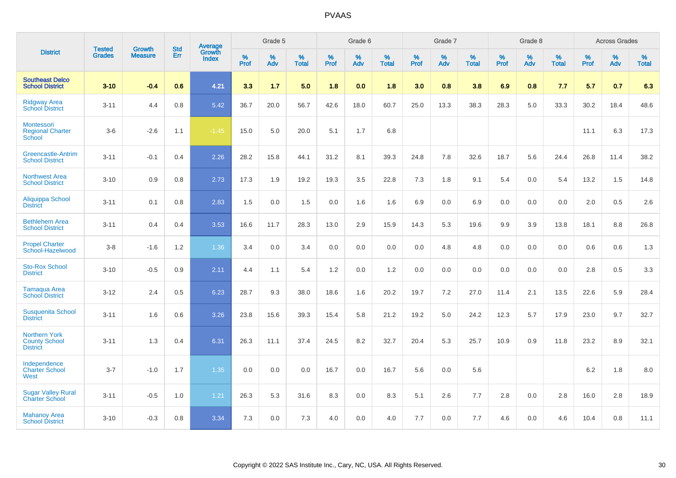|                                                                 | <b>Tested</b> | <b>Growth</b>  | <b>Std</b> | Average                |           | Grade 5  |                   |           | Grade 6  |                   |           | Grade 7  |                   |           | Grade 8  |                   |           | <b>Across Grades</b> |                   |
|-----------------------------------------------------------------|---------------|----------------|------------|------------------------|-----------|----------|-------------------|-----------|----------|-------------------|-----------|----------|-------------------|-----------|----------|-------------------|-----------|----------------------|-------------------|
| <b>District</b>                                                 | <b>Grades</b> | <b>Measure</b> | Err        | Growth<br><b>Index</b> | %<br>Prof | %<br>Adv | %<br><b>Total</b> | %<br>Prof | %<br>Adv | %<br><b>Total</b> | %<br>Prof | %<br>Adv | %<br><b>Total</b> | %<br>Prof | %<br>Adv | %<br><b>Total</b> | %<br>Prof | %<br>Adv             | %<br><b>Total</b> |
| <b>Southeast Delco</b><br><b>School District</b>                | $3 - 10$      | $-0.4$         | 0.6        | 4.21                   | 3.3       | 1.7      | 5.0               | 1.8       | 0.0      | 1.8               | 3.0       | 0.8      | 3.8               | 6.9       | 0.8      | 7.7               | 5.7       | 0.7                  | 6.3               |
| <b>Ridgway Area</b><br><b>School District</b>                   | $3 - 11$      | 4.4            | 0.8        | 5.42                   | 36.7      | 20.0     | 56.7              | 42.6      | 18.0     | 60.7              | 25.0      | 13.3     | 38.3              | 28.3      | 5.0      | 33.3              | 30.2      | 18.4                 | 48.6              |
| Montessori<br><b>Regional Charter</b><br>School                 | $3-6$         | $-2.6$         | 1.1        | $-1.45$                | 15.0      | 5.0      | 20.0              | 5.1       | 1.7      | 6.8               |           |          |                   |           |          |                   | 11.1      | 6.3                  | 17.3              |
| Greencastle-Antrim<br><b>School District</b>                    | $3 - 11$      | $-0.1$         | 0.4        | 2.26                   | 28.2      | 15.8     | 44.1              | 31.2      | 8.1      | 39.3              | 24.8      | 7.8      | 32.6              | 18.7      | 5.6      | 24.4              | 26.8      | 11.4                 | 38.2              |
| <b>Northwest Area</b><br><b>School District</b>                 | $3 - 10$      | 0.9            | 0.8        | 2.73                   | 17.3      | 1.9      | 19.2              | 19.3      | 3.5      | 22.8              | 7.3       | 1.8      | 9.1               | 5.4       | 0.0      | 5.4               | 13.2      | 1.5                  | 14.8              |
| Aliquippa School<br><b>District</b>                             | $3 - 11$      | 0.1            | 0.8        | 2.83                   | 1.5       | 0.0      | 1.5               | 0.0       | 1.6      | 1.6               | 6.9       | 0.0      | 6.9               | 0.0       | 0.0      | 0.0               | 2.0       | 0.5                  | 2.6               |
| <b>Bethlehem Area</b><br><b>School District</b>                 | $3 - 11$      | 0.4            | 0.4        | 3.53                   | 16.6      | 11.7     | 28.3              | 13.0      | 2.9      | 15.9              | 14.3      | 5.3      | 19.6              | 9.9       | 3.9      | 13.8              | 18.1      | 8.8                  | 26.8              |
| <b>Propel Charter</b><br>School-Hazelwood                       | $3 - 8$       | $-1.6$         | 1.2        | 1.36                   | 3.4       | 0.0      | 3.4               | 0.0       | 0.0      | 0.0               | 0.0       | 4.8      | 4.8               | 0.0       | 0.0      | 0.0               | 0.6       | 0.6                  | 1.3               |
| <b>Sto-Rox School</b><br><b>District</b>                        | $3 - 10$      | $-0.5$         | 0.9        | 2.11                   | 4.4       | 1.1      | 5.4               | 1.2       | 0.0      | 1.2               | 0.0       | 0.0      | 0.0               | 0.0       | 0.0      | 0.0               | 2.8       | 0.5                  | 3.3               |
| Tamaqua Area<br><b>School District</b>                          | $3 - 12$      | 2.4            | 0.5        | 6.23                   | 28.7      | 9.3      | 38.0              | 18.6      | 1.6      | 20.2              | 19.7      | $7.2\,$  | 27.0              | 11.4      | 2.1      | 13.5              | 22.6      | 5.9                  | 28.4              |
| <b>Susquenita School</b><br><b>District</b>                     | $3 - 11$      | 1.6            | 0.6        | 3.26                   | 23.8      | 15.6     | 39.3              | 15.4      | 5.8      | 21.2              | 19.2      | 5.0      | 24.2              | 12.3      | 5.7      | 17.9              | 23.0      | 9.7                  | 32.7              |
| <b>Northern York</b><br><b>County School</b><br><b>District</b> | $3 - 11$      | 1.3            | 0.4        | 6.31                   | 26.3      | 11.1     | 37.4              | 24.5      | 8.2      | 32.7              | 20.4      | 5.3      | 25.7              | 10.9      | 0.9      | 11.8              | 23.2      | 8.9                  | 32.1              |
| Independence<br><b>Charter School</b><br>West                   | $3 - 7$       | $-1.0$         | 1.7        | 1.35                   | 0.0       | 0.0      | 0.0               | 16.7      | 0.0      | 16.7              | 5.6       | 0.0      | 5.6               |           |          |                   | $6.2\,$   | 1.8                  | $8.0\,$           |
| <b>Sugar Valley Rural</b><br><b>Charter School</b>              | $3 - 11$      | $-0.5$         | 1.0        | 1.21                   | 26.3      | 5.3      | 31.6              | 8.3       | 0.0      | 8.3               | 5.1       | 2.6      | 7.7               | 2.8       | 0.0      | 2.8               | 16.0      | 2.8                  | 18.9              |
| <b>Mahanoy Area</b><br><b>School District</b>                   | $3 - 10$      | $-0.3$         | 0.8        | 3.34                   | 7.3       | 0.0      | 7.3               | 4.0       | 0.0      | 4.0               | 7.7       | 0.0      | 7.7               | 4.6       | 0.0      | 4.6               | 10.4      | 0.8                  | 11.1              |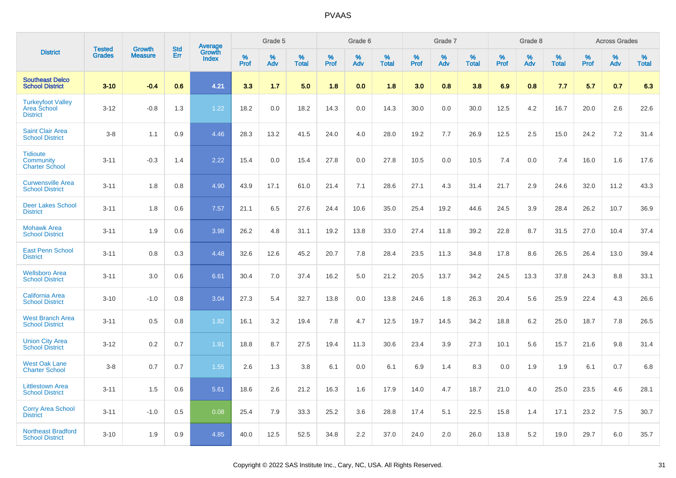|                                                                   |                                |                                 |                   |                                   |           | Grade 5  |                   |           | Grade 6  |                   |           | Grade 7  |                   |           | Grade 8  |                   |           | <b>Across Grades</b> |                   |
|-------------------------------------------------------------------|--------------------------------|---------------------------------|-------------------|-----------------------------------|-----------|----------|-------------------|-----------|----------|-------------------|-----------|----------|-------------------|-----------|----------|-------------------|-----------|----------------------|-------------------|
| <b>District</b>                                                   | <b>Tested</b><br><b>Grades</b> | <b>Growth</b><br><b>Measure</b> | <b>Std</b><br>Err | Average<br>Growth<br><b>Index</b> | %<br>Prof | %<br>Adv | %<br><b>Total</b> | %<br>Prof | %<br>Adv | %<br><b>Total</b> | %<br>Prof | %<br>Adv | %<br><b>Total</b> | %<br>Prof | %<br>Adv | %<br><b>Total</b> | %<br>Prof | %<br>Adv             | %<br><b>Total</b> |
| <b>Southeast Delco</b><br><b>School District</b>                  | $3 - 10$                       | $-0.4$                          | 0.6               | 4.21                              | 3.3       | 1.7      | 5.0               | 1.8       | 0.0      | 1.8               | 3.0       | 0.8      | 3.8               | 6.9       | 0.8      | 7.7               | 5.7       | 0.7                  | 6.3               |
| <b>Turkeyfoot Valley</b><br><b>Area School</b><br><b>District</b> | $3 - 12$                       | $-0.8$                          | 1.3               | 1.22                              | 18.2      | 0.0      | 18.2              | 14.3      | 0.0      | 14.3              | 30.0      | 0.0      | 30.0              | 12.5      | 4.2      | 16.7              | 20.0      | 2.6                  | 22.6              |
| <b>Saint Clair Area</b><br><b>School District</b>                 | $3 - 8$                        | 1.1                             | 0.9               | 4.46                              | 28.3      | 13.2     | 41.5              | 24.0      | 4.0      | 28.0              | 19.2      | 7.7      | 26.9              | 12.5      | 2.5      | 15.0              | 24.2      | $7.2\,$              | 31.4              |
| <b>Tidioute</b><br><b>Community</b><br><b>Charter School</b>      | $3 - 11$                       | $-0.3$                          | 1.4               | 2.22                              | 15.4      | 0.0      | 15.4              | 27.8      | 0.0      | 27.8              | 10.5      | 0.0      | 10.5              | 7.4       | 0.0      | 7.4               | 16.0      | 1.6                  | 17.6              |
| <b>Curwensville Area</b><br><b>School District</b>                | $3 - 11$                       | 1.8                             | 0.8               | 4.90                              | 43.9      | 17.1     | 61.0              | 21.4      | 7.1      | 28.6              | 27.1      | 4.3      | 31.4              | 21.7      | 2.9      | 24.6              | 32.0      | 11.2                 | 43.3              |
| <b>Deer Lakes School</b><br><b>District</b>                       | $3 - 11$                       | 1.8                             | 0.6               | 7.57                              | 21.1      | 6.5      | 27.6              | 24.4      | 10.6     | 35.0              | 25.4      | 19.2     | 44.6              | 24.5      | 3.9      | 28.4              | 26.2      | 10.7                 | 36.9              |
| <b>Mohawk Area</b><br><b>School District</b>                      | $3 - 11$                       | 1.9                             | 0.6               | 3.98                              | 26.2      | 4.8      | 31.1              | 19.2      | 13.8     | 33.0              | 27.4      | 11.8     | 39.2              | 22.8      | 8.7      | 31.5              | 27.0      | 10.4                 | 37.4              |
| <b>East Penn School</b><br><b>District</b>                        | $3 - 11$                       | 0.8                             | 0.3               | 4.48                              | 32.6      | 12.6     | 45.2              | 20.7      | 7.8      | 28.4              | 23.5      | 11.3     | 34.8              | 17.8      | 8.6      | 26.5              | 26.4      | 13.0                 | 39.4              |
| <b>Wellsboro Area</b><br><b>School District</b>                   | $3 - 11$                       | 3.0                             | 0.6               | 6.61                              | 30.4      | 7.0      | 37.4              | 16.2      | 5.0      | 21.2              | 20.5      | 13.7     | 34.2              | 24.5      | 13.3     | 37.8              | 24.3      | 8.8                  | 33.1              |
| <b>California Area</b><br><b>School District</b>                  | $3 - 10$                       | $-1.0$                          | 0.8               | 3.04                              | 27.3      | 5.4      | 32.7              | 13.8      | 0.0      | 13.8              | 24.6      | 1.8      | 26.3              | 20.4      | 5.6      | 25.9              | 22.4      | 4.3                  | 26.6              |
| <b>West Branch Area</b><br><b>School District</b>                 | $3 - 11$                       | 0.5                             | 0.8               | 1.82                              | 16.1      | 3.2      | 19.4              | 7.8       | 4.7      | 12.5              | 19.7      | 14.5     | 34.2              | 18.8      | 6.2      | 25.0              | 18.7      | 7.8                  | 26.5              |
| <b>Union City Area</b><br><b>School District</b>                  | $3 - 12$                       | 0.2                             | 0.7               | 1.91                              | 18.8      | 8.7      | 27.5              | 19.4      | 11.3     | 30.6              | 23.4      | 3.9      | 27.3              | 10.1      | 5.6      | 15.7              | 21.6      | 9.8                  | 31.4              |
| <b>West Oak Lane</b><br><b>Charter School</b>                     | $3 - 8$                        | 0.7                             | 0.7               | 1.55                              | 2.6       | 1.3      | 3.8               | 6.1       | 0.0      | 6.1               | 6.9       | 1.4      | 8.3               | 0.0       | 1.9      | 1.9               | 6.1       | 0.7                  | 6.8               |
| <b>Littlestown Area</b><br><b>School District</b>                 | $3 - 11$                       | 1.5                             | 0.6               | 5.61                              | 18.6      | 2.6      | 21.2              | 16.3      | 1.6      | 17.9              | 14.0      | 4.7      | 18.7              | 21.0      | 4.0      | 25.0              | 23.5      | 4.6                  | 28.1              |
| <b>Corry Area School</b><br><b>District</b>                       | $3 - 11$                       | $-1.0$                          | 0.5               | 0.08                              | 25.4      | 7.9      | 33.3              | 25.2      | 3.6      | 28.8              | 17.4      | 5.1      | 22.5              | 15.8      | 1.4      | 17.1              | 23.2      | 7.5                  | 30.7              |
| <b>Northeast Bradford</b><br><b>School District</b>               | $3 - 10$                       | 1.9                             | 0.9               | 4.85                              | 40.0      | 12.5     | 52.5              | 34.8      | 2.2      | 37.0              | 24.0      | 2.0      | 26.0              | 13.8      | 5.2      | 19.0              | 29.7      | 6.0                  | 35.7              |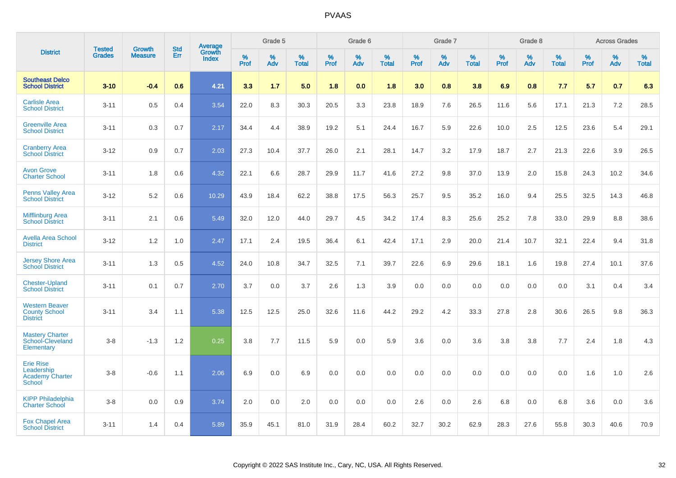|                                                                           | <b>Tested</b> | <b>Growth</b>  | <b>Std</b> | Average                |              | Grade 5  |                   |           | Grade 6  |                   |              | Grade 7  |                   |              | Grade 8  |                   |              | <b>Across Grades</b> |                   |
|---------------------------------------------------------------------------|---------------|----------------|------------|------------------------|--------------|----------|-------------------|-----------|----------|-------------------|--------------|----------|-------------------|--------------|----------|-------------------|--------------|----------------------|-------------------|
| <b>District</b>                                                           | <b>Grades</b> | <b>Measure</b> | Err        | Growth<br><b>Index</b> | $\%$<br>Prof | %<br>Adv | %<br><b>Total</b> | %<br>Prof | %<br>Adv | %<br><b>Total</b> | $\%$<br>Prof | %<br>Adv | %<br><b>Total</b> | $\%$<br>Prof | %<br>Adv | %<br><b>Total</b> | $\%$<br>Prof | $\%$<br>Adv          | %<br><b>Total</b> |
| <b>Southeast Delco</b><br><b>School District</b>                          | $3 - 10$      | $-0.4$         | 0.6        | 4.21                   | 3.3          | 1.7      | 5.0               | 1.8       | 0.0      | 1.8               | 3.0          | 0.8      | 3.8               | 6.9          | 0.8      | 7.7               | 5.7          | 0.7                  | 6.3               |
| <b>Carlisle Area</b><br><b>School District</b>                            | $3 - 11$      | 0.5            | 0.4        | 3.54                   | 22.0         | 8.3      | 30.3              | 20.5      | 3.3      | 23.8              | 18.9         | 7.6      | 26.5              | 11.6         | 5.6      | 17.1              | 21.3         | 7.2                  | 28.5              |
| <b>Greenville Area</b><br><b>School District</b>                          | $3 - 11$      | 0.3            | 0.7        | 2.17                   | 34.4         | 4.4      | 38.9              | 19.2      | 5.1      | 24.4              | 16.7         | 5.9      | 22.6              | 10.0         | 2.5      | 12.5              | 23.6         | 5.4                  | 29.1              |
| <b>Cranberry Area</b><br><b>School District</b>                           | $3 - 12$      | 0.9            | 0.7        | 2.03                   | 27.3         | 10.4     | 37.7              | 26.0      | 2.1      | 28.1              | 14.7         | 3.2      | 17.9              | 18.7         | 2.7      | 21.3              | 22.6         | 3.9                  | 26.5              |
| <b>Avon Grove</b><br><b>Charter School</b>                                | $3 - 11$      | 1.8            | 0.6        | 4.32                   | 22.1         | 6.6      | 28.7              | 29.9      | 11.7     | 41.6              | 27.2         | 9.8      | 37.0              | 13.9         | 2.0      | 15.8              | 24.3         | 10.2                 | 34.6              |
| <b>Penns Valley Area</b><br><b>School District</b>                        | $3 - 12$      | 5.2            | 0.6        | 10.29                  | 43.9         | 18.4     | 62.2              | 38.8      | 17.5     | 56.3              | 25.7         | 9.5      | 35.2              | 16.0         | 9.4      | 25.5              | 32.5         | 14.3                 | 46.8              |
| <b>Mifflinburg Area</b><br><b>School District</b>                         | $3 - 11$      | 2.1            | 0.6        | 5.49                   | 32.0         | 12.0     | 44.0              | 29.7      | 4.5      | 34.2              | 17.4         | 8.3      | 25.6              | 25.2         | 7.8      | 33.0              | 29.9         | 8.8                  | 38.6              |
| <b>Avella Area School</b><br><b>District</b>                              | $3 - 12$      | 1.2            | 1.0        | 2.47                   | 17.1         | 2.4      | 19.5              | 36.4      | 6.1      | 42.4              | 17.1         | 2.9      | 20.0              | 21.4         | 10.7     | 32.1              | 22.4         | 9.4                  | 31.8              |
| <b>Jersey Shore Area</b><br><b>School District</b>                        | $3 - 11$      | 1.3            | 0.5        | 4.52                   | 24.0         | 10.8     | 34.7              | 32.5      | 7.1      | 39.7              | 22.6         | 6.9      | 29.6              | 18.1         | 1.6      | 19.8              | 27.4         | 10.1                 | 37.6              |
| <b>Chester-Upland</b><br><b>School District</b>                           | $3 - 11$      | 0.1            | 0.7        | 2.70                   | 3.7          | 0.0      | 3.7               | 2.6       | 1.3      | 3.9               | 0.0          | 0.0      | 0.0               | 0.0          | 0.0      | 0.0               | 3.1          | 0.4                  | 3.4               |
| <b>Western Beaver</b><br><b>County School</b><br><b>District</b>          | $3 - 11$      | 3.4            | 1.1        | 5.38                   | 12.5         | 12.5     | 25.0              | 32.6      | 11.6     | 44.2              | 29.2         | 4.2      | 33.3              | 27.8         | 2.8      | 30.6              | 26.5         | 9.8                  | 36.3              |
| <b>Mastery Charter</b><br>School-Cleveland<br>Elementary                  | $3 - 8$       | $-1.3$         | 1.2        | 0.25                   | 3.8          | 7.7      | 11.5              | 5.9       | 0.0      | 5.9               | 3.6          | 0.0      | 3.6               | 3.8          | 3.8      | 7.7               | 2.4          | 1.8                  | 4.3               |
| <b>Erie Rise</b><br>Leadership<br><b>Academy Charter</b><br><b>School</b> | $3 - 8$       | $-0.6$         | 1.1        | 2.06                   | 6.9          | 0.0      | 6.9               | 0.0       | 0.0      | 0.0               | 0.0          | 0.0      | 0.0               | 0.0          | 0.0      | 0.0               | 1.6          | 1.0                  | 2.6               |
| <b>KIPP Philadelphia</b><br><b>Charter School</b>                         | $3 - 8$       | 0.0            | 0.9        | 3.74                   | 2.0          | 0.0      | 2.0               | 0.0       | 0.0      | 0.0               | 2.6          | 0.0      | 2.6               | 6.8          | 0.0      | 6.8               | 3.6          | 0.0                  | 3.6               |
| <b>Fox Chapel Area</b><br><b>School District</b>                          | $3 - 11$      | 1.4            | 0.4        | 5.89                   | 35.9         | 45.1     | 81.0              | 31.9      | 28.4     | 60.2              | 32.7         | 30.2     | 62.9              | 28.3         | 27.6     | 55.8              | 30.3         | 40.6                 | 70.9              |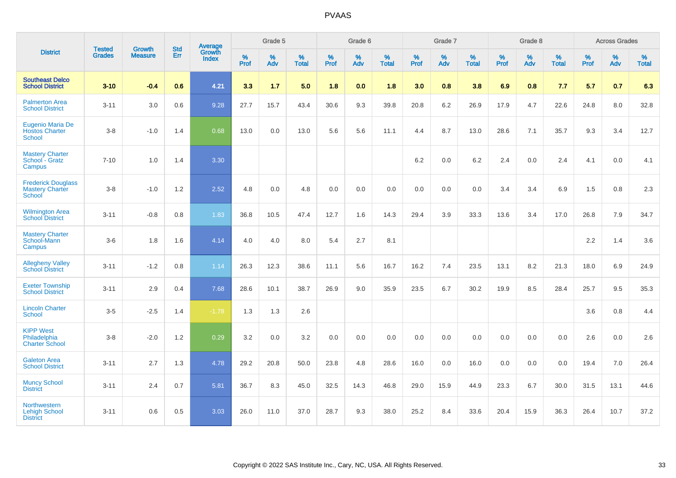|                                                               | <b>Tested</b> | <b>Growth</b>  | <b>Std</b> | Average                |              | Grade 5  |                   |              | Grade 6  |                   |              | Grade 7  |                   |              | Grade 8  |                   |              | <b>Across Grades</b> |                   |
|---------------------------------------------------------------|---------------|----------------|------------|------------------------|--------------|----------|-------------------|--------------|----------|-------------------|--------------|----------|-------------------|--------------|----------|-------------------|--------------|----------------------|-------------------|
| <b>District</b>                                               | <b>Grades</b> | <b>Measure</b> | Err        | Growth<br><b>Index</b> | $\%$<br>Prof | %<br>Adv | %<br><b>Total</b> | $\%$<br>Prof | %<br>Adv | %<br><b>Total</b> | $\%$<br>Prof | %<br>Adv | %<br><b>Total</b> | $\%$<br>Prof | %<br>Adv | %<br><b>Total</b> | $\%$<br>Prof | %<br>Adv             | %<br><b>Total</b> |
| <b>Southeast Delco</b><br><b>School District</b>              | $3 - 10$      | $-0.4$         | 0.6        | 4.21                   | 3.3          | 1.7      | 5.0               | 1.8          | 0.0      | 1.8               | 3.0          | 0.8      | 3.8               | 6.9          | 0.8      | 7.7               | 5.7          | 0.7                  | 6.3               |
| <b>Palmerton Area</b><br><b>School District</b>               | $3 - 11$      | 3.0            | 0.6        | 9.28                   | 27.7         | 15.7     | 43.4              | 30.6         | 9.3      | 39.8              | 20.8         | 6.2      | 26.9              | 17.9         | 4.7      | 22.6              | 24.8         | 8.0                  | 32.8              |
| Eugenio Maria De<br><b>Hostos Charter</b><br><b>School</b>    | $3 - 8$       | $-1.0$         | 1.4        | 0.68                   | 13.0         | 0.0      | 13.0              | 5.6          | 5.6      | 11.1              | 4.4          | 8.7      | 13.0              | 28.6         | 7.1      | 35.7              | 9.3          | 3.4                  | 12.7              |
| <b>Mastery Charter</b><br>School - Gratz<br>Campus            | $7 - 10$      | 1.0            | 1.4        | 3.30                   |              |          |                   |              |          |                   | 6.2          | 0.0      | 6.2               | 2.4          | 0.0      | 2.4               | 4.1          | 0.0                  | 4.1               |
| <b>Frederick Douglass</b><br><b>Mastery Charter</b><br>School | $3 - 8$       | $-1.0$         | 1.2        | 2.52                   | 4.8          | 0.0      | 4.8               | 0.0          | 0.0      | 0.0               | 0.0          | 0.0      | 0.0               | 3.4          | 3.4      | 6.9               | 1.5          | 0.8                  | 2.3               |
| <b>Wilmington Area</b><br><b>School District</b>              | $3 - 11$      | $-0.8$         | 0.8        | 1.83                   | 36.8         | 10.5     | 47.4              | 12.7         | 1.6      | 14.3              | 29.4         | 3.9      | 33.3              | 13.6         | 3.4      | 17.0              | 26.8         | 7.9                  | 34.7              |
| <b>Mastery Charter</b><br>School-Mann<br>Campus               | $3-6$         | 1.8            | 1.6        | 4.14                   | 4.0          | 4.0      | 8.0               | 5.4          | 2.7      | 8.1               |              |          |                   |              |          |                   | 2.2          | 1.4                  | 3.6               |
| <b>Allegheny Valley</b><br><b>School District</b>             | $3 - 11$      | $-1.2$         | 0.8        | 1.14                   | 26.3         | 12.3     | 38.6              | 11.1         | 5.6      | 16.7              | 16.2         | 7.4      | 23.5              | 13.1         | 8.2      | 21.3              | 18.0         | 6.9                  | 24.9              |
| <b>Exeter Township</b><br><b>School District</b>              | $3 - 11$      | 2.9            | 0.4        | 7.68                   | 28.6         | 10.1     | 38.7              | 26.9         | 9.0      | 35.9              | 23.5         | 6.7      | 30.2              | 19.9         | 8.5      | 28.4              | 25.7         | 9.5                  | 35.3              |
| <b>Lincoln Charter</b><br><b>School</b>                       | $3-5$         | $-2.5$         | 1.4        | $-1.78$                | 1.3          | 1.3      | 2.6               |              |          |                   |              |          |                   |              |          |                   | 3.6          | 0.8                  | 4.4               |
| <b>KIPP West</b><br>Philadelphia<br><b>Charter School</b>     | $3 - 8$       | $-2.0$         | $1.2\,$    | 0.29                   | 3.2          | $0.0\,$  | 3.2               | $0.0\,$      | 0.0      | 0.0               | $0.0\,$      | 0.0      | 0.0               | 0.0          | 0.0      | 0.0               | 2.6          | $0.0\,$              | 2.6               |
| <b>Galeton Area</b><br><b>School District</b>                 | $3 - 11$      | 2.7            | 1.3        | 4.78                   | 29.2         | 20.8     | 50.0              | 23.8         | 4.8      | 28.6              | 16.0         | 0.0      | 16.0              | 0.0          | 0.0      | 0.0               | 19.4         | 7.0                  | 26.4              |
| <b>Muncy School</b><br><b>District</b>                        | $3 - 11$      | 2.4            | 0.7        | 5.81                   | 36.7         | 8.3      | 45.0              | 32.5         | 14.3     | 46.8              | 29.0         | 15.9     | 44.9              | 23.3         | 6.7      | 30.0              | 31.5         | 13.1                 | 44.6              |
| Northwestern<br><b>Lehigh School</b><br><b>District</b>       | $3 - 11$      | 0.6            | 0.5        | 3.03                   | 26.0         | 11.0     | 37.0              | 28.7         | 9.3      | 38.0              | 25.2         | 8.4      | 33.6              | 20.4         | 15.9     | 36.3              | 26.4         | 10.7                 | 37.2              |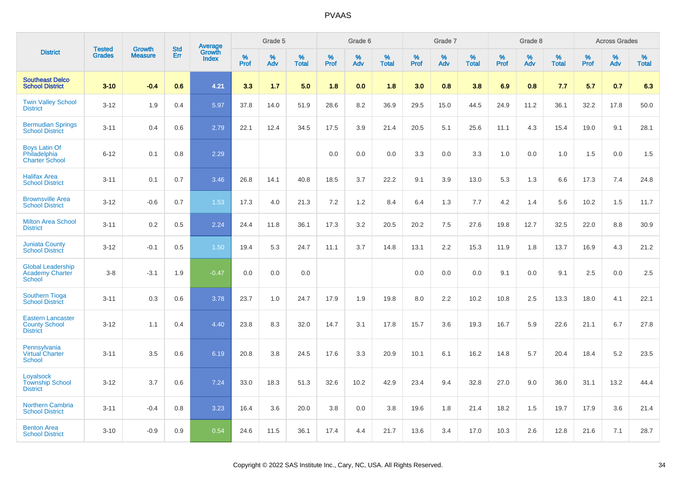|                                                                     | <b>Tested</b> | <b>Growth</b>  | <b>Std</b> |                                   |              | Grade 5  |                   |           | Grade 6  |                   |           | Grade 7  |                   |           | Grade 8  |                   |              | <b>Across Grades</b> |                   |
|---------------------------------------------------------------------|---------------|----------------|------------|-----------------------------------|--------------|----------|-------------------|-----------|----------|-------------------|-----------|----------|-------------------|-----------|----------|-------------------|--------------|----------------------|-------------------|
| <b>District</b>                                                     | <b>Grades</b> | <b>Measure</b> | <b>Err</b> | Average<br>Growth<br><b>Index</b> | $\%$<br>Prof | %<br>Adv | %<br><b>Total</b> | %<br>Prof | %<br>Adv | %<br><b>Total</b> | %<br>Prof | %<br>Adv | %<br><b>Total</b> | %<br>Prof | %<br>Adv | %<br><b>Total</b> | $\%$<br>Prof | %<br>Adv             | %<br><b>Total</b> |
| <b>Southeast Delco</b><br><b>School District</b>                    | $3 - 10$      | $-0.4$         | 0.6        | 4.21                              | 3.3          | 1.7      | 5.0               | 1.8       | 0.0      | 1.8               | 3.0       | 0.8      | 3.8               | 6.9       | 0.8      | 7.7               | 5.7          | 0.7                  | 6.3               |
| <b>Twin Valley School</b><br><b>District</b>                        | $3 - 12$      | 1.9            | 0.4        | 5.97                              | 37.8         | 14.0     | 51.9              | 28.6      | 8.2      | 36.9              | 29.5      | 15.0     | 44.5              | 24.9      | 11.2     | 36.1              | 32.2         | 17.8                 | 50.0              |
| <b>Bermudian Springs</b><br><b>School District</b>                  | $3 - 11$      | 0.4            | 0.6        | 2.79                              | 22.1         | 12.4     | 34.5              | 17.5      | 3.9      | 21.4              | 20.5      | 5.1      | 25.6              | 11.1      | 4.3      | 15.4              | 19.0         | 9.1                  | 28.1              |
| <b>Boys Latin Of</b><br>Philadelphia<br><b>Charter School</b>       | $6 - 12$      | 0.1            | 0.8        | 2.29                              |              |          |                   | 0.0       | 0.0      | 0.0               | 3.3       | 0.0      | 3.3               | 1.0       | 0.0      | 1.0               | 1.5          | 0.0                  | 1.5               |
| <b>Halifax Area</b><br><b>School District</b>                       | $3 - 11$      | 0.1            | 0.7        | 3.46                              | 26.8         | 14.1     | 40.8              | 18.5      | 3.7      | 22.2              | 9.1       | 3.9      | 13.0              | 5.3       | 1.3      | 6.6               | 17.3         | 7.4                  | 24.8              |
| <b>Brownsville Area</b><br><b>School District</b>                   | $3 - 12$      | $-0.6$         | 0.7        | 1.53                              | 17.3         | 4.0      | 21.3              | 7.2       | $1.2$    | 8.4               | 6.4       | 1.3      | 7.7               | 4.2       | 1.4      | 5.6               | 10.2         | 1.5                  | 11.7              |
| <b>Milton Area School</b><br><b>District</b>                        | $3 - 11$      | 0.2            | 0.5        | 2.24                              | 24.4         | 11.8     | 36.1              | 17.3      | 3.2      | 20.5              | 20.2      | 7.5      | 27.6              | 19.8      | 12.7     | 32.5              | 22.0         | 8.8                  | 30.9              |
| <b>Juniata County</b><br><b>School District</b>                     | $3 - 12$      | $-0.1$         | 0.5        | 1.50                              | 19.4         | 5.3      | 24.7              | 11.1      | 3.7      | 14.8              | 13.1      | 2.2      | 15.3              | 11.9      | 1.8      | 13.7              | 16.9         | 4.3                  | 21.2              |
| <b>Global Leadership</b><br>Academy Charter<br>School               | $3 - 8$       | $-3.1$         | 1.9        | $-0.47$                           | 0.0          | 0.0      | 0.0               |           |          |                   | 0.0       | 0.0      | 0.0               | 9.1       | 0.0      | 9.1               | 2.5          | 0.0                  | 2.5               |
| <b>Southern Tioga</b><br><b>School District</b>                     | $3 - 11$      | 0.3            | 0.6        | 3.78                              | 23.7         | 1.0      | 24.7              | 17.9      | 1.9      | 19.8              | 8.0       | 2.2      | 10.2              | 10.8      | 2.5      | 13.3              | 18.0         | 4.1                  | 22.1              |
| <b>Eastern Lancaster</b><br><b>County School</b><br><b>District</b> | $3 - 12$      | 1.1            | 0.4        | 4.40                              | 23.8         | 8.3      | 32.0              | 14.7      | 3.1      | 17.8              | 15.7      | 3.6      | 19.3              | 16.7      | 5.9      | 22.6              | 21.1         | 6.7                  | 27.8              |
| Pennsylvania<br><b>Virtual Charter</b><br><b>School</b>             | $3 - 11$      | 3.5            | 0.6        | 6.19                              | 20.8         | 3.8      | 24.5              | 17.6      | 3.3      | 20.9              | 10.1      | 6.1      | 16.2              | 14.8      | 5.7      | 20.4              | 18.4         | 5.2                  | 23.5              |
| Loyalsock<br><b>Township School</b><br><b>District</b>              | $3 - 12$      | 3.7            | 0.6        | 7.24                              | 33.0         | 18.3     | 51.3              | 32.6      | 10.2     | 42.9              | 23.4      | 9.4      | 32.8              | 27.0      | 9.0      | 36.0              | 31.1         | 13.2                 | 44.4              |
| <b>Northern Cambria</b><br><b>School District</b>                   | $3 - 11$      | $-0.4$         | 0.8        | 3.23                              | 16.4         | 3.6      | 20.0              | 3.8       | 0.0      | 3.8               | 19.6      | 1.8      | 21.4              | 18.2      | 1.5      | 19.7              | 17.9         | 3.6                  | 21.4              |
| <b>Benton Area</b><br><b>School District</b>                        | $3 - 10$      | $-0.9$         | 0.9        | 0.54                              | 24.6         | 11.5     | 36.1              | 17.4      | 4.4      | 21.7              | 13.6      | 3.4      | 17.0              | 10.3      | 2.6      | 12.8              | 21.6         | 7.1                  | 28.7              |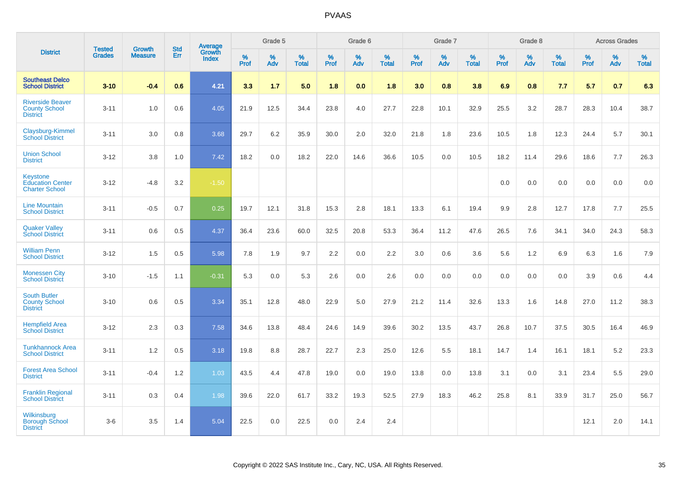|                                                                     |                                |                                 | <b>Std</b> | <b>Average</b>                |                  | Grade 5  |                   |                  | Grade 6  |                   |                  | Grade 7  |                   |                  | Grade 8  |                   |                  | <b>Across Grades</b> |                   |
|---------------------------------------------------------------------|--------------------------------|---------------------------------|------------|-------------------------------|------------------|----------|-------------------|------------------|----------|-------------------|------------------|----------|-------------------|------------------|----------|-------------------|------------------|----------------------|-------------------|
| <b>District</b>                                                     | <b>Tested</b><br><b>Grades</b> | <b>Growth</b><br><b>Measure</b> | Err        | <b>Growth</b><br><b>Index</b> | %<br><b>Prof</b> | %<br>Adv | %<br><b>Total</b> | %<br><b>Prof</b> | %<br>Adv | %<br><b>Total</b> | %<br><b>Prof</b> | %<br>Adv | %<br><b>Total</b> | %<br><b>Prof</b> | %<br>Adv | %<br><b>Total</b> | %<br><b>Prof</b> | %<br>Adv             | %<br><b>Total</b> |
| <b>Southeast Delco</b><br><b>School District</b>                    | $3 - 10$                       | $-0.4$                          | 0.6        | 4.21                          | 3.3              | 1.7      | 5.0               | 1.8              | 0.0      | 1.8               | 3.0              | 0.8      | 3.8               | 6.9              | 0.8      | 7.7               | 5.7              | 0.7                  | 6.3               |
| <b>Riverside Beaver</b><br><b>County School</b><br><b>District</b>  | $3 - 11$                       | 1.0                             | 0.6        | 4.05                          | 21.9             | 12.5     | 34.4              | 23.8             | 4.0      | 27.7              | 22.8             | 10.1     | 32.9              | 25.5             | 3.2      | 28.7              | 28.3             | 10.4                 | 38.7              |
| Claysburg-Kimmel<br><b>School District</b>                          | $3 - 11$                       | 3.0                             | 0.8        | 3.68                          | 29.7             | 6.2      | 35.9              | 30.0             | 2.0      | 32.0              | 21.8             | 1.8      | 23.6              | 10.5             | 1.8      | 12.3              | 24.4             | 5.7                  | 30.1              |
| <b>Union School</b><br><b>District</b>                              | $3 - 12$                       | 3.8                             | 1.0        | 7.42                          | 18.2             | 0.0      | 18.2              | 22.0             | 14.6     | 36.6              | 10.5             | 0.0      | 10.5              | 18.2             | 11.4     | 29.6              | 18.6             | 7.7                  | 26.3              |
| <b>Keystone</b><br><b>Education Center</b><br><b>Charter School</b> | $3 - 12$                       | $-4.8$                          | 3.2        | $-1.50$                       |                  |          |                   |                  |          |                   |                  |          |                   | 0.0              | 0.0      | 0.0               | 0.0              | 0.0                  | 0.0               |
| <b>Line Mountain</b><br><b>School District</b>                      | $3 - 11$                       | $-0.5$                          | 0.7        | 0.25                          | 19.7             | 12.1     | 31.8              | 15.3             | 2.8      | 18.1              | 13.3             | 6.1      | 19.4              | 9.9              | 2.8      | 12.7              | 17.8             | 7.7                  | 25.5              |
| <b>Quaker Valley</b><br><b>School District</b>                      | $3 - 11$                       | 0.6                             | 0.5        | 4.37                          | 36.4             | 23.6     | 60.0              | 32.5             | 20.8     | 53.3              | 36.4             | 11.2     | 47.6              | 26.5             | 7.6      | 34.1              | 34.0             | 24.3                 | 58.3              |
| <b>William Penn</b><br><b>School District</b>                       | $3 - 12$                       | 1.5                             | 0.5        | 5.98                          | 7.8              | 1.9      | 9.7               | 2.2              | 0.0      | 2.2               | 3.0              | 0.6      | 3.6               | 5.6              | 1.2      | 6.9               | 6.3              | 1.6                  | 7.9               |
| <b>Monessen City</b><br><b>School District</b>                      | $3 - 10$                       | $-1.5$                          | 1.1        | $-0.31$                       | 5.3              | 0.0      | 5.3               | 2.6              | 0.0      | 2.6               | 0.0              | 0.0      | 0.0               | 0.0              | 0.0      | 0.0               | 3.9              | 0.6                  | 4.4               |
| <b>South Butler</b><br><b>County School</b><br><b>District</b>      | $3 - 10$                       | 0.6                             | 0.5        | 3.34                          | 35.1             | 12.8     | 48.0              | 22.9             | 5.0      | 27.9              | 21.2             | 11.4     | 32.6              | 13.3             | 1.6      | 14.8              | 27.0             | 11.2                 | 38.3              |
| <b>Hempfield Area</b><br><b>School District</b>                     | $3 - 12$                       | 2.3                             | 0.3        | 7.58                          | 34.6             | 13.8     | 48.4              | 24.6             | 14.9     | 39.6              | 30.2             | 13.5     | 43.7              | 26.8             | 10.7     | 37.5              | 30.5             | 16.4                 | 46.9              |
| <b>Tunkhannock Area</b><br><b>School District</b>                   | $3 - 11$                       | 1.2                             | 0.5        | 3.18                          | 19.8             | 8.8      | 28.7              | 22.7             | 2.3      | 25.0              | 12.6             | 5.5      | 18.1              | 14.7             | 1.4      | 16.1              | 18.1             | 5.2                  | 23.3              |
| <b>Forest Area School</b><br><b>District</b>                        | $3 - 11$                       | $-0.4$                          | 1.2        | 1.03                          | 43.5             | 4.4      | 47.8              | 19.0             | 0.0      | 19.0              | 13.8             | 0.0      | 13.8              | 3.1              | 0.0      | 3.1               | 23.4             | 5.5                  | 29.0              |
| <b>Franklin Regional</b><br><b>School District</b>                  | $3 - 11$                       | 0.3                             | 0.4        | 1.98                          | 39.6             | 22.0     | 61.7              | 33.2             | 19.3     | 52.5              | 27.9             | 18.3     | 46.2              | 25.8             | 8.1      | 33.9              | 31.7             | 25.0                 | 56.7              |
| <b>Wilkinsburg</b><br><b>Borough School</b><br><b>District</b>      | $3-6$                          | 3.5                             | 1.4        | 5.04                          | 22.5             | 0.0      | 22.5              | 0.0              | 2.4      | 2.4               |                  |          |                   |                  |          |                   | 12.1             | 2.0                  | 14.1              |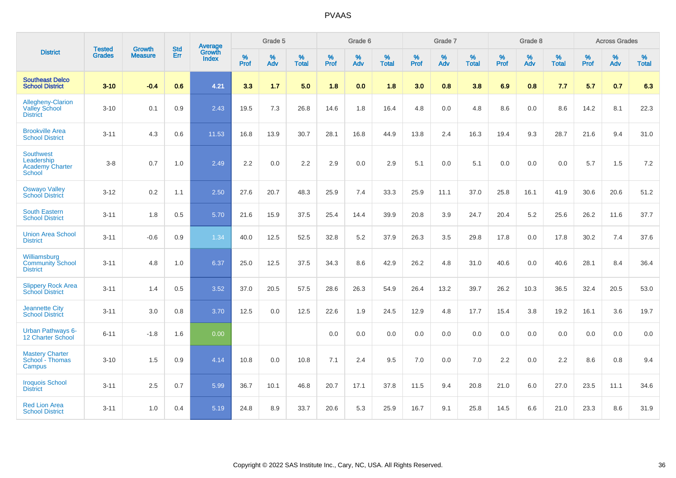|                                                                    | <b>Tested</b> | <b>Growth</b>  | <b>Std</b> | Average                |              | Grade 5  |                      |              | Grade 6  |                      |              | Grade 7  |                      |              | Grade 8  |                      |              | <b>Across Grades</b> |                   |
|--------------------------------------------------------------------|---------------|----------------|------------|------------------------|--------------|----------|----------------------|--------------|----------|----------------------|--------------|----------|----------------------|--------------|----------|----------------------|--------------|----------------------|-------------------|
| <b>District</b>                                                    | <b>Grades</b> | <b>Measure</b> | <b>Err</b> | Growth<br><b>Index</b> | $\%$<br>Prof | %<br>Adv | $\%$<br><b>Total</b> | $\%$<br>Prof | %<br>Adv | $\%$<br><b>Total</b> | $\%$<br>Prof | %<br>Adv | $\%$<br><b>Total</b> | $\%$<br>Prof | %<br>Adv | $\%$<br><b>Total</b> | $\%$<br>Prof | %<br>Adv             | %<br><b>Total</b> |
| <b>Southeast Delco</b><br><b>School District</b>                   | $3 - 10$      | $-0.4$         | 0.6        | 4.21                   | 3.3          | 1.7      | 5.0                  | 1.8          | 0.0      | 1.8                  | 3.0          | 0.8      | 3.8                  | 6.9          | 0.8      | 7.7                  | 5.7          | 0.7                  | 6.3               |
| Allegheny-Clarion<br><b>Valley School</b><br><b>District</b>       | $3 - 10$      | 0.1            | 0.9        | 2.43                   | 19.5         | 7.3      | 26.8                 | 14.6         | 1.8      | 16.4                 | 4.8          | 0.0      | 4.8                  | 8.6          | 0.0      | 8.6                  | 14.2         | 8.1                  | 22.3              |
| <b>Brookville Area</b><br><b>School District</b>                   | $3 - 11$      | 4.3            | 0.6        | 11.53                  | 16.8         | 13.9     | 30.7                 | 28.1         | 16.8     | 44.9                 | 13.8         | 2.4      | 16.3                 | 19.4         | 9.3      | 28.7                 | 21.6         | 9.4                  | 31.0              |
| <b>Southwest</b><br>Leadership<br><b>Academy Charter</b><br>School | $3 - 8$       | 0.7            | 1.0        | 2.49                   | 2.2          | 0.0      | 2.2                  | 2.9          | 0.0      | 2.9                  | 5.1          | 0.0      | 5.1                  | 0.0          | 0.0      | 0.0                  | 5.7          | 1.5                  | $7.2\,$           |
| <b>Oswayo Valley</b><br><b>School District</b>                     | $3 - 12$      | 0.2            | 1.1        | 2.50                   | 27.6         | 20.7     | 48.3                 | 25.9         | 7.4      | 33.3                 | 25.9         | 11.1     | 37.0                 | 25.8         | 16.1     | 41.9                 | 30.6         | 20.6                 | 51.2              |
| <b>South Eastern</b><br><b>School District</b>                     | $3 - 11$      | 1.8            | 0.5        | 5.70                   | 21.6         | 15.9     | 37.5                 | 25.4         | 14.4     | 39.9                 | 20.8         | 3.9      | 24.7                 | 20.4         | 5.2      | 25.6                 | 26.2         | 11.6                 | 37.7              |
| <b>Union Area School</b><br><b>District</b>                        | $3 - 11$      | $-0.6$         | 0.9        | 1.34                   | 40.0         | 12.5     | 52.5                 | 32.8         | 5.2      | 37.9                 | 26.3         | 3.5      | 29.8                 | 17.8         | 0.0      | 17.8                 | 30.2         | 7.4                  | 37.6              |
| Williamsburg<br><b>Community School</b><br><b>District</b>         | $3 - 11$      | 4.8            | 1.0        | 6.37                   | 25.0         | 12.5     | 37.5                 | 34.3         | 8.6      | 42.9                 | 26.2         | 4.8      | 31.0                 | 40.6         | 0.0      | 40.6                 | 28.1         | 8.4                  | 36.4              |
| <b>Slippery Rock Area</b><br><b>School District</b>                | $3 - 11$      | 1.4            | 0.5        | 3.52                   | 37.0         | 20.5     | 57.5                 | 28.6         | 26.3     | 54.9                 | 26.4         | 13.2     | 39.7                 | 26.2         | 10.3     | 36.5                 | 32.4         | 20.5                 | 53.0              |
| <b>Jeannette City</b><br><b>School District</b>                    | $3 - 11$      | 3.0            | 0.8        | 3.70                   | 12.5         | 0.0      | 12.5                 | 22.6         | 1.9      | 24.5                 | 12.9         | 4.8      | 17.7                 | 15.4         | 3.8      | 19.2                 | 16.1         | 3.6                  | 19.7              |
| <b>Urban Pathways 6-</b><br><b>12 Charter School</b>               | $6 - 11$      | $-1.8$         | 1.6        | 0.00                   |              |          |                      | 0.0          | 0.0      | 0.0                  | 0.0          | 0.0      | 0.0                  | 0.0          | 0.0      | 0.0                  | 0.0          | 0.0                  | 0.0               |
| <b>Mastery Charter</b><br>School - Thomas<br>Campus                | $3 - 10$      | 1.5            | 0.9        | 4.14                   | 10.8         | 0.0      | 10.8                 | 7.1          | 2.4      | 9.5                  | 7.0          | 0.0      | 7.0                  | 2.2          | 0.0      | 2.2                  | 8.6          | 0.8                  | 9.4               |
| <b>Iroquois School</b><br><b>District</b>                          | $3 - 11$      | 2.5            | 0.7        | 5.99                   | 36.7         | 10.1     | 46.8                 | 20.7         | 17.1     | 37.8                 | 11.5         | 9.4      | 20.8                 | 21.0         | 6.0      | 27.0                 | 23.5         | 11.1                 | 34.6              |
| <b>Red Lion Area</b><br><b>School District</b>                     | $3 - 11$      | 1.0            | 0.4        | 5.19                   | 24.8         | 8.9      | 33.7                 | 20.6         | 5.3      | 25.9                 | 16.7         | 9.1      | 25.8                 | 14.5         | 6.6      | 21.0                 | 23.3         | 8.6                  | 31.9              |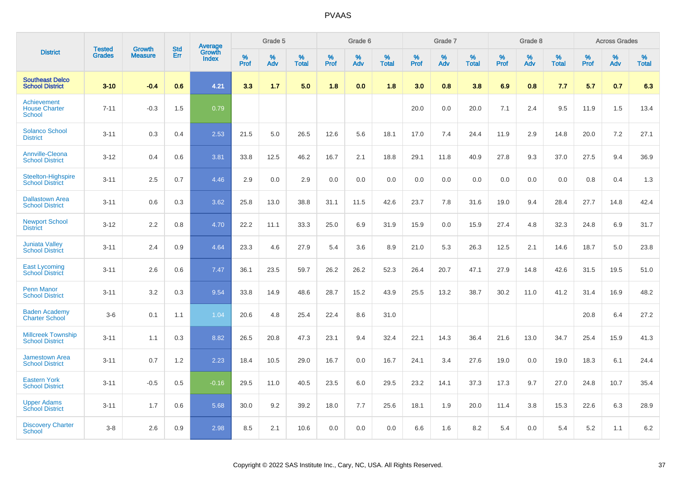|                                                      |                                |                                 | <b>Std</b> | Average                |           | Grade 5  |                      |           | Grade 6  |                   |           | Grade 7  |                   |           | Grade 8  |                   |           | <b>Across Grades</b> |                   |
|------------------------------------------------------|--------------------------------|---------------------------------|------------|------------------------|-----------|----------|----------------------|-----------|----------|-------------------|-----------|----------|-------------------|-----------|----------|-------------------|-----------|----------------------|-------------------|
| <b>District</b>                                      | <b>Tested</b><br><b>Grades</b> | <b>Growth</b><br><b>Measure</b> | Err        | Growth<br><b>Index</b> | %<br>Prof | %<br>Adv | $\%$<br><b>Total</b> | %<br>Prof | %<br>Adv | %<br><b>Total</b> | %<br>Prof | %<br>Adv | %<br><b>Total</b> | %<br>Prof | %<br>Adv | %<br><b>Total</b> | %<br>Prof | %<br>Adv             | %<br><b>Total</b> |
| <b>Southeast Delco</b><br><b>School District</b>     | $3 - 10$                       | $-0.4$                          | 0.6        | 4.21                   | 3.3       | 1.7      | 5.0                  | 1.8       | 0.0      | 1.8               | 3.0       | 0.8      | 3.8               | 6.9       | 0.8      | 7.7               | 5.7       | 0.7                  | 6.3               |
| Achievement<br><b>House Charter</b><br><b>School</b> | $7 - 11$                       | $-0.3$                          | 1.5        | 0.79                   |           |          |                      |           |          |                   | 20.0      | 0.0      | 20.0              | 7.1       | 2.4      | 9.5               | 11.9      | 1.5                  | 13.4              |
| <b>Solanco School</b><br><b>District</b>             | $3 - 11$                       | 0.3                             | 0.4        | 2.53                   | 21.5      | 5.0      | 26.5                 | 12.6      | 5.6      | 18.1              | 17.0      | 7.4      | 24.4              | 11.9      | 2.9      | 14.8              | 20.0      | 7.2                  | 27.1              |
| <b>Annville-Cleona</b><br><b>School District</b>     | $3 - 12$                       | 0.4                             | 0.6        | 3.81                   | 33.8      | 12.5     | 46.2                 | 16.7      | 2.1      | 18.8              | 29.1      | 11.8     | 40.9              | 27.8      | 9.3      | 37.0              | 27.5      | 9.4                  | 36.9              |
| <b>Steelton-Highspire</b><br><b>School District</b>  | $3 - 11$                       | 2.5                             | 0.7        | 4.46                   | 2.9       | 0.0      | 2.9                  | 0.0       | 0.0      | 0.0               | 0.0       | 0.0      | 0.0               | 0.0       | 0.0      | 0.0               | 0.8       | 0.4                  | 1.3               |
| <b>Dallastown Area</b><br><b>School District</b>     | $3 - 11$                       | 0.6                             | 0.3        | 3.62                   | 25.8      | 13.0     | 38.8                 | 31.1      | 11.5     | 42.6              | 23.7      | 7.8      | 31.6              | 19.0      | 9.4      | 28.4              | 27.7      | 14.8                 | 42.4              |
| <b>Newport School</b><br><b>District</b>             | $3 - 12$                       | 2.2                             | 0.8        | 4.70                   | 22.2      | 11.1     | 33.3                 | 25.0      | 6.9      | 31.9              | 15.9      | 0.0      | 15.9              | 27.4      | 4.8      | 32.3              | 24.8      | 6.9                  | 31.7              |
| <b>Juniata Valley</b><br><b>School District</b>      | $3 - 11$                       | 2.4                             | 0.9        | 4.64                   | 23.3      | 4.6      | 27.9                 | 5.4       | 3.6      | 8.9               | 21.0      | 5.3      | 26.3              | 12.5      | 2.1      | 14.6              | 18.7      | 5.0                  | 23.8              |
| <b>East Lycoming</b><br><b>School District</b>       | $3 - 11$                       | 2.6                             | 0.6        | 7.47                   | 36.1      | 23.5     | 59.7                 | 26.2      | 26.2     | 52.3              | 26.4      | 20.7     | 47.1              | 27.9      | 14.8     | 42.6              | 31.5      | 19.5                 | 51.0              |
| <b>Penn Manor</b><br><b>School District</b>          | $3 - 11$                       | 3.2                             | 0.3        | 9.54                   | 33.8      | 14.9     | 48.6                 | 28.7      | 15.2     | 43.9              | 25.5      | 13.2     | 38.7              | 30.2      | 11.0     | 41.2              | 31.4      | 16.9                 | 48.2              |
| <b>Baden Academy</b><br><b>Charter School</b>        | $3-6$                          | 0.1                             | 1.1        | 1.04                   | 20.6      | 4.8      | 25.4                 | 22.4      | 8.6      | 31.0              |           |          |                   |           |          |                   | 20.8      | 6.4                  | 27.2              |
| <b>Millcreek Township</b><br><b>School District</b>  | $3 - 11$                       | 1.1                             | 0.3        | 8.82                   | 26.5      | 20.8     | 47.3                 | 23.1      | 9.4      | 32.4              | 22.1      | 14.3     | 36.4              | 21.6      | 13.0     | 34.7              | 25.4      | 15.9                 | 41.3              |
| <b>Jamestown Area</b><br><b>School District</b>      | $3 - 11$                       | 0.7                             | 1.2        | 2.23                   | 18.4      | 10.5     | 29.0                 | 16.7      | 0.0      | 16.7              | 24.1      | 3.4      | 27.6              | 19.0      | 0.0      | 19.0              | 18.3      | 6.1                  | 24.4              |
| <b>Eastern York</b><br><b>School District</b>        | $3 - 11$                       | $-0.5$                          | 0.5        | $-0.16$                | 29.5      | 11.0     | 40.5                 | 23.5      | 6.0      | 29.5              | 23.2      | 14.1     | 37.3              | 17.3      | 9.7      | 27.0              | 24.8      | 10.7                 | 35.4              |
| <b>Upper Adams</b><br><b>School District</b>         | $3 - 11$                       | 1.7                             | 0.6        | 5.68                   | 30.0      | 9.2      | 39.2                 | 18.0      | 7.7      | 25.6              | 18.1      | 1.9      | 20.0              | 11.4      | 3.8      | 15.3              | 22.6      | 6.3                  | 28.9              |
| <b>Discovery Charter</b><br>School                   | $3 - 8$                        | 2.6                             | 0.9        | 2.98                   | 8.5       | 2.1      | 10.6                 | 0.0       | 0.0      | 0.0               | 6.6       | 1.6      | 8.2               | 5.4       | $0.0\,$  | 5.4               | 5.2       | 1.1                  | 6.2               |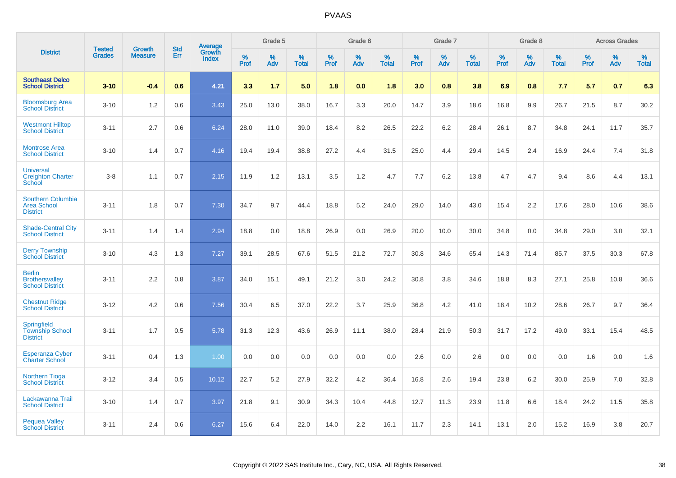|                                                                   | <b>Tested</b> | <b>Growth</b>  | <b>Std</b> | Average                |              | Grade 5  |                   |           | Grade 6  |                   |              | Grade 7  |                   |           | Grade 8  |                   |              | <b>Across Grades</b> |                   |
|-------------------------------------------------------------------|---------------|----------------|------------|------------------------|--------------|----------|-------------------|-----------|----------|-------------------|--------------|----------|-------------------|-----------|----------|-------------------|--------------|----------------------|-------------------|
| <b>District</b>                                                   | <b>Grades</b> | <b>Measure</b> | Err        | Growth<br><b>Index</b> | $\%$<br>Prof | %<br>Adv | %<br><b>Total</b> | %<br>Prof | %<br>Adv | %<br><b>Total</b> | $\%$<br>Prof | %<br>Adv | %<br><b>Total</b> | %<br>Prof | %<br>Adv | %<br><b>Total</b> | $\%$<br>Prof | %<br>Adv             | %<br><b>Total</b> |
| <b>Southeast Delco</b><br><b>School District</b>                  | $3 - 10$      | $-0.4$         | 0.6        | 4.21                   | 3.3          | 1.7      | 5.0               | 1.8       | 0.0      | 1.8               | 3.0          | 0.8      | 3.8               | 6.9       | 0.8      | 7.7               | 5.7          | 0.7                  | 6.3               |
| <b>Bloomsburg Area</b><br><b>School District</b>                  | $3 - 10$      | 1.2            | 0.6        | 3.43                   | 25.0         | 13.0     | 38.0              | 16.7      | 3.3      | 20.0              | 14.7         | 3.9      | 18.6              | 16.8      | 9.9      | 26.7              | 21.5         | 8.7                  | 30.2              |
| <b>Westmont Hilltop</b><br><b>School District</b>                 | $3 - 11$      | 2.7            | 0.6        | 6.24                   | 28.0         | 11.0     | 39.0              | 18.4      | 8.2      | 26.5              | 22.2         | 6.2      | 28.4              | 26.1      | 8.7      | 34.8              | 24.1         | 11.7                 | 35.7              |
| <b>Montrose Area</b><br><b>School District</b>                    | $3 - 10$      | 1.4            | 0.7        | 4.16                   | 19.4         | 19.4     | 38.8              | 27.2      | 4.4      | 31.5              | 25.0         | 4.4      | 29.4              | 14.5      | 2.4      | 16.9              | 24.4         | 7.4                  | 31.8              |
| <b>Universal</b><br><b>Creighton Charter</b><br>School            | $3 - 8$       | 1.1            | 0.7        | 2.15                   | 11.9         | 1.2      | 13.1              | 3.5       | 1.2      | 4.7               | 7.7          | 6.2      | 13.8              | 4.7       | 4.7      | 9.4               | 8.6          | 4.4                  | 13.1              |
| <b>Southern Columbia</b><br><b>Area School</b><br><b>District</b> | $3 - 11$      | 1.8            | 0.7        | 7.30                   | 34.7         | 9.7      | 44.4              | 18.8      | 5.2      | 24.0              | 29.0         | 14.0     | 43.0              | 15.4      | 2.2      | 17.6              | 28.0         | 10.6                 | 38.6              |
| <b>Shade-Central City</b><br><b>School District</b>               | $3 - 11$      | 1.4            | 1.4        | 2.94                   | 18.8         | 0.0      | 18.8              | 26.9      | 0.0      | 26.9              | 20.0         | 10.0     | 30.0              | 34.8      | 0.0      | 34.8              | 29.0         | 3.0                  | 32.1              |
| <b>Derry Township</b><br><b>School District</b>                   | $3 - 10$      | 4.3            | 1.3        | 7.27                   | 39.1         | 28.5     | 67.6              | 51.5      | 21.2     | 72.7              | 30.8         | 34.6     | 65.4              | 14.3      | 71.4     | 85.7              | 37.5         | 30.3                 | 67.8              |
| <b>Berlin</b><br><b>Brothersvalley</b><br><b>School District</b>  | $3 - 11$      | 2.2            | 0.8        | 3.87                   | 34.0         | 15.1     | 49.1              | 21.2      | 3.0      | 24.2              | 30.8         | 3.8      | 34.6              | 18.8      | 8.3      | 27.1              | 25.8         | 10.8                 | 36.6              |
| <b>Chestnut Ridge</b><br><b>School District</b>                   | $3 - 12$      | 4.2            | 0.6        | 7.56                   | 30.4         | 6.5      | 37.0              | 22.2      | 3.7      | 25.9              | 36.8         | 4.2      | 41.0              | 18.4      | 10.2     | 28.6              | 26.7         | 9.7                  | 36.4              |
| Springfield<br><b>Township School</b><br><b>District</b>          | $3 - 11$      | 1.7            | 0.5        | 5.78                   | 31.3         | 12.3     | 43.6              | 26.9      | 11.1     | 38.0              | 28.4         | 21.9     | 50.3              | 31.7      | 17.2     | 49.0              | 33.1         | 15.4                 | 48.5              |
| <b>Esperanza Cyber</b><br><b>Charter School</b>                   | $3 - 11$      | 0.4            | 1.3        | 1.00                   | 0.0          | 0.0      | 0.0               | 0.0       | 0.0      | 0.0               | 2.6          | 0.0      | 2.6               | 0.0       | 0.0      | 0.0               | 1.6          | 0.0                  | 1.6               |
| <b>Northern Tioga</b><br><b>School District</b>                   | $3 - 12$      | 3.4            | 0.5        | 10.12                  | 22.7         | 5.2      | 27.9              | 32.2      | 4.2      | 36.4              | 16.8         | 2.6      | 19.4              | 23.8      | 6.2      | 30.0              | 25.9         | 7.0                  | 32.8              |
| Lackawanna Trail<br><b>School District</b>                        | $3 - 10$      | 1.4            | 0.7        | 3.97                   | 21.8         | 9.1      | 30.9              | 34.3      | 10.4     | 44.8              | 12.7         | 11.3     | 23.9              | 11.8      | 6.6      | 18.4              | 24.2         | 11.5                 | 35.8              |
| <b>Pequea Valley</b><br><b>School District</b>                    | $3 - 11$      | 2.4            | 0.6        | 6.27                   | 15.6         | 6.4      | 22.0              | 14.0      | 2.2      | 16.1              | 11.7         | 2.3      | 14.1              | 13.1      | 2.0      | 15.2              | 16.9         | 3.8                  | 20.7              |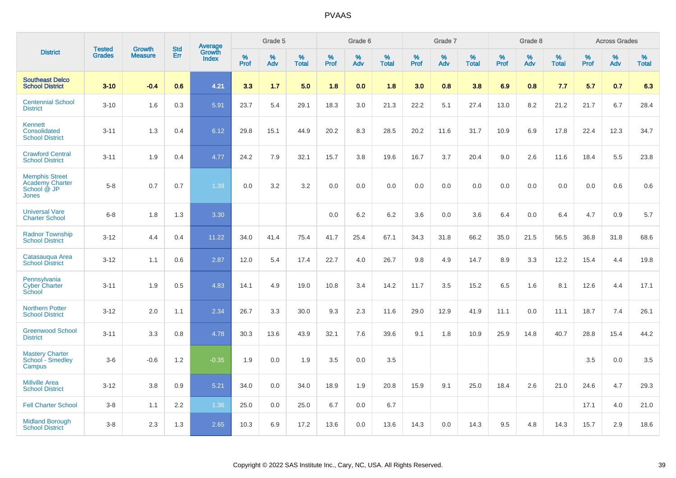|                                                                         |                                |                                 | <b>Std</b> | Average                |           | Grade 5  |                   |           | Grade 6  |                   |           | Grade 7  |                   |           | Grade 8  |                   |           | <b>Across Grades</b> |                   |
|-------------------------------------------------------------------------|--------------------------------|---------------------------------|------------|------------------------|-----------|----------|-------------------|-----------|----------|-------------------|-----------|----------|-------------------|-----------|----------|-------------------|-----------|----------------------|-------------------|
| <b>District</b>                                                         | <b>Tested</b><br><b>Grades</b> | <b>Growth</b><br><b>Measure</b> | <b>Err</b> | Growth<br><b>Index</b> | %<br>Prof | %<br>Adv | %<br><b>Total</b> | %<br>Prof | %<br>Adv | %<br><b>Total</b> | %<br>Prof | %<br>Adv | %<br><b>Total</b> | %<br>Prof | %<br>Adv | %<br><b>Total</b> | %<br>Prof | %<br>Adv             | %<br><b>Total</b> |
| <b>Southeast Delco</b><br><b>School District</b>                        | $3 - 10$                       | $-0.4$                          | 0.6        | 4.21                   | 3.3       | 1.7      | 5.0               | 1.8       | 0.0      | 1.8               | 3.0       | 0.8      | 3.8               | 6.9       | 0.8      | 7.7               | 5.7       | 0.7                  | 6.3               |
| <b>Centennial School</b><br><b>District</b>                             | $3 - 10$                       | 1.6                             | 0.3        | 5.91                   | 23.7      | 5.4      | 29.1              | 18.3      | 3.0      | 21.3              | 22.2      | 5.1      | 27.4              | 13.0      | 8.2      | 21.2              | 21.7      | 6.7                  | 28.4              |
| Kennett<br>Consolidated<br><b>School District</b>                       | $3 - 11$                       | 1.3                             | 0.4        | 6.12                   | 29.8      | 15.1     | 44.9              | 20.2      | 8.3      | 28.5              | 20.2      | 11.6     | 31.7              | 10.9      | 6.9      | 17.8              | 22.4      | 12.3                 | 34.7              |
| <b>Crawford Central</b><br><b>School District</b>                       | $3 - 11$                       | 1.9                             | 0.4        | 4.77                   | 24.2      | 7.9      | 32.1              | 15.7      | 3.8      | 19.6              | 16.7      | 3.7      | 20.4              | 9.0       | 2.6      | 11.6              | 18.4      | 5.5                  | 23.8              |
| <b>Memphis Street</b><br><b>Academy Charter</b><br>School @ JP<br>Jones | $5 - 8$                        | 0.7                             | 0.7        | 1.39                   | 0.0       | 3.2      | 3.2               | $0.0\,$   | 0.0      | 0.0               | 0.0       | 0.0      | 0.0               | 0.0       | 0.0      | 0.0               | 0.0       | 0.6                  | 0.6               |
| <b>Universal Vare</b><br><b>Charter School</b>                          | $6-8$                          | 1.8                             | 1.3        | 3.30                   |           |          |                   | 0.0       | 6.2      | 6.2               | 3.6       | 0.0      | 3.6               | 6.4       | 0.0      | 6.4               | 4.7       | 0.9                  | 5.7               |
| <b>Radnor Township</b><br><b>School District</b>                        | $3 - 12$                       | 4.4                             | 0.4        | 11.22                  | 34.0      | 41.4     | 75.4              | 41.7      | 25.4     | 67.1              | 34.3      | 31.8     | 66.2              | 35.0      | 21.5     | 56.5              | 36.8      | 31.8                 | 68.6              |
| Catasaugua Area<br><b>School District</b>                               | $3 - 12$                       | 1.1                             | 0.6        | 2.87                   | 12.0      | 5.4      | 17.4              | 22.7      | 4.0      | 26.7              | 9.8       | 4.9      | 14.7              | 8.9       | 3.3      | 12.2              | 15.4      | 4.4                  | 19.8              |
| Pennsylvania<br><b>Cyber Charter</b><br>School                          | $3 - 11$                       | 1.9                             | 0.5        | 4.83                   | 14.1      | 4.9      | 19.0              | 10.8      | 3.4      | 14.2              | 11.7      | 3.5      | 15.2              | 6.5       | 1.6      | 8.1               | 12.6      | 4.4                  | 17.1              |
| <b>Northern Potter</b><br><b>School District</b>                        | $3 - 12$                       | 2.0                             | 1.1        | 2.34                   | 26.7      | 3.3      | 30.0              | 9.3       | 2.3      | 11.6              | 29.0      | 12.9     | 41.9              | 11.1      | 0.0      | 11.1              | 18.7      | 7.4                  | 26.1              |
| <b>Greenwood School</b><br><b>District</b>                              | $3 - 11$                       | 3.3                             | 0.8        | 4.78                   | 30.3      | 13.6     | 43.9              | 32.1      | 7.6      | 39.6              | 9.1       | 1.8      | 10.9              | 25.9      | 14.8     | 40.7              | 28.8      | 15.4                 | 44.2              |
| <b>Mastery Charter</b><br>School <sup>-</sup> Smedley<br>Campus         | $3-6$                          | $-0.6$                          | 1.2        | $-0.35$                | 1.9       | 0.0      | 1.9               | 3.5       | 0.0      | 3.5               |           |          |                   |           |          |                   | 3.5       | 0.0                  | 3.5               |
| <b>Millville Area</b><br><b>School District</b>                         | $3 - 12$                       | 3.8                             | 0.9        | 5.21                   | 34.0      | 0.0      | 34.0              | 18.9      | 1.9      | 20.8              | 15.9      | 9.1      | 25.0              | 18.4      | 2.6      | 21.0              | 24.6      | 4.7                  | 29.3              |
| <b>Fell Charter School</b>                                              | $3 - 8$                        | 1.1                             | 2.2        | 1.36                   | 25.0      | 0.0      | 25.0              | 6.7       | 0.0      | 6.7               |           |          |                   |           |          |                   | 17.1      | 4.0                  | 21.0              |
| <b>Midland Borough</b><br><b>School District</b>                        | $3 - 8$                        | 2.3                             | 1.3        | 2.65                   | 10.3      | 6.9      | 17.2              | 13.6      | 0.0      | 13.6              | 14.3      | 0.0      | 14.3              | 9.5       | 4.8      | 14.3              | 15.7      | 2.9                  | 18.6              |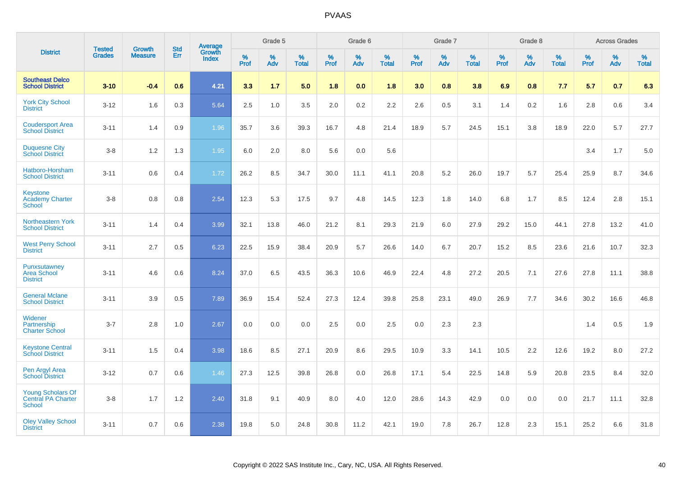|                                                          |                                | <b>Growth</b>  | <b>Std</b> |                                   |              | Grade 5  |                   |              | Grade 6  |                   |              | Grade 7  |                   |              | Grade 8  |                   |              | <b>Across Grades</b> |                   |
|----------------------------------------------------------|--------------------------------|----------------|------------|-----------------------------------|--------------|----------|-------------------|--------------|----------|-------------------|--------------|----------|-------------------|--------------|----------|-------------------|--------------|----------------------|-------------------|
| <b>District</b>                                          | <b>Tested</b><br><b>Grades</b> | <b>Measure</b> | <b>Err</b> | Average<br>Growth<br><b>Index</b> | $\%$<br>Prof | %<br>Adv | %<br><b>Total</b> | $\%$<br>Prof | %<br>Adv | %<br><b>Total</b> | $\%$<br>Prof | %<br>Adv | %<br><b>Total</b> | $\%$<br>Prof | %<br>Adv | %<br><b>Total</b> | $\%$<br>Prof | %<br>Adv             | %<br><b>Total</b> |
| <b>Southeast Delco</b><br><b>School District</b>         | $3 - 10$                       | $-0.4$         | 0.6        | 4.21                              | 3.3          | 1.7      | 5.0               | 1.8          | 0.0      | 1.8               | 3.0          | 0.8      | 3.8               | 6.9          | 0.8      | 7.7               | 5.7          | 0.7                  | 6.3               |
| <b>York City School</b><br><b>District</b>               | $3 - 12$                       | 1.6            | 0.3        | 5.64                              | 2.5          | 1.0      | 3.5               | 2.0          | $0.2\,$  | 2.2               | 2.6          | 0.5      | 3.1               | 1.4          | 0.2      | 1.6               | 2.8          | 0.6                  | 3.4               |
| <b>Coudersport Area</b><br><b>School District</b>        | $3 - 11$                       | 1.4            | 0.9        | 1.96                              | 35.7         | 3.6      | 39.3              | 16.7         | 4.8      | 21.4              | 18.9         | 5.7      | 24.5              | 15.1         | 3.8      | 18.9              | 22.0         | 5.7                  | 27.7              |
| <b>Duquesne City</b><br><b>School District</b>           | $3-8$                          | 1.2            | 1.3        | 1.95                              | 6.0          | 2.0      | 8.0               | 5.6          | 0.0      | 5.6               |              |          |                   |              |          |                   | 3.4          | 1.7                  | 5.0               |
| Hatboro-Horsham<br><b>School District</b>                | $3 - 11$                       | 0.6            | 0.4        | 1.72                              | 26.2         | 8.5      | 34.7              | 30.0         | 11.1     | 41.1              | 20.8         | 5.2      | 26.0              | 19.7         | 5.7      | 25.4              | 25.9         | 8.7                  | 34.6              |
| <b>Keystone</b><br><b>Academy Charter</b><br>School      | $3 - 8$                        | 0.8            | 0.8        | 2.54                              | 12.3         | 5.3      | 17.5              | 9.7          | 4.8      | 14.5              | 12.3         | 1.8      | 14.0              | 6.8          | 1.7      | 8.5               | 12.4         | 2.8                  | 15.1              |
| Northeastern York<br><b>School District</b>              | $3 - 11$                       | 1.4            | 0.4        | 3.99                              | 32.1         | 13.8     | 46.0              | 21.2         | 8.1      | 29.3              | 21.9         | 6.0      | 27.9              | 29.2         | 15.0     | 44.1              | 27.8         | 13.2                 | 41.0              |
| <b>West Perry School</b><br><b>District</b>              | $3 - 11$                       | 2.7            | 0.5        | 6.23                              | 22.5         | 15.9     | 38.4              | 20.9         | 5.7      | 26.6              | 14.0         | 6.7      | 20.7              | 15.2         | 8.5      | 23.6              | 21.6         | 10.7                 | 32.3              |
| Punxsutawney<br><b>Area School</b><br><b>District</b>    | $3 - 11$                       | 4.6            | 0.6        | 8.24                              | 37.0         | 6.5      | 43.5              | 36.3         | 10.6     | 46.9              | 22.4         | 4.8      | 27.2              | 20.5         | 7.1      | 27.6              | 27.8         | 11.1                 | 38.8              |
| <b>General Mclane</b><br><b>School District</b>          | $3 - 11$                       | 3.9            | 0.5        | 7.89                              | 36.9         | 15.4     | 52.4              | 27.3         | 12.4     | 39.8              | 25.8         | 23.1     | 49.0              | 26.9         | 7.7      | 34.6              | 30.2         | 16.6                 | 46.8              |
| Widener<br>Partnership<br><b>Charter School</b>          | $3 - 7$                        | 2.8            | 1.0        | 2.67                              | 0.0          | 0.0      | 0.0               | 2.5          | 0.0      | 2.5               | 0.0          | 2.3      | 2.3               |              |          |                   | 1.4          | 0.5                  | 1.9               |
| <b>Keystone Central</b><br><b>School District</b>        | $3 - 11$                       | 1.5            | 0.4        | 3.98                              | 18.6         | 8.5      | 27.1              | 20.9         | 8.6      | 29.5              | 10.9         | 3.3      | 14.1              | 10.5         | 2.2      | 12.6              | 19.2         | 8.0                  | 27.2              |
| Pen Argyl Area<br><b>School District</b>                 | $3 - 12$                       | 0.7            | 0.6        | 1.46                              | 27.3         | 12.5     | 39.8              | 26.8         | 0.0      | 26.8              | 17.1         | 5.4      | 22.5              | 14.8         | 5.9      | 20.8              | 23.5         | 8.4                  | 32.0              |
| <b>Young Scholars Of</b><br>Central PA Charter<br>School | $3-8$                          | 1.7            | $1.2$      | 2.40                              | 31.8         | 9.1      | 40.9              | 8.0          | 4.0      | 12.0              | 28.6         | 14.3     | 42.9              | 0.0          | 0.0      | 0.0               | 21.7         | 11.1                 | 32.8              |
| <b>Oley Valley School</b><br><b>District</b>             | $3 - 11$                       | 0.7            | 0.6        | 2.38                              | 19.8         | 5.0      | 24.8              | 30.8         | 11.2     | 42.1              | 19.0         | 7.8      | 26.7              | 12.8         | 2.3      | 15.1              | 25.2         | 6.6                  | 31.8              |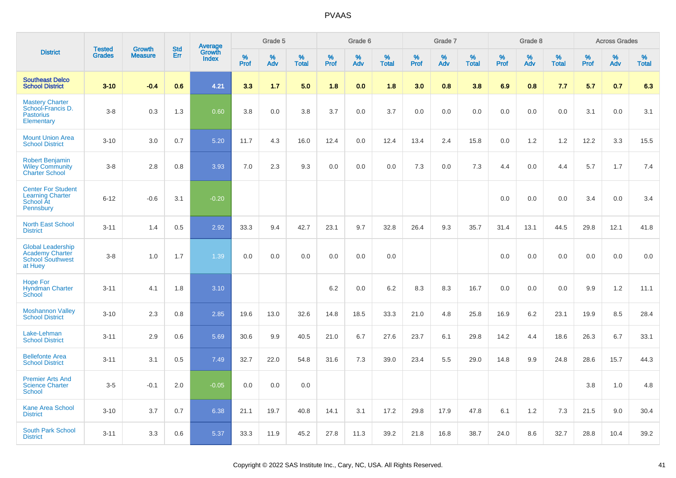|                                                                                          | <b>Tested</b> | <b>Growth</b>  | <b>Std</b> |                                   |                     | Grade 5  |                   |              | Grade 6  |                   |                     | Grade 7  |                   |              | Grade 8  |                   |              | <b>Across Grades</b> |                   |
|------------------------------------------------------------------------------------------|---------------|----------------|------------|-----------------------------------|---------------------|----------|-------------------|--------------|----------|-------------------|---------------------|----------|-------------------|--------------|----------|-------------------|--------------|----------------------|-------------------|
| <b>District</b>                                                                          | <b>Grades</b> | <b>Measure</b> | Err        | Average<br>Growth<br><b>Index</b> | $\%$<br><b>Prof</b> | %<br>Adv | %<br><b>Total</b> | $\%$<br>Prof | %<br>Adv | %<br><b>Total</b> | $\%$<br><b>Prof</b> | %<br>Adv | %<br><b>Total</b> | $\%$<br>Prof | %<br>Adv | %<br><b>Total</b> | $\%$<br>Prof | %<br>Adv             | %<br><b>Total</b> |
| <b>Southeast Delco</b><br><b>School District</b>                                         | $3 - 10$      | $-0.4$         | 0.6        | 4.21                              | 3.3                 | 1.7      | 5.0               | 1.8          | 0.0      | 1.8               | 3.0                 | 0.8      | 3.8               | 6.9          | 0.8      | 7.7               | 5.7          | 0.7                  | 6.3               |
| <b>Mastery Charter</b><br>School-Francis D.<br><b>Pastorius</b><br>Elementary            | $3-8$         | 0.3            | 1.3        | 0.60                              | 3.8                 | 0.0      | 3.8               | 3.7          | 0.0      | 3.7               | 0.0                 | 0.0      | 0.0               | 0.0          | 0.0      | 0.0               | 3.1          | 0.0                  | 3.1               |
| <b>Mount Union Area</b><br><b>School District</b>                                        | $3 - 10$      | 3.0            | 0.7        | 5.20                              | 11.7                | 4.3      | 16.0              | 12.4         | 0.0      | 12.4              | 13.4                | 2.4      | 15.8              | 0.0          | 1.2      | 1.2               | 12.2         | 3.3                  | 15.5              |
| <b>Robert Benjamin</b><br><b>Wiley Community</b><br><b>Charter School</b>                | $3-8$         | 2.8            | 0.8        | 3.93                              | 7.0                 | 2.3      | 9.3               | 0.0          | 0.0      | 0.0               | 7.3                 | 0.0      | 7.3               | 4.4          | 0.0      | 4.4               | 5.7          | 1.7                  | 7.4               |
| <b>Center For Student</b><br><b>Learning Charter</b><br>School At<br>Pennsbury           | $6 - 12$      | $-0.6$         | 3.1        | $-0.20$                           |                     |          |                   |              |          |                   |                     |          |                   | 0.0          | 0.0      | 0.0               | 3.4          | 0.0                  | 3.4               |
| <b>North East School</b><br><b>District</b>                                              | $3 - 11$      | 1.4            | 0.5        | 2.92                              | 33.3                | 9.4      | 42.7              | 23.1         | 9.7      | 32.8              | 26.4                | 9.3      | 35.7              | 31.4         | 13.1     | 44.5              | 29.8         | 12.1                 | 41.8              |
| <b>Global Leadership</b><br><b>Academy Charter</b><br><b>School Southwest</b><br>at Huey | $3-8$         | 1.0            | 1.7        | 1.39                              | 0.0                 | 0.0      | 0.0               | 0.0          | 0.0      | 0.0               |                     |          |                   | 0.0          | 0.0      | 0.0               | 0.0          | 0.0                  | 0.0               |
| <b>Hope For</b><br><b>Hyndman Charter</b><br>School                                      | $3 - 11$      | 4.1            | 1.8        | 3.10                              |                     |          |                   | 6.2          | 0.0      | 6.2               | 8.3                 | 8.3      | 16.7              | 0.0          | 0.0      | 0.0               | 9.9          | $1.2$                | 11.1              |
| <b>Moshannon Valley</b><br><b>School District</b>                                        | $3 - 10$      | 2.3            | 0.8        | 2.85                              | 19.6                | 13.0     | 32.6              | 14.8         | 18.5     | 33.3              | 21.0                | 4.8      | 25.8              | 16.9         | 6.2      | 23.1              | 19.9         | 8.5                  | 28.4              |
| Lake-Lehman<br><b>School District</b>                                                    | $3 - 11$      | 2.9            | 0.6        | 5.69                              | 30.6                | 9.9      | 40.5              | 21.0         | 6.7      | 27.6              | 23.7                | 6.1      | 29.8              | 14.2         | 4.4      | 18.6              | 26.3         | 6.7                  | 33.1              |
| <b>Bellefonte Area</b><br><b>School District</b>                                         | $3 - 11$      | 3.1            | 0.5        | 7.49                              | 32.7                | 22.0     | 54.8              | 31.6         | 7.3      | 39.0              | 23.4                | 5.5      | 29.0              | 14.8         | 9.9      | 24.8              | 28.6         | 15.7                 | 44.3              |
| <b>Premier Arts And</b><br><b>Science Charter</b><br><b>School</b>                       | $3-5$         | $-0.1$         | 2.0        | $-0.05$                           | 0.0                 | 0.0      | 0.0               |              |          |                   |                     |          |                   |              |          |                   | 3.8          | 1.0                  | 4.8               |
| <b>Kane Area School</b><br><b>District</b>                                               | $3 - 10$      | 3.7            | 0.7        | 6.38                              | 21.1                | 19.7     | 40.8              | 14.1         | 3.1      | 17.2              | 29.8                | 17.9     | 47.8              | 6.1          | 1.2      | 7.3               | 21.5         | 9.0                  | 30.4              |
| <b>South Park School</b><br><b>District</b>                                              | $3 - 11$      | 3.3            | 0.6        | 5.37                              | 33.3                | 11.9     | 45.2              | 27.8         | 11.3     | 39.2              | 21.8                | 16.8     | 38.7              | 24.0         | 8.6      | 32.7              | 28.8         | 10.4                 | 39.2              |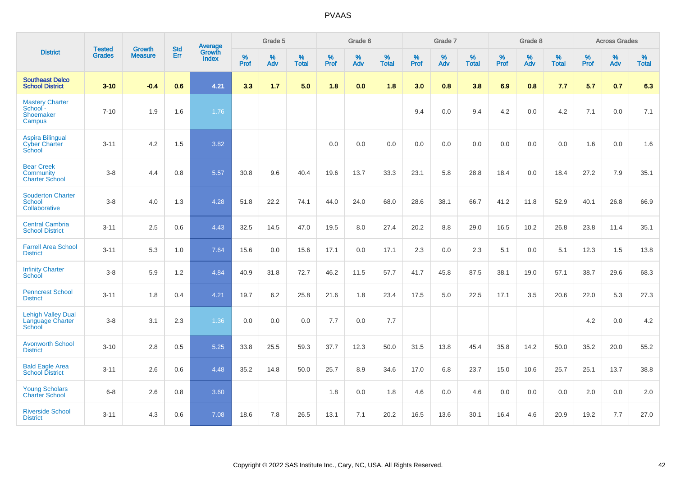|                                                                | <b>Tested</b> | <b>Growth</b>  | <b>Std</b> | <b>Average</b>         |              | Grade 5  |                   |           | Grade 6  |                   |           | Grade 7  |                   |           | Grade 8  |                   |           | <b>Across Grades</b> |                   |
|----------------------------------------------------------------|---------------|----------------|------------|------------------------|--------------|----------|-------------------|-----------|----------|-------------------|-----------|----------|-------------------|-----------|----------|-------------------|-----------|----------------------|-------------------|
| <b>District</b>                                                | <b>Grades</b> | <b>Measure</b> | Err        | Growth<br><b>Index</b> | $\%$<br>Prof | %<br>Adv | %<br><b>Total</b> | %<br>Prof | %<br>Adv | %<br><b>Total</b> | %<br>Prof | %<br>Adv | %<br><b>Total</b> | %<br>Prof | %<br>Adv | %<br><b>Total</b> | %<br>Prof | %<br>Adv             | %<br><b>Total</b> |
| <b>Southeast Delco</b><br><b>School District</b>               | $3 - 10$      | $-0.4$         | 0.6        | 4.21                   | 3.3          | 1.7      | 5.0               | 1.8       | 0.0      | 1.8               | 3.0       | 0.8      | 3.8               | 6.9       | 0.8      | 7.7               | 5.7       | 0.7                  | 6.3               |
| <b>Mastery Charter</b><br>School -<br>Shoemaker<br>Campus      | $7 - 10$      | 1.9            | 1.6        | 1.76                   |              |          |                   |           |          |                   | 9.4       | 0.0      | 9.4               | 4.2       | 0.0      | 4.2               | 7.1       | 0.0                  | 7.1               |
| <b>Aspira Bilingual</b><br><b>Cyber Charter</b><br>School      | $3 - 11$      | 4.2            | 1.5        | 3.82                   |              |          |                   | 0.0       | 0.0      | 0.0               | 0.0       | 0.0      | 0.0               | 0.0       | 0.0      | 0.0               | 1.6       | 0.0                  | 1.6               |
| <b>Bear Creek</b><br><b>Community</b><br><b>Charter School</b> | $3 - 8$       | 4.4            | 0.8        | 5.57                   | 30.8         | 9.6      | 40.4              | 19.6      | 13.7     | 33.3              | 23.1      | 5.8      | 28.8              | 18.4      | 0.0      | 18.4              | 27.2      | 7.9                  | 35.1              |
| <b>Souderton Charter</b><br>School<br>Collaborative            | $3 - 8$       | 4.0            | 1.3        | 4.28                   | 51.8         | 22.2     | 74.1              | 44.0      | 24.0     | 68.0              | 28.6      | 38.1     | 66.7              | 41.2      | 11.8     | 52.9              | 40.1      | 26.8                 | 66.9              |
| <b>Central Cambria</b><br><b>School District</b>               | $3 - 11$      | 2.5            | 0.6        | 4.43                   | 32.5         | 14.5     | 47.0              | 19.5      | 8.0      | 27.4              | 20.2      | 8.8      | 29.0              | 16.5      | 10.2     | 26.8              | 23.8      | 11.4                 | 35.1              |
| <b>Farrell Area School</b><br><b>District</b>                  | $3 - 11$      | 5.3            | 1.0        | 7.64                   | 15.6         | 0.0      | 15.6              | 17.1      | 0.0      | 17.1              | 2.3       | 0.0      | 2.3               | 5.1       | 0.0      | 5.1               | 12.3      | 1.5                  | 13.8              |
| <b>Infinity Charter</b><br><b>School</b>                       | $3-8$         | 5.9            | 1.2        | 4.84                   | 40.9         | 31.8     | 72.7              | 46.2      | 11.5     | 57.7              | 41.7      | 45.8     | 87.5              | 38.1      | 19.0     | 57.1              | 38.7      | 29.6                 | 68.3              |
| <b>Penncrest School</b><br><b>District</b>                     | $3 - 11$      | 1.8            | 0.4        | 4.21                   | 19.7         | 6.2      | 25.8              | 21.6      | 1.8      | 23.4              | 17.5      | 5.0      | 22.5              | 17.1      | 3.5      | 20.6              | 22.0      | 5.3                  | 27.3              |
| <b>Lehigh Valley Dual</b><br>Language Charter<br>School        | $3 - 8$       | 3.1            | 2.3        | 1.36                   | 0.0          | 0.0      | 0.0               | 7.7       | 0.0      | 7.7               |           |          |                   |           |          |                   | 4.2       | 0.0                  | 4.2               |
| <b>Avonworth School</b><br><b>District</b>                     | $3 - 10$      | 2.8            | 0.5        | 5.25                   | 33.8         | 25.5     | 59.3              | 37.7      | 12.3     | 50.0              | 31.5      | 13.8     | 45.4              | 35.8      | 14.2     | 50.0              | 35.2      | 20.0                 | 55.2              |
| <b>Bald Eagle Area</b><br><b>School District</b>               | $3 - 11$      | 2.6            | 0.6        | 4.48                   | 35.2         | 14.8     | 50.0              | 25.7      | 8.9      | 34.6              | 17.0      | 6.8      | 23.7              | 15.0      | 10.6     | 25.7              | 25.1      | 13.7                 | 38.8              |
| <b>Young Scholars</b><br><b>Charter School</b>                 | $6 - 8$       | 2.6            | 0.8        | 3.60                   |              |          |                   | 1.8       | 0.0      | 1.8               | 4.6       | 0.0      | 4.6               | 0.0       | 0.0      | 0.0               | 2.0       | 0.0                  | 2.0               |
| <b>Riverside School</b><br><b>District</b>                     | $3 - 11$      | 4.3            | 0.6        | 7.08                   | 18.6         | 7.8      | 26.5              | 13.1      | 7.1      | 20.2              | 16.5      | 13.6     | 30.1              | 16.4      | 4.6      | 20.9              | 19.2      | 7.7                  | 27.0              |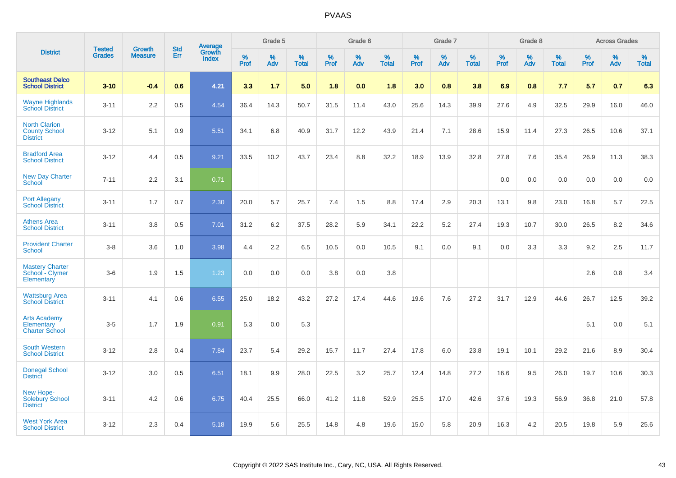|                                                                 |                                | <b>Growth</b>  | <b>Std</b> | <b>Average</b>         |              | Grade 5  |                   |           | Grade 6  |                   |           | Grade 7  |                   |           | Grade 8  |                   |           | <b>Across Grades</b> |                   |
|-----------------------------------------------------------------|--------------------------------|----------------|------------|------------------------|--------------|----------|-------------------|-----------|----------|-------------------|-----------|----------|-------------------|-----------|----------|-------------------|-----------|----------------------|-------------------|
| <b>District</b>                                                 | <b>Tested</b><br><b>Grades</b> | <b>Measure</b> | <b>Err</b> | Growth<br><b>Index</b> | $\%$<br>Prof | %<br>Adv | %<br><b>Total</b> | %<br>Prof | %<br>Adv | %<br><b>Total</b> | %<br>Prof | %<br>Adv | %<br><b>Total</b> | %<br>Prof | %<br>Adv | %<br><b>Total</b> | %<br>Prof | %<br>Adv             | %<br><b>Total</b> |
| <b>Southeast Delco</b><br><b>School District</b>                | $3 - 10$                       | $-0.4$         | 0.6        | 4.21                   | 3.3          | 1.7      | 5.0               | 1.8       | 0.0      | 1.8               | 3.0       | 0.8      | 3.8               | 6.9       | 0.8      | 7.7               | 5.7       | 0.7                  | 6.3               |
| <b>Wayne Highlands</b><br><b>School District</b>                | $3 - 11$                       | 2.2            | 0.5        | 4.54                   | 36.4         | 14.3     | 50.7              | 31.5      | 11.4     | 43.0              | 25.6      | 14.3     | 39.9              | 27.6      | 4.9      | 32.5              | 29.9      | 16.0                 | 46.0              |
| <b>North Clarion</b><br><b>County School</b><br><b>District</b> | $3 - 12$                       | 5.1            | 0.9        | 5.51                   | 34.1         | 6.8      | 40.9              | 31.7      | 12.2     | 43.9              | 21.4      | 7.1      | 28.6              | 15.9      | 11.4     | 27.3              | 26.5      | 10.6                 | 37.1              |
| <b>Bradford Area</b><br><b>School District</b>                  | $3 - 12$                       | 4.4            | 0.5        | 9.21                   | 33.5         | 10.2     | 43.7              | 23.4      | 8.8      | 32.2              | 18.9      | 13.9     | 32.8              | 27.8      | 7.6      | 35.4              | 26.9      | 11.3                 | 38.3              |
| <b>New Day Charter</b><br><b>School</b>                         | $7 - 11$                       | 2.2            | 3.1        | 0.71                   |              |          |                   |           |          |                   |           |          |                   | 0.0       | 0.0      | 0.0               | 0.0       | 0.0                  | 0.0               |
| <b>Port Allegany</b><br><b>School District</b>                  | $3 - 11$                       | 1.7            | 0.7        | 2.30                   | 20.0         | 5.7      | 25.7              | 7.4       | 1.5      | 8.8               | 17.4      | 2.9      | 20.3              | 13.1      | 9.8      | 23.0              | 16.8      | 5.7                  | 22.5              |
| <b>Athens Area</b><br><b>School District</b>                    | $3 - 11$                       | 3.8            | 0.5        | 7.01                   | 31.2         | 6.2      | 37.5              | 28.2      | 5.9      | 34.1              | 22.2      | 5.2      | 27.4              | 19.3      | 10.7     | 30.0              | 26.5      | 8.2                  | 34.6              |
| <b>Provident Charter</b><br>School                              | $3 - 8$                        | 3.6            | 1.0        | 3.98                   | 4.4          | 2.2      | 6.5               | 10.5      | 0.0      | 10.5              | 9.1       | 0.0      | 9.1               | 0.0       | 3.3      | 3.3               | 9.2       | 2.5                  | 11.7              |
| <b>Mastery Charter</b><br>School - Clymer<br>Elementary         | $3-6$                          | 1.9            | 1.5        | 1.23                   | 0.0          | 0.0      | 0.0               | 3.8       | 0.0      | 3.8               |           |          |                   |           |          |                   | 2.6       | 0.8                  | 3.4               |
| <b>Wattsburg Area</b><br><b>School District</b>                 | $3 - 11$                       | 4.1            | 0.6        | 6.55                   | 25.0         | 18.2     | 43.2              | 27.2      | 17.4     | 44.6              | 19.6      | 7.6      | 27.2              | 31.7      | 12.9     | 44.6              | 26.7      | 12.5                 | 39.2              |
| <b>Arts Academy</b><br>Elementary<br><b>Charter School</b>      | $3-5$                          | 1.7            | 1.9        | 0.91                   | 5.3          | 0.0      | 5.3               |           |          |                   |           |          |                   |           |          |                   | 5.1       | 0.0                  | 5.1               |
| <b>South Western</b><br><b>School District</b>                  | $3 - 12$                       | 2.8            | 0.4        | 7.84                   | 23.7         | 5.4      | 29.2              | 15.7      | 11.7     | 27.4              | 17.8      | 6.0      | 23.8              | 19.1      | 10.1     | 29.2              | 21.6      | 8.9                  | 30.4              |
| <b>Donegal School</b><br><b>District</b>                        | $3 - 12$                       | 3.0            | 0.5        | 6.51                   | 18.1         | 9.9      | 28.0              | 22.5      | 3.2      | 25.7              | 12.4      | 14.8     | 27.2              | 16.6      | 9.5      | 26.0              | 19.7      | 10.6                 | 30.3              |
| New Hope-<br><b>Solebury School</b><br><b>District</b>          | $3 - 11$                       | 4.2            | 0.6        | 6.75                   | 40.4         | 25.5     | 66.0              | 41.2      | 11.8     | 52.9              | 25.5      | 17.0     | 42.6              | 37.6      | 19.3     | 56.9              | 36.8      | 21.0                 | 57.8              |
| <b>West York Area</b><br><b>School District</b>                 | $3 - 12$                       | 2.3            | 0.4        | 5.18                   | 19.9         | 5.6      | 25.5              | 14.8      | 4.8      | 19.6              | 15.0      | 5.8      | 20.9              | 16.3      | 4.2      | 20.5              | 19.8      | 5.9                  | 25.6              |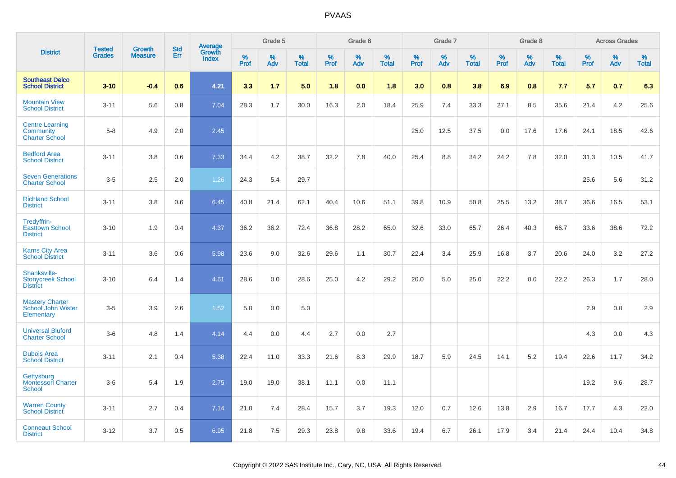|                                                              |                                |                                 | <b>Std</b> |                                   |                     | Grade 5  |                   |                     | Grade 6  |                   |              | Grade 7  |                   |                     | Grade 8  |                   |              | <b>Across Grades</b> |                      |
|--------------------------------------------------------------|--------------------------------|---------------------------------|------------|-----------------------------------|---------------------|----------|-------------------|---------------------|----------|-------------------|--------------|----------|-------------------|---------------------|----------|-------------------|--------------|----------------------|----------------------|
| <b>District</b>                                              | <b>Tested</b><br><b>Grades</b> | <b>Growth</b><br><b>Measure</b> | Err        | Average<br>Growth<br><b>Index</b> | $\%$<br><b>Prof</b> | %<br>Adv | %<br><b>Total</b> | $\%$<br><b>Prof</b> | %<br>Adv | %<br><b>Total</b> | $\%$<br>Prof | %<br>Adv | %<br><b>Total</b> | $\%$<br><b>Prof</b> | %<br>Adv | %<br><b>Total</b> | $\%$<br>Prof | %<br>Adv             | $\%$<br><b>Total</b> |
| <b>Southeast Delco</b><br><b>School District</b>             | $3-10$                         | $-0.4$                          | 0.6        | 4.21                              | 3.3                 | 1.7      | 5.0               | 1.8                 | 0.0      | 1.8               | 3.0          | 0.8      | 3.8               | 6.9                 | 0.8      | 7.7               | 5.7          | 0.7                  | 6.3                  |
| <b>Mountain View</b><br><b>School District</b>               | $3 - 11$                       | 5.6                             | 0.8        | 7.04                              | 28.3                | 1.7      | 30.0              | 16.3                | 2.0      | 18.4              | 25.9         | 7.4      | 33.3              | 27.1                | 8.5      | 35.6              | 21.4         | 4.2                  | 25.6                 |
| <b>Centre Learning</b><br>Community<br><b>Charter School</b> | $5 - 8$                        | 4.9                             | 2.0        | 2.45                              |                     |          |                   |                     |          |                   | 25.0         | 12.5     | 37.5              | 0.0                 | 17.6     | 17.6              | 24.1         | 18.5                 | 42.6                 |
| <b>Bedford Area</b><br><b>School District</b>                | $3 - 11$                       | 3.8                             | 0.6        | 7.33                              | 34.4                | 4.2      | 38.7              | 32.2                | 7.8      | 40.0              | 25.4         | 8.8      | 34.2              | 24.2                | 7.8      | 32.0              | 31.3         | 10.5                 | 41.7                 |
| <b>Seven Generations</b><br><b>Charter School</b>            | $3-5$                          | 2.5                             | 2.0        | 1.26                              | 24.3                | 5.4      | 29.7              |                     |          |                   |              |          |                   |                     |          |                   | 25.6         | 5.6                  | 31.2                 |
| <b>Richland School</b><br><b>District</b>                    | $3 - 11$                       | 3.8                             | 0.6        | 6.45                              | 40.8                | 21.4     | 62.1              | 40.4                | 10.6     | 51.1              | 39.8         | 10.9     | 50.8              | 25.5                | 13.2     | 38.7              | 36.6         | 16.5                 | 53.1                 |
| Tredyffrin-<br><b>Easttown School</b><br><b>District</b>     | $3 - 10$                       | 1.9                             | 0.4        | 4.37                              | 36.2                | 36.2     | 72.4              | 36.8                | 28.2     | 65.0              | 32.6         | 33.0     | 65.7              | 26.4                | 40.3     | 66.7              | 33.6         | 38.6                 | 72.2                 |
| <b>Karns City Area</b><br><b>School District</b>             | $3 - 11$                       | 3.6                             | 0.6        | 5.98                              | 23.6                | 9.0      | 32.6              | 29.6                | 1.1      | 30.7              | 22.4         | 3.4      | 25.9              | 16.8                | 3.7      | 20.6              | 24.0         | 3.2                  | 27.2                 |
| Shanksville-<br><b>Stonycreek School</b><br><b>District</b>  | $3 - 10$                       | 6.4                             | 1.4        | 4.61                              | 28.6                | 0.0      | 28.6              | 25.0                | 4.2      | 29.2              | 20.0         | 5.0      | 25.0              | 22.2                | 0.0      | 22.2              | 26.3         | 1.7                  | 28.0                 |
| <b>Mastery Charter</b><br>School John Wister<br>Elementary   | $3-5$                          | 3.9                             | 2.6        | 1.52                              | 5.0                 | 0.0      | 5.0               |                     |          |                   |              |          |                   |                     |          |                   | 2.9          | 0.0                  | 2.9                  |
| <b>Universal Bluford</b><br><b>Charter School</b>            | $3-6$                          | 4.8                             | 1.4        | 4.14                              | 4.4                 | 0.0      | 4.4               | 2.7                 | 0.0      | 2.7               |              |          |                   |                     |          |                   | 4.3          | 0.0                  | 4.3                  |
| <b>Dubois Area</b><br><b>School District</b>                 | $3 - 11$                       | 2.1                             | 0.4        | 5.38                              | 22.4                | 11.0     | 33.3              | 21.6                | 8.3      | 29.9              | 18.7         | 5.9      | 24.5              | 14.1                | 5.2      | 19.4              | 22.6         | 11.7                 | 34.2                 |
| Gettysburg<br><b>Montessori Charter</b><br>School            | $3-6$                          | 5.4                             | 1.9        | 2.75                              | 19.0                | 19.0     | 38.1              | 11.1                | 0.0      | 11.1              |              |          |                   |                     |          |                   | 19.2         | 9.6                  | 28.7                 |
| <b>Warren County</b><br><b>School District</b>               | $3 - 11$                       | 2.7                             | 0.4        | 7.14                              | 21.0                | 7.4      | 28.4              | 15.7                | 3.7      | 19.3              | 12.0         | 0.7      | 12.6              | 13.8                | 2.9      | 16.7              | 17.7         | 4.3                  | 22.0                 |
| <b>Conneaut School</b><br><b>District</b>                    | $3 - 12$                       | 3.7                             | 0.5        | 6.95                              | 21.8                | 7.5      | 29.3              | 23.8                | 9.8      | 33.6              | 19.4         | 6.7      | 26.1              | 17.9                | 3.4      | 21.4              | 24.4         | 10.4                 | 34.8                 |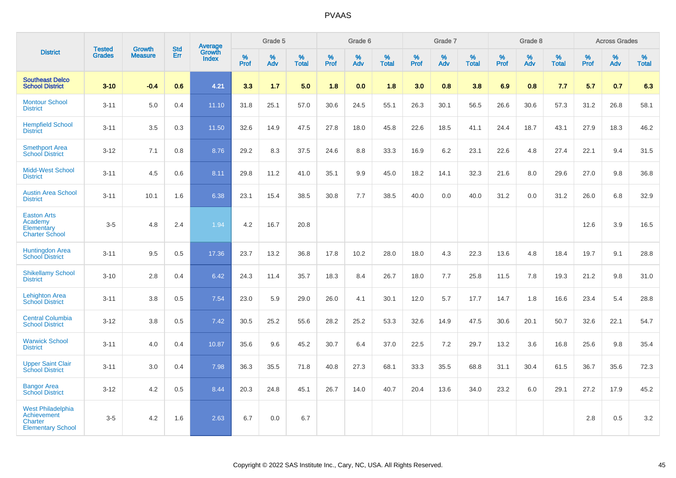|                                                                                              |                                |                                 |                   | Average                |              | Grade 5  |                   |           | Grade 6  |                   |           | Grade 7  |                   |           | Grade 8  |                   |           | <b>Across Grades</b> |                   |
|----------------------------------------------------------------------------------------------|--------------------------------|---------------------------------|-------------------|------------------------|--------------|----------|-------------------|-----------|----------|-------------------|-----------|----------|-------------------|-----------|----------|-------------------|-----------|----------------------|-------------------|
| <b>District</b>                                                                              | <b>Tested</b><br><b>Grades</b> | <b>Growth</b><br><b>Measure</b> | <b>Std</b><br>Err | Growth<br><b>Index</b> | $\%$<br>Prof | %<br>Adv | %<br><b>Total</b> | %<br>Prof | %<br>Adv | %<br><b>Total</b> | %<br>Prof | %<br>Adv | %<br><b>Total</b> | %<br>Prof | %<br>Adv | %<br><b>Total</b> | %<br>Prof | %<br>Adv             | %<br><b>Total</b> |
| <b>Southeast Delco</b><br><b>School District</b>                                             | $3 - 10$                       | $-0.4$                          | 0.6               | 4.21                   | 3.3          | 1.7      | 5.0               | 1.8       | 0.0      | 1.8               | 3.0       | 0.8      | 3.8               | 6.9       | 0.8      | 7.7               | 5.7       | 0.7                  | 6.3               |
| <b>Montour School</b><br><b>District</b>                                                     | $3 - 11$                       | 5.0                             | 0.4               | 11.10                  | 31.8         | 25.1     | 57.0              | 30.6      | 24.5     | 55.1              | 26.3      | 30.1     | 56.5              | 26.6      | 30.6     | 57.3              | 31.2      | 26.8                 | 58.1              |
| <b>Hempfield School</b><br><b>District</b>                                                   | $3 - 11$                       | 3.5                             | 0.3               | 11.50                  | 32.6         | 14.9     | 47.5              | 27.8      | 18.0     | 45.8              | 22.6      | 18.5     | 41.1              | 24.4      | 18.7     | 43.1              | 27.9      | 18.3                 | 46.2              |
| <b>Smethport Area</b><br><b>School District</b>                                              | $3 - 12$                       | 7.1                             | 0.8               | 8.76                   | 29.2         | 8.3      | 37.5              | 24.6      | 8.8      | 33.3              | 16.9      | 6.2      | 23.1              | 22.6      | 4.8      | 27.4              | 22.1      | 9.4                  | 31.5              |
| <b>Midd-West School</b><br><b>District</b>                                                   | $3 - 11$                       | 4.5                             | 0.6               | 8.11                   | 29.8         | 11.2     | 41.0              | 35.1      | 9.9      | 45.0              | 18.2      | 14.1     | 32.3              | 21.6      | 8.0      | 29.6              | 27.0      | 9.8                  | 36.8              |
| <b>Austin Area School</b><br><b>District</b>                                                 | $3 - 11$                       | 10.1                            | 1.6               | 6.38                   | 23.1         | 15.4     | 38.5              | 30.8      | 7.7      | 38.5              | 40.0      | 0.0      | 40.0              | 31.2      | 0.0      | 31.2              | 26.0      | 6.8                  | 32.9              |
| <b>Easton Arts</b><br>Academy<br>Elementary<br><b>Charter School</b>                         | $3-5$                          | 4.8                             | 2.4               | 1.94                   | 4.2          | 16.7     | 20.8              |           |          |                   |           |          |                   |           |          |                   | 12.6      | 3.9                  | 16.5              |
| <b>Huntingdon Area</b><br><b>School District</b>                                             | $3 - 11$                       | 9.5                             | 0.5               | 17.36                  | 23.7         | 13.2     | 36.8              | 17.8      | 10.2     | 28.0              | 18.0      | 4.3      | 22.3              | 13.6      | 4.8      | 18.4              | 19.7      | 9.1                  | 28.8              |
| <b>Shikellamy School</b><br><b>District</b>                                                  | $3 - 10$                       | 2.8                             | 0.4               | 6.42                   | 24.3         | 11.4     | 35.7              | 18.3      | 8.4      | 26.7              | 18.0      | 7.7      | 25.8              | 11.5      | 7.8      | 19.3              | 21.2      | 9.8                  | 31.0              |
| <b>Lehighton Area</b><br><b>School District</b>                                              | $3 - 11$                       | 3.8                             | 0.5               | 7.54                   | 23.0         | 5.9      | 29.0              | 26.0      | 4.1      | 30.1              | 12.0      | 5.7      | 17.7              | 14.7      | 1.8      | 16.6              | 23.4      | 5.4                  | 28.8              |
| <b>Central Columbia</b><br><b>School District</b>                                            | $3 - 12$                       | 3.8                             | 0.5               | 7.42                   | 30.5         | 25.2     | 55.6              | 28.2      | 25.2     | 53.3              | 32.6      | 14.9     | 47.5              | 30.6      | 20.1     | 50.7              | 32.6      | 22.1                 | 54.7              |
| <b>Warwick School</b><br><b>District</b>                                                     | $3 - 11$                       | 4.0                             | 0.4               | 10.87                  | 35.6         | 9.6      | 45.2              | 30.7      | 6.4      | 37.0              | 22.5      | 7.2      | 29.7              | 13.2      | 3.6      | 16.8              | 25.6      | 9.8                  | 35.4              |
| <b>Upper Saint Clair</b><br><b>School District</b>                                           | $3 - 11$                       | 3.0                             | 0.4               | 7.98                   | 36.3         | 35.5     | 71.8              | 40.8      | 27.3     | 68.1              | 33.3      | 35.5     | 68.8              | 31.1      | 30.4     | 61.5              | 36.7      | 35.6                 | 72.3              |
| <b>Bangor Area</b><br><b>School District</b>                                                 | $3 - 12$                       | 4.2                             | 0.5               | 8.44                   | 20.3         | 24.8     | 45.1              | 26.7      | 14.0     | 40.7              | 20.4      | 13.6     | 34.0              | 23.2      | 6.0      | 29.1              | 27.2      | 17.9                 | 45.2              |
| <b>West Philadelphia</b><br><b>Achievement</b><br><b>Charter</b><br><b>Elementary School</b> | $3-5$                          | 4.2                             | 1.6               | 2.63                   | 6.7          | 0.0      | 6.7               |           |          |                   |           |          |                   |           |          |                   | 2.8       | 0.5                  | $3.2\,$           |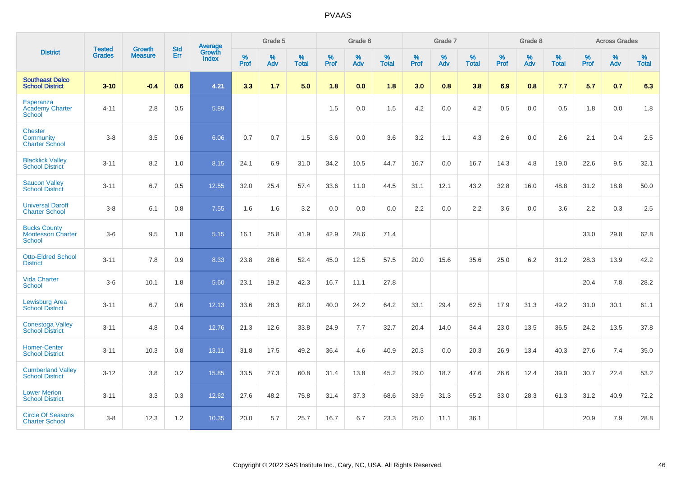|                                                             | <b>Tested</b> | <b>Growth</b>  | <b>Std</b> | Average                |              | Grade 5  |                   |           | Grade 6  |                   |           | Grade 7  |                   |           | Grade 8  |                   |           | <b>Across Grades</b> |                   |
|-------------------------------------------------------------|---------------|----------------|------------|------------------------|--------------|----------|-------------------|-----------|----------|-------------------|-----------|----------|-------------------|-----------|----------|-------------------|-----------|----------------------|-------------------|
| <b>District</b>                                             | <b>Grades</b> | <b>Measure</b> | Err        | Growth<br><b>Index</b> | $\%$<br>Prof | %<br>Adv | %<br><b>Total</b> | %<br>Prof | %<br>Adv | %<br><b>Total</b> | %<br>Prof | %<br>Adv | %<br><b>Total</b> | %<br>Prof | %<br>Adv | %<br><b>Total</b> | %<br>Prof | %<br>Adv             | %<br><b>Total</b> |
| <b>Southeast Delco</b><br><b>School District</b>            | $3 - 10$      | $-0.4$         | 0.6        | 4.21                   | 3.3          | 1.7      | 5.0               | 1.8       | 0.0      | 1.8               | 3.0       | 0.8      | 3.8               | 6.9       | 0.8      | 7.7               | 5.7       | 0.7                  | 6.3               |
| Esperanza<br><b>Academy Charter</b><br><b>School</b>        | $4 - 11$      | 2.8            | 0.5        | 5.89                   |              |          |                   | 1.5       | 0.0      | 1.5               | 4.2       | 0.0      | 4.2               | 0.5       | 0.0      | 0.5               | 1.8       | 0.0                  | 1.8               |
| <b>Chester</b><br><b>Community</b><br><b>Charter School</b> | $3 - 8$       | 3.5            | 0.6        | 6.06                   | 0.7          | 0.7      | 1.5               | 3.6       | $0.0\,$  | 3.6               | 3.2       | 1.1      | 4.3               | 2.6       | 0.0      | 2.6               | 2.1       | 0.4                  | $2.5\,$           |
| <b>Blacklick Valley</b><br><b>School District</b>           | $3 - 11$      | 8.2            | 1.0        | 8.15                   | 24.1         | 6.9      | 31.0              | 34.2      | 10.5     | 44.7              | 16.7      | 0.0      | 16.7              | 14.3      | 4.8      | 19.0              | 22.6      | 9.5                  | 32.1              |
| <b>Saucon Valley</b><br><b>School District</b>              | $3 - 11$      | 6.7            | 0.5        | 12.55                  | 32.0         | 25.4     | 57.4              | 33.6      | 11.0     | 44.5              | 31.1      | 12.1     | 43.2              | 32.8      | 16.0     | 48.8              | 31.2      | 18.8                 | 50.0              |
| <b>Universal Daroff</b><br><b>Charter School</b>            | $3 - 8$       | 6.1            | 0.8        | 7.55                   | 1.6          | 1.6      | 3.2               | 0.0       | 0.0      | 0.0               | 2.2       | 0.0      | 2.2               | 3.6       | 0.0      | 3.6               | 2.2       | 0.3                  | 2.5               |
| <b>Bucks County</b><br><b>Montessori Charter</b><br>School  | $3-6$         | 9.5            | 1.8        | 5.15                   | 16.1         | 25.8     | 41.9              | 42.9      | 28.6     | 71.4              |           |          |                   |           |          |                   | 33.0      | 29.8                 | 62.8              |
| <b>Otto-Eldred School</b><br><b>District</b>                | $3 - 11$      | 7.8            | 0.9        | 8.33                   | 23.8         | 28.6     | 52.4              | 45.0      | 12.5     | 57.5              | 20.0      | 15.6     | 35.6              | 25.0      | 6.2      | 31.2              | 28.3      | 13.9                 | 42.2              |
| <b>Vida Charter</b><br>School                               | $3-6$         | 10.1           | 1.8        | 5.60                   | 23.1         | 19.2     | 42.3              | 16.7      | 11.1     | 27.8              |           |          |                   |           |          |                   | 20.4      | 7.8                  | 28.2              |
| Lewisburg Area<br><b>School District</b>                    | $3 - 11$      | 6.7            | 0.6        | 12.13                  | 33.6         | 28.3     | 62.0              | 40.0      | 24.2     | 64.2              | 33.1      | 29.4     | 62.5              | 17.9      | 31.3     | 49.2              | 31.0      | 30.1                 | 61.1              |
| <b>Conestoga Valley</b><br><b>School District</b>           | $3 - 11$      | 4.8            | 0.4        | 12.76                  | 21.3         | 12.6     | 33.8              | 24.9      | 7.7      | 32.7              | 20.4      | 14.0     | 34.4              | 23.0      | 13.5     | 36.5              | 24.2      | 13.5                 | 37.8              |
| <b>Homer-Center</b><br><b>School District</b>               | $3 - 11$      | 10.3           | 0.8        | 13.11                  | 31.8         | 17.5     | 49.2              | 36.4      | 4.6      | 40.9              | 20.3      | 0.0      | 20.3              | 26.9      | 13.4     | 40.3              | 27.6      | 7.4                  | 35.0              |
| <b>Cumberland Valley</b><br><b>School District</b>          | $3 - 12$      | 3.8            | 0.2        | 15.85                  | 33.5         | 27.3     | 60.8              | 31.4      | 13.8     | 45.2              | 29.0      | 18.7     | 47.6              | 26.6      | 12.4     | 39.0              | 30.7      | 22.4                 | 53.2              |
| <b>Lower Merion</b><br><b>School District</b>               | $3 - 11$      | 3.3            | 0.3        | 12.62                  | 27.6         | 48.2     | 75.8              | 31.4      | 37.3     | 68.6              | 33.9      | 31.3     | 65.2              | 33.0      | 28.3     | 61.3              | 31.2      | 40.9                 | 72.2              |
| <b>Circle Of Seasons</b><br><b>Charter School</b>           | $3 - 8$       | 12.3           | 1.2        | 10.35                  | 20.0         | 5.7      | 25.7              | 16.7      | 6.7      | 23.3              | 25.0      | 11.1     | 36.1              |           |          |                   | 20.9      | 7.9                  | 28.8              |